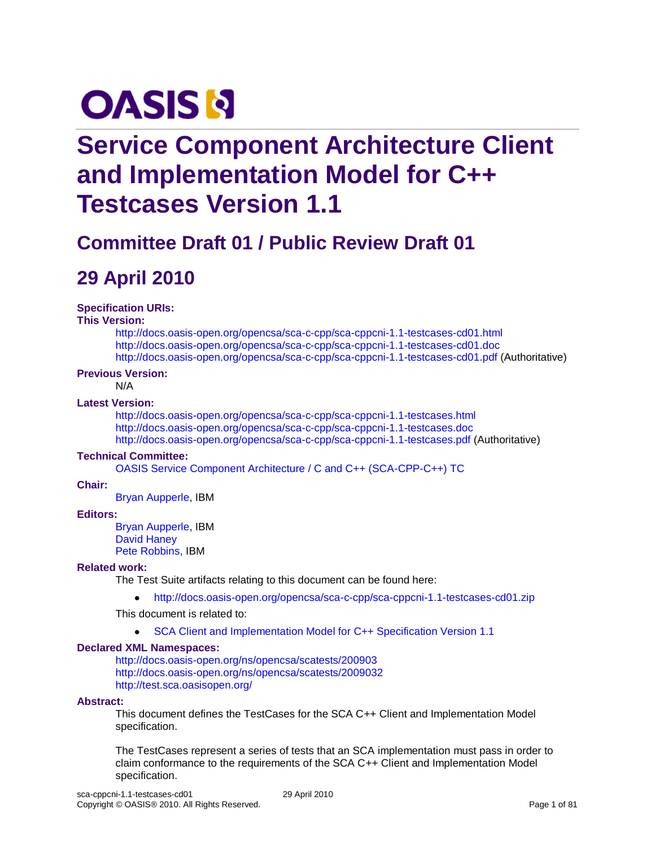# **OASIS N**

# **Service Component Architecture Client and Implementation Model for C++ Testcases Version 1.1**

# **Committee Draft 01 / Public Review Draft 01**

## **29 April 2010**

#### **Specification URIs:**

#### **This Version:**

<http://docs.oasis-open.org/opencsa/sca-c-cpp/sca-cppcni-1.1-testcases-cd01.html> <http://docs.oasis-open.org/opencsa/sca-c-cpp/sca-cppcni-1.1-testcases-cd01.doc> <http://docs.oasis-open.org/opencsa/sca-c-cpp/sca-cppcni-1.1-testcases-cd01.pdf> (Authoritative)

#### **Previous Version:**

N/A

### **Latest Version:**

<http://docs.oasis-open.org/opencsa/sca-c-cpp/sca-cppcni-1.1-testcases.html> <http://docs.oasis-open.org/opencsa/sca-c-cpp/sca-cppcni-1.1-testcases.doc> <http://docs.oasis-open.org/opencsa/sca-c-cpp/sca-cppcni-1.1-testcases.pdf> (Authoritative)

#### **Technical Committee:**

[OASIS Service Component Architecture / C and C++ \(SCA-CPP-C++\) TC](http://www.oasis-open.org/committees/tc_home.php?wg_abbrev=sca-c-cpp)

#### **Chair:**

[Bryan Aupperle,](mailto:aupperle@us.ibm.com) IBM

#### **Editors:**

[Bryan Aupperle,](mailto:aupperle@us.ibm.com) IBM [David Haney](mailto:haney@roguewave.com) [Pete Robbins,](mailto:robbins@uk.ibm.com) IBM

#### **Related work:**

The Test Suite artifacts relating to this document can be found here:

<http://docs.oasis-open.org/opencsa/sca-c-cpp/sca-cppcni-1.1-testcases-cd01.zip>  $\bullet$ 

This document is related to:

 $\bullet$ [SCA Client and Implementation Model for C++ Specification Version 1.1](http://docs.oasis-open.org/opencsa/sca-c-cpp/sca-cppcni-1.1-spec.pdf)

#### **Declared XML Namespaces:**

<http://docs.oasis-open.org/ns/opencsa/scatests/200903> <http://docs.oasis-open.org/ns/opencsa/scatests/2009032> <http://test.sca.oasisopen.org/>

#### **Abstract:**

This document defines the TestCases for the SCA C++ Client and Implementation Model specification.

The TestCases represent a series of tests that an SCA implementation must pass in order to claim conformance to the requirements of the SCA C++ Client and Implementation Model specification.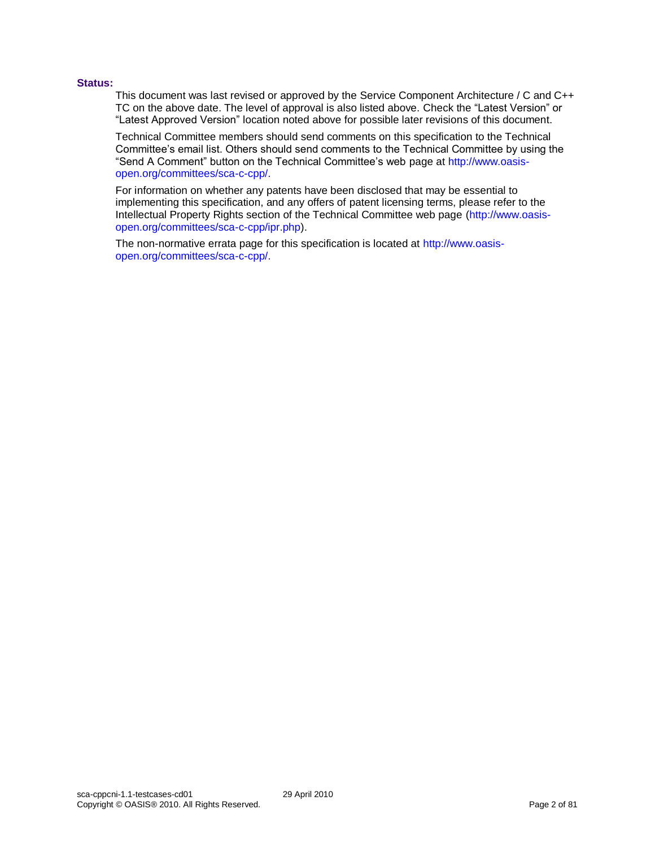#### **Status:**

This document was last revised or approved by the Service Component Architecture / C and C++ TC on the above date. The level of approval is also listed above. Check the "Latest Version" or "Latest Approved Version" location noted above for possible later revisions of this document.

Technical Committee members should send comments on this specification to the Technical Committee's email list. Others should send comments to the Technical Committee by using the "Send A Comment" button on the Technical Committee's web page a[t http://www.oasis](http://www.oasis-open.org/committees/sca-c-cpp/)[open.org/committees/sca-c-cpp/.](http://www.oasis-open.org/committees/sca-c-cpp/)

For information on whether any patents have been disclosed that may be essential to implementing this specification, and any offers of patent licensing terms, please refer to the Intellectual Property Rights section of the Technical Committee web page [\(http://www.oasis](http://www.oasis-open.org/committees/sca-c-cpp/ipr.php)[open.org/committees/sca-c-cpp/ipr.php\)](http://www.oasis-open.org/committees/sca-c-cpp/ipr.php).

The non-normative errata page for this specification is located at [http://www.oasis](http://www.oasis-open.org/committees/sca-c-cpp/)[open.org/committees/sca-c-cpp/.](http://www.oasis-open.org/committees/sca-c-cpp/)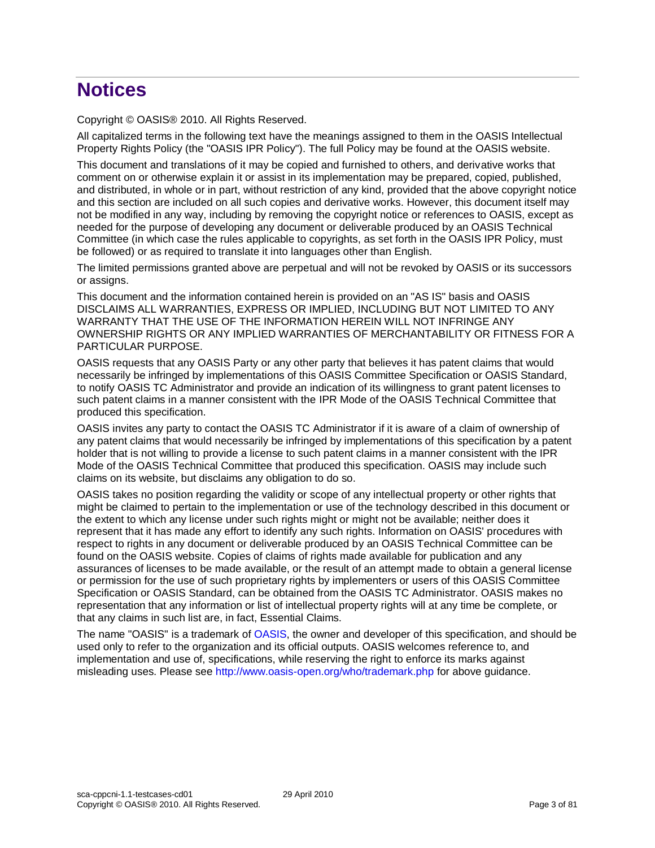# **Notices**

Copyright © OASIS® 2010. All Rights Reserved.

All capitalized terms in the following text have the meanings assigned to them in the OASIS Intellectual Property Rights Policy (the "OASIS IPR Policy"). The full Policy may be found at the OASIS website.

This document and translations of it may be copied and furnished to others, and derivative works that comment on or otherwise explain it or assist in its implementation may be prepared, copied, published, and distributed, in whole or in part, without restriction of any kind, provided that the above copyright notice and this section are included on all such copies and derivative works. However, this document itself may not be modified in any way, including by removing the copyright notice or references to OASIS, except as needed for the purpose of developing any document or deliverable produced by an OASIS Technical Committee (in which case the rules applicable to copyrights, as set forth in the OASIS IPR Policy, must be followed) or as required to translate it into languages other than English.

The limited permissions granted above are perpetual and will not be revoked by OASIS or its successors or assigns.

This document and the information contained herein is provided on an "AS IS" basis and OASIS DISCLAIMS ALL WARRANTIES, EXPRESS OR IMPLIED, INCLUDING BUT NOT LIMITED TO ANY WARRANTY THAT THE USE OF THE INFORMATION HEREIN WILL NOT INFRINGE ANY OWNERSHIP RIGHTS OR ANY IMPLIED WARRANTIES OF MERCHANTABILITY OR FITNESS FOR A PARTICULAR PURPOSE.

OASIS requests that any OASIS Party or any other party that believes it has patent claims that would necessarily be infringed by implementations of this OASIS Committee Specification or OASIS Standard, to notify OASIS TC Administrator and provide an indication of its willingness to grant patent licenses to such patent claims in a manner consistent with the IPR Mode of the OASIS Technical Committee that produced this specification.

OASIS invites any party to contact the OASIS TC Administrator if it is aware of a claim of ownership of any patent claims that would necessarily be infringed by implementations of this specification by a patent holder that is not willing to provide a license to such patent claims in a manner consistent with the IPR Mode of the OASIS Technical Committee that produced this specification. OASIS may include such claims on its website, but disclaims any obligation to do so.

OASIS takes no position regarding the validity or scope of any intellectual property or other rights that might be claimed to pertain to the implementation or use of the technology described in this document or the extent to which any license under such rights might or might not be available; neither does it represent that it has made any effort to identify any such rights. Information on OASIS' procedures with respect to rights in any document or deliverable produced by an OASIS Technical Committee can be found on the OASIS website. Copies of claims of rights made available for publication and any assurances of licenses to be made available, or the result of an attempt made to obtain a general license or permission for the use of such proprietary rights by implementers or users of this OASIS Committee Specification or OASIS Standard, can be obtained from the OASIS TC Administrator. OASIS makes no representation that any information or list of intellectual property rights will at any time be complete, or that any claims in such list are, in fact, Essential Claims.

The name "OASIS" is a trademark of [OASIS,](http://www.oasis-open.org/) the owner and developer of this specification, and should be used only to refer to the organization and its official outputs. OASIS welcomes reference to, and implementation and use of, specifications, while reserving the right to enforce its marks against misleading uses. Please see<http://www.oasis-open.org/who/trademark.php> for above guidance.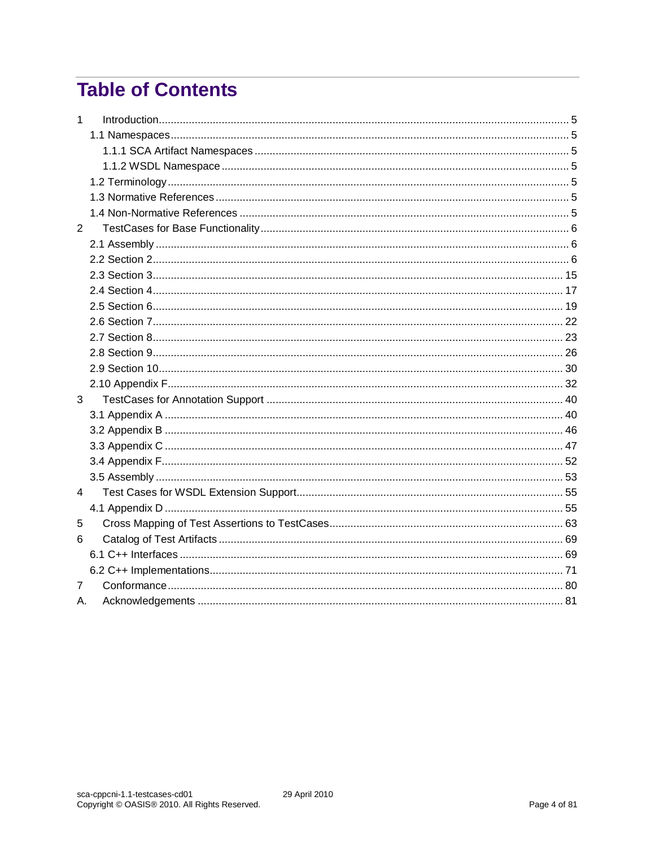# **Table of Contents**

| $\mathbf{1}$   |  |
|----------------|--|
|                |  |
|                |  |
|                |  |
|                |  |
|                |  |
|                |  |
| $\overline{2}$ |  |
|                |  |
|                |  |
|                |  |
|                |  |
|                |  |
|                |  |
|                |  |
|                |  |
|                |  |
|                |  |
| 3              |  |
|                |  |
|                |  |
|                |  |
|                |  |
|                |  |
| 4              |  |
|                |  |
| 5              |  |
| 6              |  |
|                |  |
|                |  |
| 7              |  |
| А.             |  |
|                |  |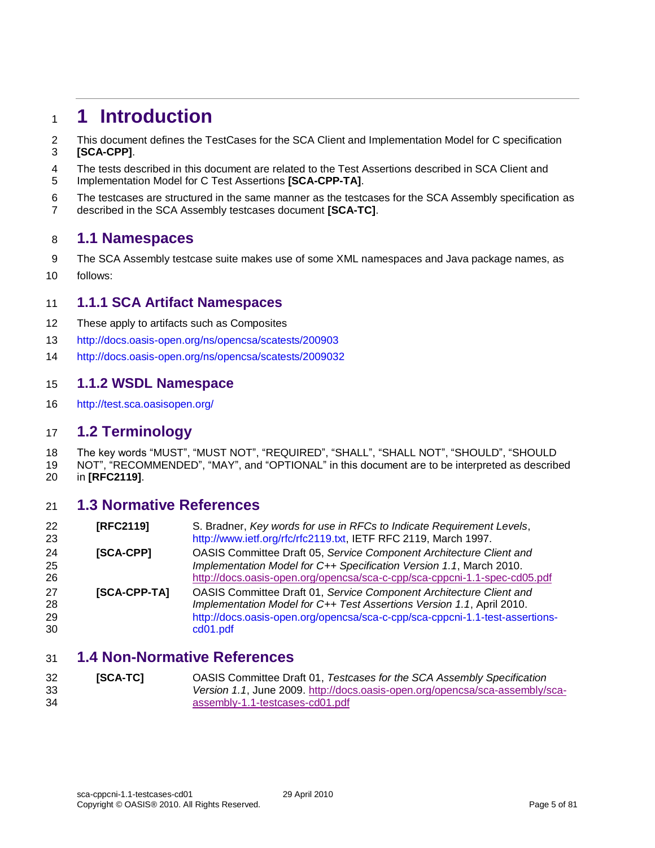### <span id="page-4-0"></span>**1 Introduction**

 This document defines the TestCases for the SCA Client and Implementation Model for C specification **[\[SCA-CPP\]](#page-4-7)**.

- The tests described in this document are related to the Test Assertions described in SCA Client and
- Implementation Model for C Test Assertions **[\[SCA-CPP-TA\]](#page-4-8)**.
- The testcases are structured in the same manner as the testcases for the SCA Assembly specification as described in the SCA Assembly testcases document **[\[SCA-TC\]](#page-4-9)**.

### <span id="page-4-1"></span>**1.1 Namespaces**

- 9 The SCA Assembly testcase suite makes use of some XML namespaces and Java package names, as
- follows:

### <span id="page-4-2"></span>**1.1.1 SCA Artifact Namespaces**

- These apply to artifacts such as Composites
- <http://docs.oasis-open.org/ns/opencsa/scatests/200903>
- <http://docs.oasis-open.org/ns/opencsa/scatests/2009032>

### <span id="page-4-3"></span>**1.1.2 WSDL Namespace**

<http://test.sca.oasisopen.org/>

### <span id="page-4-4"></span>**1.2 Terminology**

- The key words "MUST", "MUST NOT", "REQUIRED", "SHALL", "SHALL NOT", "SHOULD", "SHOULD
- NOT", "RECOMMENDED", "MAY", and "OPTIONAL" in this document are to be interpreted as described in **[\[RFC2119\]](#page-4-10)**.

### <span id="page-4-5"></span>**1.3 Normative References**

<span id="page-4-10"></span><span id="page-4-7"></span>

| 22<br>23 | [RFC2119]        | S. Bradner, Key words for use in RFCs to Indicate Requirement Levels,<br>http://www.ietf.org/rfc/rfc2119.txt, IETF RFC 2119, March 1997. |
|----------|------------------|------------------------------------------------------------------------------------------------------------------------------------------|
| 24       | <b>[SCA-CPP]</b> | OASIS Committee Draft 05, Service Component Architecture Client and                                                                      |
| 25       |                  | Implementation Model for C++ Specification Version 1.1, March 2010.                                                                      |
| 26       |                  | http://docs.oasis-open.org/opencsa/sca-c-cpp/sca-cppcni-1.1-spec-cd05.pdf                                                                |
| 27       | [SCA-CPP-TA]     | OASIS Committee Draft 01, Service Component Architecture Client and                                                                      |
| 28       |                  | Implementation Model for C++ Test Assertions Version 1.1, April 2010.                                                                    |
| 29       |                  | http://docs.oasis-open.org/opencsa/sca-c-cpp/sca-cppcni-1.1-test-assertions-                                                             |
| 30       |                  | cd01.pdf                                                                                                                                 |

### <span id="page-4-8"></span><span id="page-4-6"></span>**1.4 Non-Normative References**

<span id="page-4-9"></span> **[SCA-TC]** OASIS Committee Draft 01, *Testcases for the SCA Assembly Specification Version 1.1*, June 2009. [http://docs.oasis-open.org/opencsa/sca-assembly/sca-](http://docs.oasis-open.org/opencsa/sca-assembly/sca-assembly-1.1-testcases-cd01.pdf)[assembly-1.1-testcases-cd01.pdf](http://docs.oasis-open.org/opencsa/sca-assembly/sca-assembly-1.1-testcases-cd01.pdf)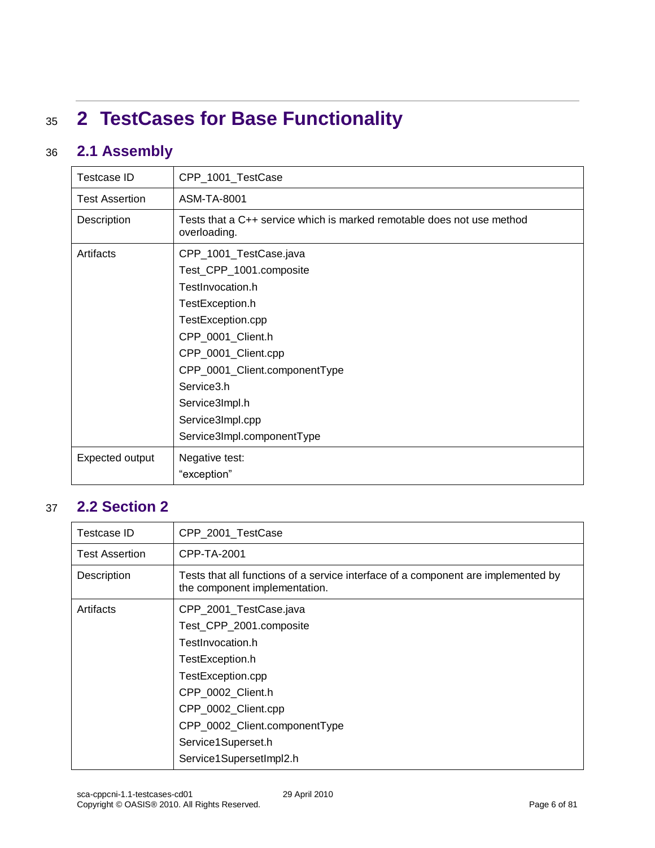# <span id="page-5-0"></span><sup>35</sup> **2 TestCases for Base Functionality**

### 36 **2.1 Assembly**

<span id="page-5-1"></span>

| <b>Testcase ID</b>    | CPP_1001_TestCase                                                                      |
|-----------------------|----------------------------------------------------------------------------------------|
| <b>Test Assertion</b> | ASM-TA-8001                                                                            |
| Description           | Tests that a C++ service which is marked remotable does not use method<br>overloading. |
| Artifacts             | CPP_1001_TestCase.java                                                                 |
|                       | Test_CPP_1001.composite                                                                |
|                       | TestInvocation.h                                                                       |
|                       | TestException.h                                                                        |
|                       | TestException.cpp                                                                      |
|                       | CPP_0001_Client.h                                                                      |
|                       | CPP_0001_Client.cpp                                                                    |
|                       | CPP_0001_Client.componentType                                                          |
|                       | Service3.h                                                                             |
|                       | Service3Impl.h                                                                         |
|                       | Service3Impl.cpp                                                                       |
|                       | Service3Impl.componentType                                                             |
| Expected output       | Negative test:                                                                         |
|                       | "exception"                                                                            |

### <span id="page-5-2"></span>37 **2.2 Section 2**

| Testcase ID           | CPP_2001_TestCase                                                                                                  |
|-----------------------|--------------------------------------------------------------------------------------------------------------------|
| <b>Test Assertion</b> | CPP-TA-2001                                                                                                        |
| Description           | Tests that all functions of a service interface of a component are implemented by<br>the component implementation. |
| Artifacts             | CPP_2001_TestCase.java                                                                                             |
|                       | Test_CPP_2001.composite                                                                                            |
|                       | TestInvocation.h                                                                                                   |
|                       | TestException.h                                                                                                    |
|                       | TestException.cpp                                                                                                  |
|                       | CPP_0002_Client.h                                                                                                  |
|                       | CPP_0002_Client.cpp                                                                                                |
|                       | CPP_0002_Client.componentType                                                                                      |
|                       | Service1Superset.h                                                                                                 |
|                       | Service1SupersetImpl2.h                                                                                            |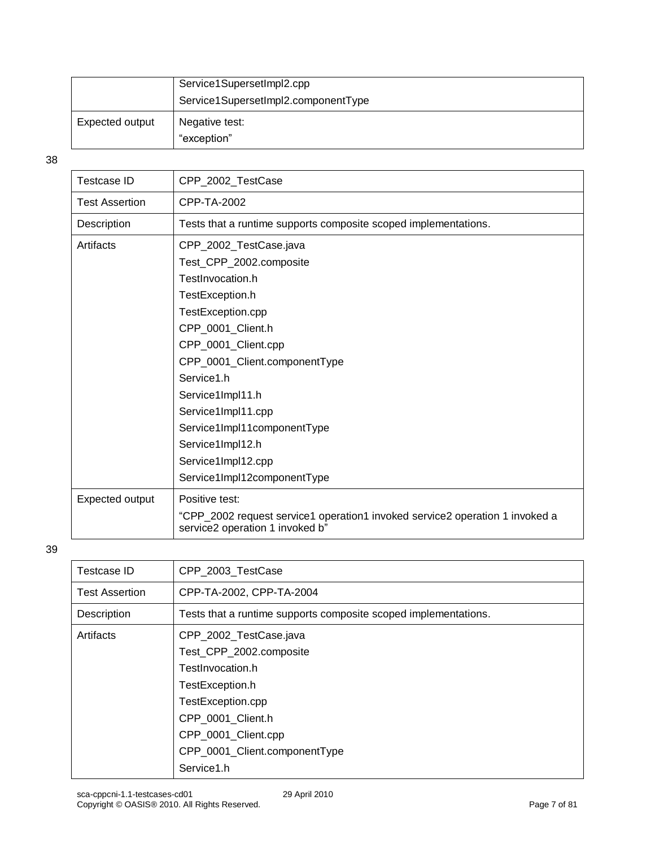|                 | Service1SupersetImpl2.cpp<br>Service1SupersetImpl2.componentType |
|-----------------|------------------------------------------------------------------|
| Expected output | Negative test:<br>"exception"                                    |

| Testcase ID           | CPP_2002_TestCase                                                                                               |
|-----------------------|-----------------------------------------------------------------------------------------------------------------|
| <b>Test Assertion</b> | CPP-TA-2002                                                                                                     |
| Description           | Tests that a runtime supports composite scoped implementations.                                                 |
| Artifacts             | CPP_2002_TestCase.java                                                                                          |
|                       | Test_CPP_2002.composite                                                                                         |
|                       | TestInvocation.h                                                                                                |
|                       | TestException.h                                                                                                 |
|                       | TestException.cpp                                                                                               |
|                       | CPP_0001_Client.h                                                                                               |
|                       | CPP_0001_Client.cpp                                                                                             |
|                       | CPP_0001_Client.componentType                                                                                   |
|                       | Service1.h                                                                                                      |
|                       | Service1Impl11.h                                                                                                |
|                       | Service1Impl11.cpp                                                                                              |
|                       | Service1Impl11componentType                                                                                     |
|                       | Service1Impl12.h                                                                                                |
|                       | Service1Impl12.cpp                                                                                              |
|                       | Service1Impl12componentType                                                                                     |
| Expected output       | Positive test:                                                                                                  |
|                       | "CPP_2002 request service1 operation1 invoked service2 operation 1 invoked a<br>service2 operation 1 invoked b" |
|                       |                                                                                                                 |

| Testcase ID           | CPP_2003_TestCase                                               |
|-----------------------|-----------------------------------------------------------------|
| <b>Test Assertion</b> | CPP-TA-2002, CPP-TA-2004                                        |
| Description           | Tests that a runtime supports composite scoped implementations. |
| Artifacts             | CPP_2002_TestCase.java                                          |
|                       | Test_CPP_2002.composite                                         |
|                       | TestInvocation.h                                                |
|                       | TestException.h                                                 |
|                       | TestException.cpp                                               |
|                       | CPP_0001_Client.h                                               |
|                       | CPP_0001_Client.cpp                                             |
|                       | CPP_0001_Client.componentType                                   |
|                       | Service1.h                                                      |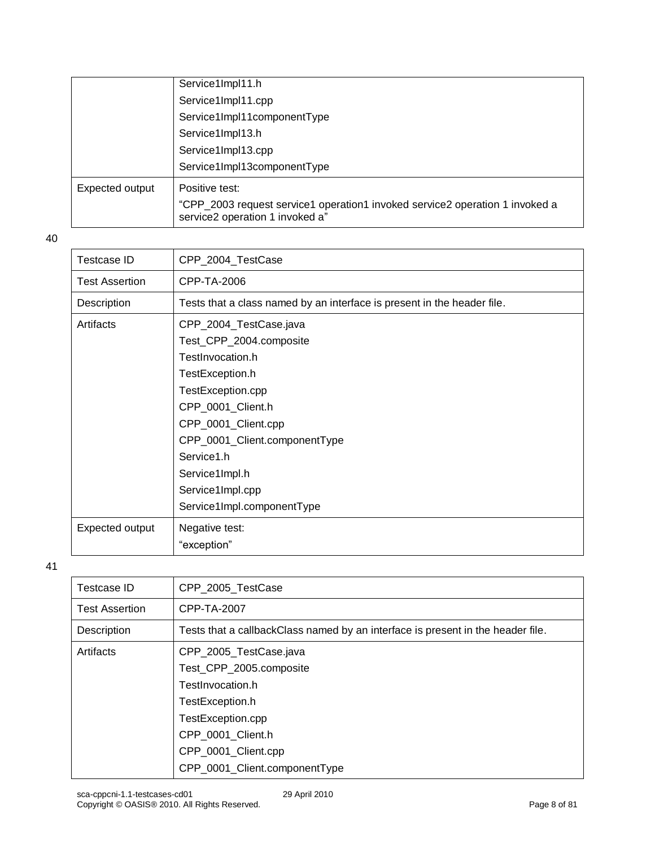|                 | Service1Impl11.h                                                                                                |
|-----------------|-----------------------------------------------------------------------------------------------------------------|
|                 | Service1Impl11.cpp                                                                                              |
|                 | Service1Impl11componentType                                                                                     |
|                 | Service1Impl13.h                                                                                                |
|                 | Service1Impl13.cpp                                                                                              |
|                 | Service1Impl13componentType                                                                                     |
| Expected output | Positive test:                                                                                                  |
|                 | "CPP_2003 request service1 operation1 invoked service2 operation 1 invoked a<br>service2 operation 1 invoked a" |

| <b>Testcase ID</b>    | CPP_2004_TestCase                                                       |
|-----------------------|-------------------------------------------------------------------------|
| <b>Test Assertion</b> | CPP-TA-2006                                                             |
| Description           | Tests that a class named by an interface is present in the header file. |
| Artifacts             | CPP_2004_TestCase.java                                                  |
|                       | Test_CPP_2004.composite                                                 |
|                       | TestInvocation.h                                                        |
|                       | TestException.h                                                         |
|                       | TestException.cpp                                                       |
|                       | CPP_0001_Client.h                                                       |
|                       | CPP_0001_Client.cpp                                                     |
|                       | CPP_0001_Client.componentType                                           |
|                       | Service1.h                                                              |
|                       | Service1Impl.h                                                          |
|                       | Service1Impl.cpp                                                        |
|                       | Service1Impl.componentType                                              |
| Expected output       | Negative test:                                                          |
|                       | "exception"                                                             |

| Testcase ID           | CPP 2005 TestCase                                                               |
|-----------------------|---------------------------------------------------------------------------------|
| <b>Test Assertion</b> | CPP-TA-2007                                                                     |
| Description           | Tests that a callbackClass named by an interface is present in the header file. |
| Artifacts             | CPP_2005_TestCase.java                                                          |
|                       | Test_CPP_2005.composite                                                         |
|                       | TestInvocation.h                                                                |
|                       | TestException.h                                                                 |
|                       | TestException.cpp                                                               |
|                       | CPP 0001 Client.h                                                               |
|                       | CPP_0001_Client.cpp                                                             |
|                       | CPP_0001_Client.componentType                                                   |
|                       |                                                                                 |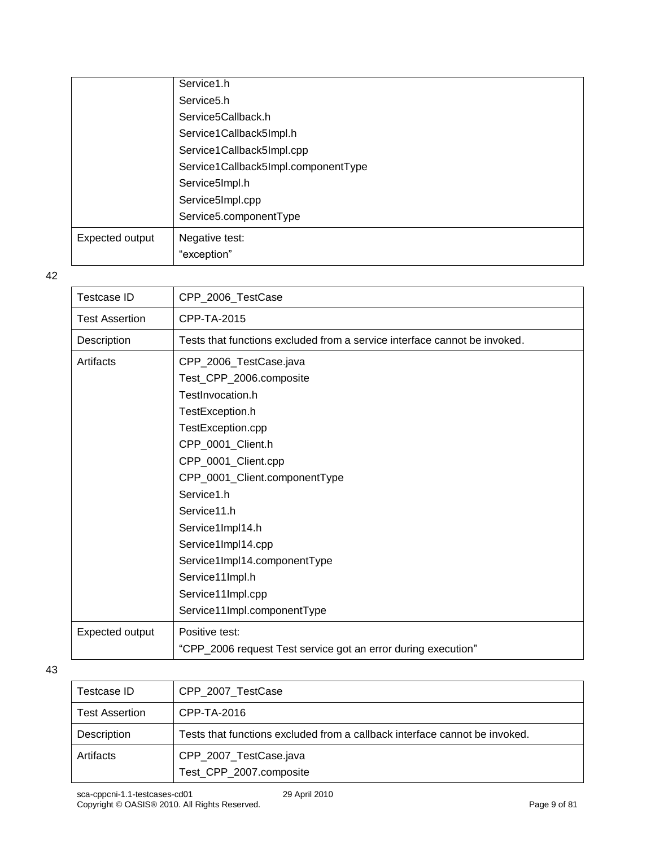|                 | Service1.h                          |
|-----------------|-------------------------------------|
|                 | Service <sub>5.h</sub>              |
|                 | Service5Callback.h                  |
|                 | Service1Callback5Impl.h             |
|                 | Service1Callback5Impl.cpp           |
|                 | Service1Callback5Impl.componentType |
|                 | Service5Impl.h                      |
|                 | Service5Impl.cpp                    |
|                 | Service5.componentType              |
| Expected output | Negative test:                      |
|                 | "exception"                         |

| <b>Testcase ID</b>    | CPP_2006_TestCase                                                         |
|-----------------------|---------------------------------------------------------------------------|
| <b>Test Assertion</b> | CPP-TA-2015                                                               |
| Description           | Tests that functions excluded from a service interface cannot be invoked. |
| Artifacts             | CPP_2006_TestCase.java                                                    |
|                       | Test_CPP_2006.composite                                                   |
|                       | TestInvocation.h                                                          |
|                       | TestException.h                                                           |
|                       | TestException.cpp                                                         |
|                       | CPP_0001_Client.h                                                         |
|                       | CPP_0001_Client.cpp                                                       |
|                       | CPP_0001_Client.componentType                                             |
|                       | Service1.h                                                                |
|                       | Service11.h                                                               |
|                       | Service1Impl14.h                                                          |
|                       | Service1Impl14.cpp                                                        |
|                       | Service1Impl14.componentType                                              |
|                       | Service11Impl.h                                                           |
|                       | Service11Impl.cpp                                                         |
|                       | Service11Impl.componentType                                               |
| Expected output       | Positive test:                                                            |
|                       | "CPP_2006 request Test service got an error during execution"             |
|                       |                                                                           |

| Testcase ID           | CPP 2007 TestCase                                                          |
|-----------------------|----------------------------------------------------------------------------|
| <b>Test Assertion</b> | CPP-TA-2016                                                                |
| Description           | Tests that functions excluded from a callback interface cannot be invoked. |
| Artifacts             | CPP_2007_TestCase.java<br>Test_CPP_2007.composite                          |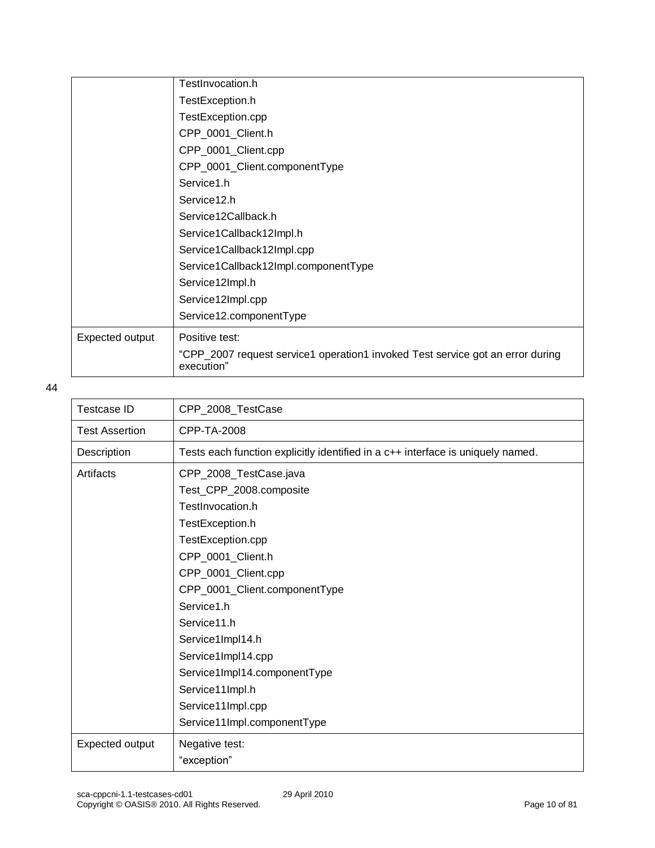|                 | TestInvocation.h                                                                             |
|-----------------|----------------------------------------------------------------------------------------------|
|                 | TestException.h                                                                              |
|                 | TestException.cpp                                                                            |
|                 | CPP_0001_Client.h                                                                            |
|                 | CPP_0001_Client.cpp                                                                          |
|                 | CPP_0001_Client.componentType                                                                |
|                 | Service1.h                                                                                   |
|                 | Service12.h                                                                                  |
|                 | Service12Callback.h                                                                          |
|                 | Service1Callback12Impl.h                                                                     |
|                 | Service1Callback12Impl.cpp                                                                   |
|                 | Service1Callback12Impl.componentType                                                         |
|                 | Service12Impl.h                                                                              |
|                 | Service12Impl.cpp                                                                            |
|                 | Service12.componentType                                                                      |
| Expected output | Positive test:                                                                               |
|                 | "CPP_2007 request service1 operation1 invoked Test service got an error during<br>execution" |

| <b>Testcase ID</b>    | CPP_2008_TestCase                                                               |
|-----------------------|---------------------------------------------------------------------------------|
| <b>Test Assertion</b> | CPP-TA-2008                                                                     |
| Description           | Tests each function explicitly identified in a c++ interface is uniquely named. |
| Artifacts             | CPP_2008_TestCase.java                                                          |
|                       | Test_CPP_2008.composite                                                         |
|                       | TestInvocation.h                                                                |
|                       | TestException.h                                                                 |
|                       | TestException.cpp                                                               |
|                       | CPP_0001_Client.h                                                               |
|                       | CPP_0001_Client.cpp                                                             |
|                       | CPP_0001_Client.componentType                                                   |
|                       | Service1.h                                                                      |
|                       | Service11.h                                                                     |
|                       | Service1Impl14.h                                                                |
|                       | Service1Impl14.cpp                                                              |
|                       | Service1Impl14.componentType                                                    |
|                       | Service11Impl.h                                                                 |
|                       | Service11Impl.cpp                                                               |
|                       | Service11Impl.componentType                                                     |
| Expected output       | Negative test:                                                                  |
|                       | "exception"                                                                     |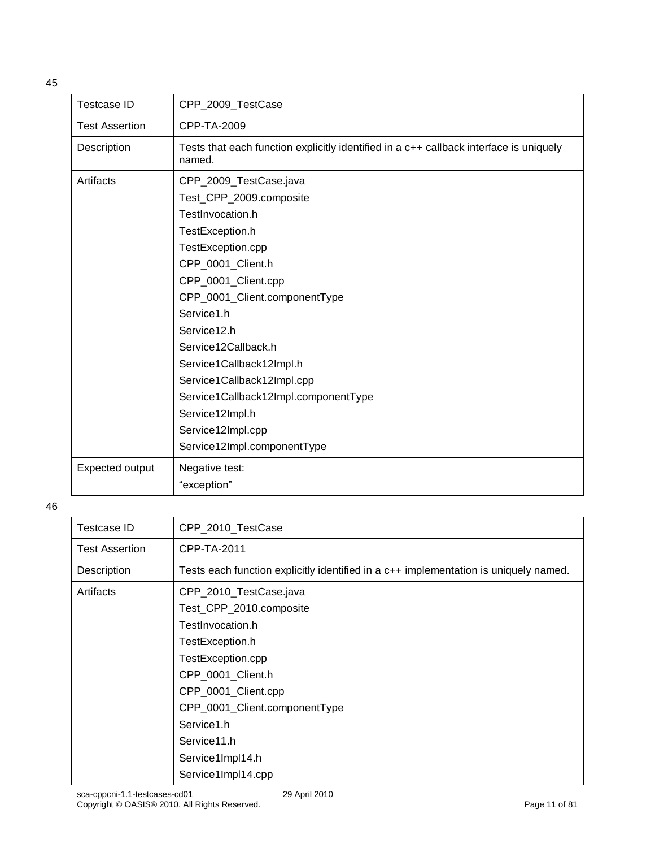| <b>Testcase ID</b>    | CPP_2009_TestCase                                                                                |
|-----------------------|--------------------------------------------------------------------------------------------------|
| <b>Test Assertion</b> | CPP-TA-2009                                                                                      |
| Description           | Tests that each function explicitly identified in a c++ callback interface is uniquely<br>named. |
| Artifacts             | CPP_2009_TestCase.java                                                                           |
|                       | Test_CPP_2009.composite                                                                          |
|                       | TestInvocation.h                                                                                 |
|                       | TestException.h                                                                                  |
|                       | TestException.cpp                                                                                |
|                       | CPP_0001_Client.h                                                                                |
|                       | CPP_0001_Client.cpp                                                                              |
|                       | CPP_0001_Client.componentType                                                                    |
|                       | Service1.h                                                                                       |
|                       | Service12.h                                                                                      |
|                       | Service12Callback.h                                                                              |
|                       | Service1Callback12Impl.h                                                                         |
|                       | Service1Callback12Impl.cpp                                                                       |
|                       | Service1Callback12Impl.componentType                                                             |
|                       | Service12Impl.h                                                                                  |
|                       | Service12Impl.cpp                                                                                |
|                       | Service12Impl.componentType                                                                      |
| Expected output       | Negative test:                                                                                   |
|                       | "exception"                                                                                      |

| Testcase ID           | CPP_2010_TestCase                                                                                                                                                                                                                           |
|-----------------------|---------------------------------------------------------------------------------------------------------------------------------------------------------------------------------------------------------------------------------------------|
| <b>Test Assertion</b> | CPP-TA-2011                                                                                                                                                                                                                                 |
| Description           | Tests each function explicitly identified in a c++ implementation is uniquely named.                                                                                                                                                        |
| Artifacts             | CPP_2010_TestCase.java<br>Test_CPP_2010.composite<br>TestInvocation.h<br>TestException.h<br>TestException.cpp<br>CPP_0001_Client.h<br>CPP_0001_Client.cpp<br>CPP_0001_Client.componentType<br>Service1.h<br>Service11.h<br>Service1Impl14.h |
|                       | Service1Impl14.cpp                                                                                                                                                                                                                          |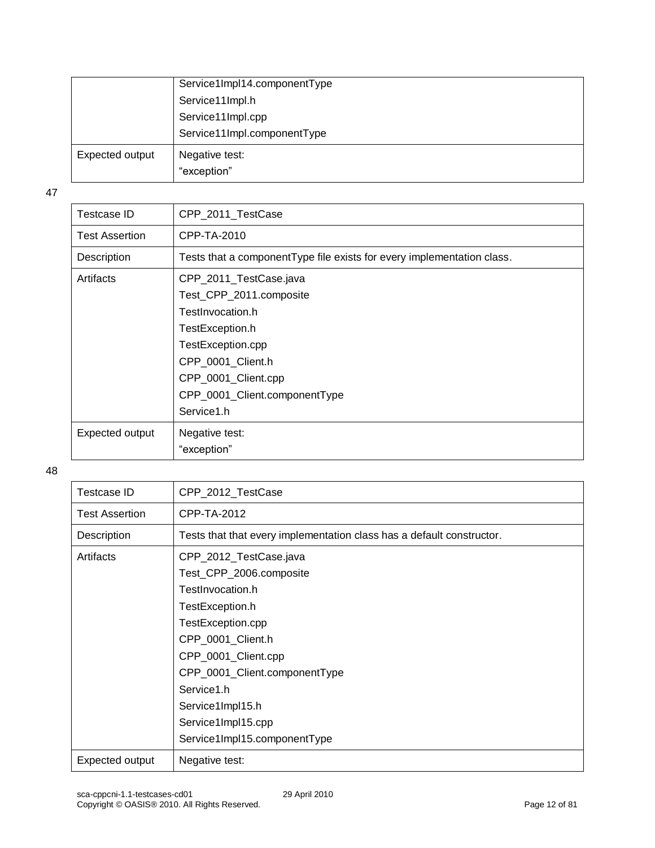|                 | Service1Impl14.componentType  |
|-----------------|-------------------------------|
|                 | Service11Impl.h               |
|                 | Service11Impl.cpp             |
|                 | Service11Impl.componentType   |
| Expected output | Negative test:<br>"exception" |

| Testcase ID           | CPP_2011_TestCase                                                      |
|-----------------------|------------------------------------------------------------------------|
| <b>Test Assertion</b> | CPP-TA-2010                                                            |
| Description           | Tests that a componentType file exists for every implementation class. |
| Artifacts             | CPP_2011_TestCase.java                                                 |
|                       | Test_CPP_2011.composite                                                |
|                       | TestInvocation.h                                                       |
|                       | TestException.h                                                        |
|                       | TestException.cpp                                                      |
|                       | CPP_0001_Client.h                                                      |
|                       | CPP_0001_Client.cpp                                                    |
|                       | CPP_0001_Client.componentType                                          |
|                       | Service1.h                                                             |
| Expected output       | Negative test:                                                         |
|                       | "exception"                                                            |
|                       |                                                                        |

| Testcase ID           | CPP_2012_TestCase                                                                                                                                                                                                                                                                  |
|-----------------------|------------------------------------------------------------------------------------------------------------------------------------------------------------------------------------------------------------------------------------------------------------------------------------|
| <b>Test Assertion</b> | CPP-TA-2012                                                                                                                                                                                                                                                                        |
| Description           | Tests that that every implementation class has a default constructor.                                                                                                                                                                                                              |
| Artifacts             | CPP_2012_TestCase.java<br>Test_CPP_2006.composite<br>TestInvocation.h<br>TestException.h<br>TestException.cpp<br>CPP_0001_Client.h<br>CPP_0001_Client.cpp<br>CPP_0001_Client.componentType<br>Service1.h<br>Service1Impl15.h<br>Service1Impl15.cpp<br>Service1Impl15.componentType |
| Expected output       | Negative test:                                                                                                                                                                                                                                                                     |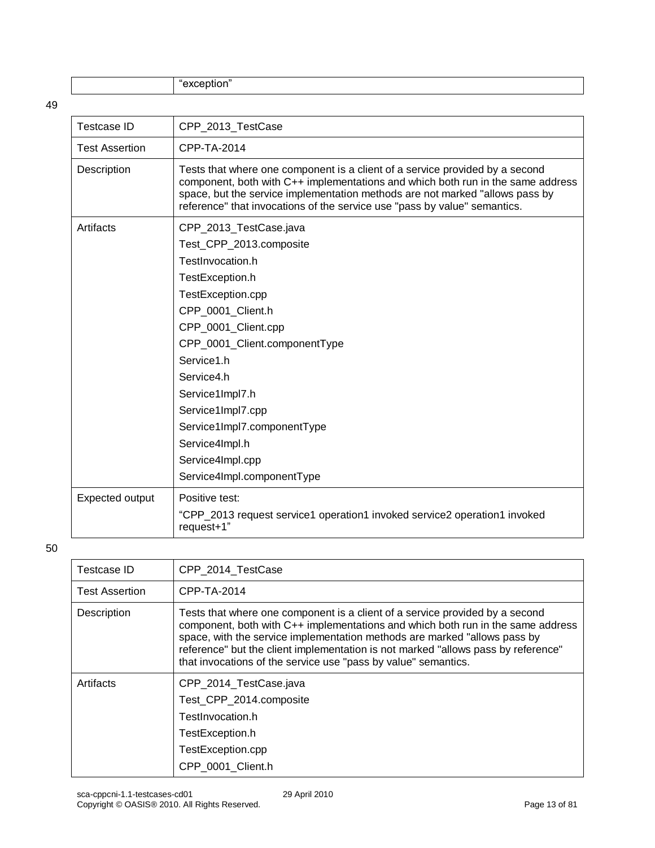"exception"

| <b>Testcase ID</b>    | CPP_2013_TestCase                                                                                                                                                                                                                                                                                                            |
|-----------------------|------------------------------------------------------------------------------------------------------------------------------------------------------------------------------------------------------------------------------------------------------------------------------------------------------------------------------|
| <b>Test Assertion</b> | CPP-TA-2014                                                                                                                                                                                                                                                                                                                  |
| Description           | Tests that where one component is a client of a service provided by a second<br>component, both with C++ implementations and which both run in the same address<br>space, but the service implementation methods are not marked "allows pass by<br>reference" that invocations of the service use "pass by value" semantics. |
| Artifacts             | CPP_2013_TestCase.java                                                                                                                                                                                                                                                                                                       |
|                       | Test_CPP_2013.composite                                                                                                                                                                                                                                                                                                      |
|                       | TestInvocation.h                                                                                                                                                                                                                                                                                                             |
|                       | TestException.h                                                                                                                                                                                                                                                                                                              |
|                       | TestException.cpp                                                                                                                                                                                                                                                                                                            |
|                       | CPP 0001 Client.h                                                                                                                                                                                                                                                                                                            |
|                       | CPP_0001_Client.cpp                                                                                                                                                                                                                                                                                                          |
|                       | CPP_0001_Client.componentType                                                                                                                                                                                                                                                                                                |
|                       | Service1.h                                                                                                                                                                                                                                                                                                                   |
|                       | Service4.h                                                                                                                                                                                                                                                                                                                   |
|                       | Service1Impl7.h                                                                                                                                                                                                                                                                                                              |
|                       | Service1Impl7.cpp                                                                                                                                                                                                                                                                                                            |
|                       | Service1Impl7.componentType                                                                                                                                                                                                                                                                                                  |
|                       | Service4Impl.h                                                                                                                                                                                                                                                                                                               |
|                       | Service4Impl.cpp                                                                                                                                                                                                                                                                                                             |
|                       | Service4Impl.componentType                                                                                                                                                                                                                                                                                                   |
| Expected output       | Positive test:                                                                                                                                                                                                                                                                                                               |
|                       | "CPP_2013 request service1 operation1 invoked service2 operation1 invoked<br>request+1"                                                                                                                                                                                                                                      |
|                       |                                                                                                                                                                                                                                                                                                                              |

| Testcase ID           | CPP 2014 TestCase                                                                                                                                                                                                                                                                                                                                                                                   |
|-----------------------|-----------------------------------------------------------------------------------------------------------------------------------------------------------------------------------------------------------------------------------------------------------------------------------------------------------------------------------------------------------------------------------------------------|
| <b>Test Assertion</b> | CPP-TA-2014                                                                                                                                                                                                                                                                                                                                                                                         |
| Description           | Tests that where one component is a client of a service provided by a second<br>component, both with C++ implementations and which both run in the same address<br>space, with the service implementation methods are marked "allows pass by<br>reference" but the client implementation is not marked "allows pass by reference"<br>that invocations of the service use "pass by value" semantics. |
| Artifacts             | CPP_2014_TestCase.java<br>Test_CPP_2014.composite<br>TestInvocation.h<br>TestException.h<br>TestException.cpp<br>CPP_0001_Client.h                                                                                                                                                                                                                                                                  |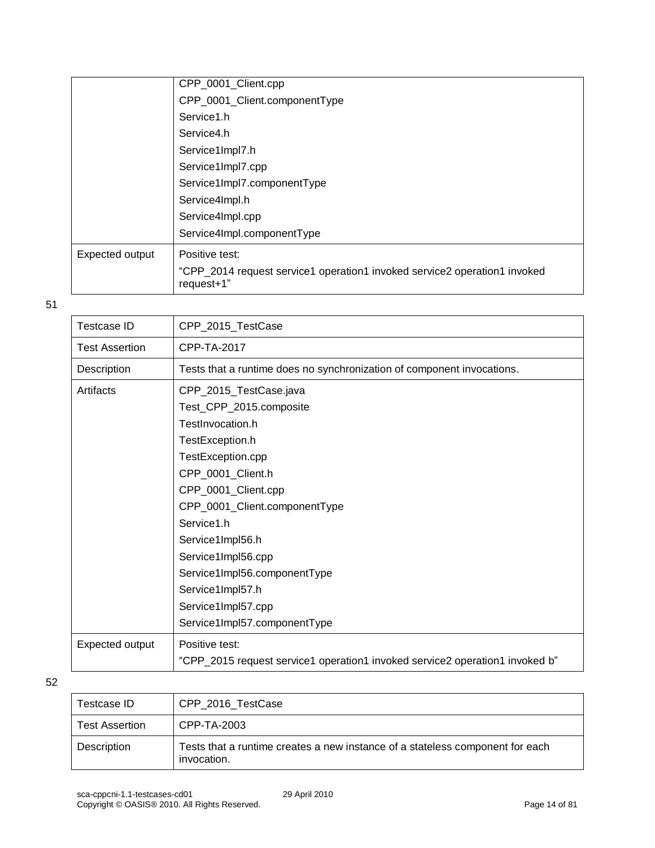|                 | CPP_0001_Client.cpp                                                                     |
|-----------------|-----------------------------------------------------------------------------------------|
|                 | CPP_0001_Client.componentType                                                           |
|                 | Service1.h                                                                              |
|                 | Service4.h                                                                              |
|                 | Service1Impl7.h                                                                         |
|                 | Service1Impl7.cpp                                                                       |
|                 | Service1Impl7.componentType                                                             |
|                 | Service4Impl.h                                                                          |
|                 | Service4Impl.cpp                                                                        |
|                 | Service4Impl.componentType                                                              |
| Expected output | Positive test:                                                                          |
|                 | "CPP_2014 request service1 operation1 invoked service2 operation1 invoked<br>request+1" |

| <b>Testcase ID</b>    | CPP_2015_TestCase                                                            |
|-----------------------|------------------------------------------------------------------------------|
| <b>Test Assertion</b> | CPP-TA-2017                                                                  |
| Description           | Tests that a runtime does no synchronization of component invocations.       |
| Artifacts             | CPP_2015_TestCase.java                                                       |
|                       | Test_CPP_2015.composite                                                      |
|                       | TestInvocation.h                                                             |
|                       | TestException.h                                                              |
|                       | TestException.cpp                                                            |
|                       | CPP_0001_Client.h                                                            |
|                       | CPP_0001_Client.cpp                                                          |
|                       | CPP_0001_Client.componentType                                                |
|                       | Service1.h                                                                   |
|                       | Service1Impl56.h                                                             |
|                       | Service1Impl56.cpp                                                           |
|                       | Service1Impl56.componentType                                                 |
|                       | Service1Impl57.h                                                             |
|                       | Service1Impl57.cpp                                                           |
|                       | Service1Impl57.componentType                                                 |
| Expected output       | Positive test:                                                               |
|                       | "CPP_2015 request service1 operation1 invoked service2 operation1 invoked b" |
|                       |                                                                              |

| Testcase ID           | CPP 2016 TestCase                                                                            |
|-----------------------|----------------------------------------------------------------------------------------------|
| <b>Test Assertion</b> | CPP-TA-2003                                                                                  |
| Description           | Tests that a runtime creates a new instance of a stateless component for each<br>invocation. |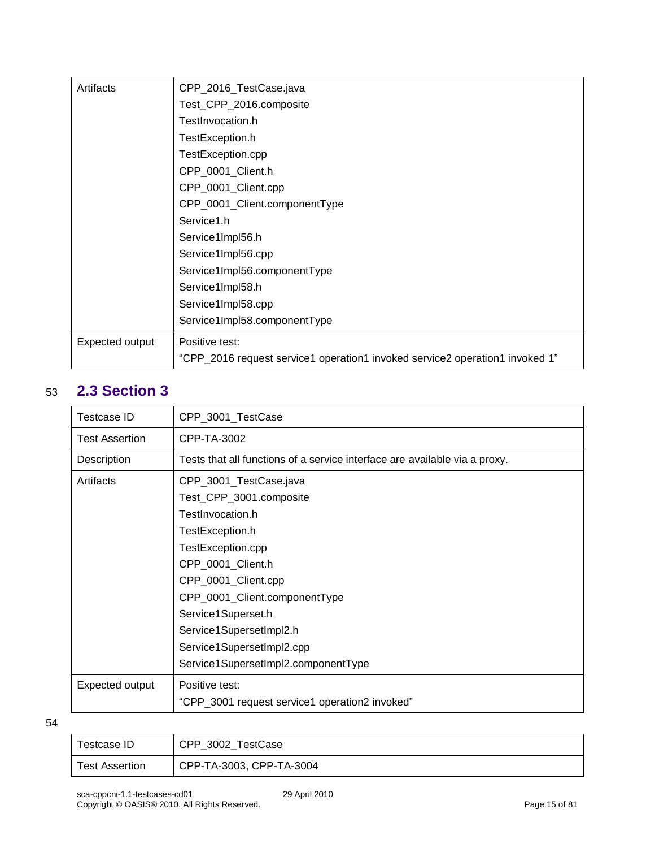| Artifacts       | CPP_2016_TestCase.java                                                       |
|-----------------|------------------------------------------------------------------------------|
|                 | Test_CPP_2016.composite                                                      |
|                 | TestInvocation.h                                                             |
|                 | TestException.h                                                              |
|                 | TestException.cpp                                                            |
|                 | CPP_0001_Client.h                                                            |
|                 | CPP_0001_Client.cpp                                                          |
|                 | CPP_0001_Client.componentType                                                |
|                 | Service1.h                                                                   |
|                 | Service1Impl56.h                                                             |
|                 | Service1Impl56.cpp                                                           |
|                 | Service1Impl56.componentType                                                 |
|                 | Service1Impl58.h                                                             |
|                 | Service1Impl58.cpp                                                           |
|                 | Service1Impl58.componentType                                                 |
| Expected output | Positive test:                                                               |
|                 | "CPP_2016 request service1 operation1 invoked service2 operation1 invoked 1" |

### <span id="page-14-0"></span>53 **2.3 Section 3**

| Testcase ID     | CPP_3001_TestCase                                                          |
|-----------------|----------------------------------------------------------------------------|
| Test Assertion  | CPP-TA-3002                                                                |
| Description     | Tests that all functions of a service interface are available via a proxy. |
| Artifacts       | CPP_3001_TestCase.java                                                     |
|                 | Test_CPP_3001.composite                                                    |
|                 | TestInvocation.h                                                           |
|                 | TestException.h                                                            |
|                 | TestException.cpp                                                          |
|                 | CPP_0001_Client.h                                                          |
|                 | CPP_0001_Client.cpp                                                        |
|                 | CPP_0001_Client.componentType                                              |
|                 | Service1Superset.h                                                         |
|                 | Service1SupersetImpl2.h                                                    |
|                 | Service1SupersetImpl2.cpp                                                  |
|                 | Service1SupersetImpl2.componentType                                        |
| Expected output | Positive test:                                                             |
|                 | "CPP_3001 request service1 operation2 invoked"                             |

| Testcase ID           | CPP_3002_TestCase        |
|-----------------------|--------------------------|
| <b>Test Assertion</b> | CPP-TA-3003, CPP-TA-3004 |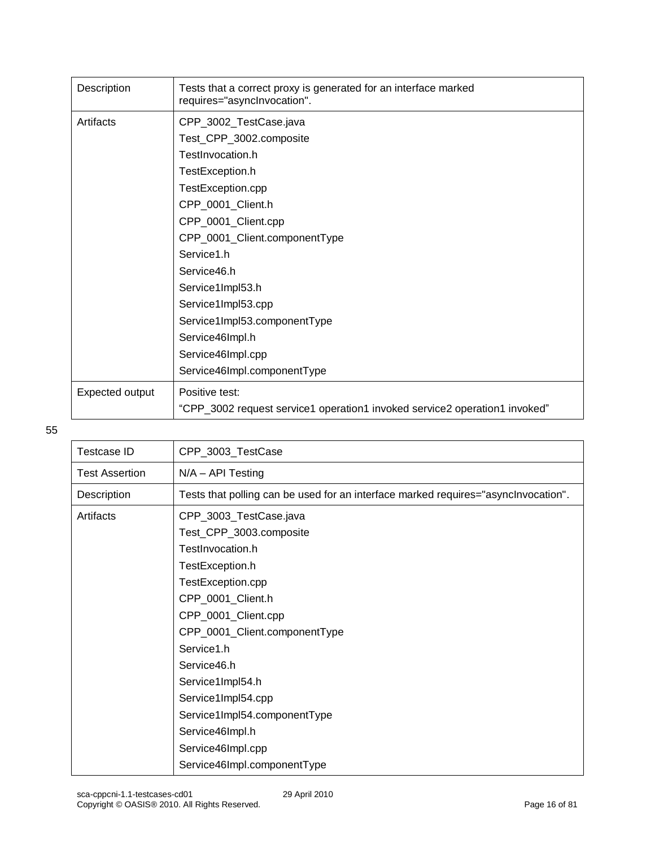| Description     | Tests that a correct proxy is generated for an interface marked<br>requires="asynclnvocation". |
|-----------------|------------------------------------------------------------------------------------------------|
| Artifacts       | CPP_3002_TestCase.java                                                                         |
|                 | Test_CPP_3002.composite                                                                        |
|                 | TestInvocation.h                                                                               |
|                 | TestException.h                                                                                |
|                 | TestException.cpp                                                                              |
|                 | CPP_0001_Client.h                                                                              |
|                 | CPP_0001_Client.cpp                                                                            |
|                 | CPP_0001_Client.componentType                                                                  |
|                 | Service1.h                                                                                     |
|                 | Service46.h                                                                                    |
|                 | Service1Impl53.h                                                                               |
|                 | Service1Impl53.cpp                                                                             |
|                 | Service1Impl53.componentType                                                                   |
|                 | Service46Impl.h                                                                                |
|                 | Service46Impl.cpp                                                                              |
|                 | Service46Impl.componentType                                                                    |
| Expected output | Positive test:                                                                                 |
|                 | "CPP_3002 request service1 operation1 invoked service2 operation1 invoked"                     |

| <b>Testcase ID</b>    | CPP_3003_TestCase                                                                  |
|-----------------------|------------------------------------------------------------------------------------|
| <b>Test Assertion</b> | $N/A - API$ Testing                                                                |
| Description           | Tests that polling can be used for an interface marked requires="asynclnvocation". |
| Artifacts             | CPP_3003_TestCase.java                                                             |
|                       | Test_CPP_3003.composite                                                            |
|                       | TestInvocation.h                                                                   |
|                       | TestException.h                                                                    |
|                       | TestException.cpp                                                                  |
|                       | CPP_0001_Client.h                                                                  |
|                       | CPP_0001_Client.cpp                                                                |
|                       | CPP_0001_Client.componentType                                                      |
|                       | Service1.h                                                                         |
|                       | Service46.h                                                                        |
|                       | Service1Impl54.h                                                                   |
|                       | Service1Impl54.cpp                                                                 |
|                       | Service1Impl54.componentType                                                       |
|                       | Service46Impl.h                                                                    |
|                       | Service46Impl.cpp                                                                  |
|                       | Service46Impl.componentType                                                        |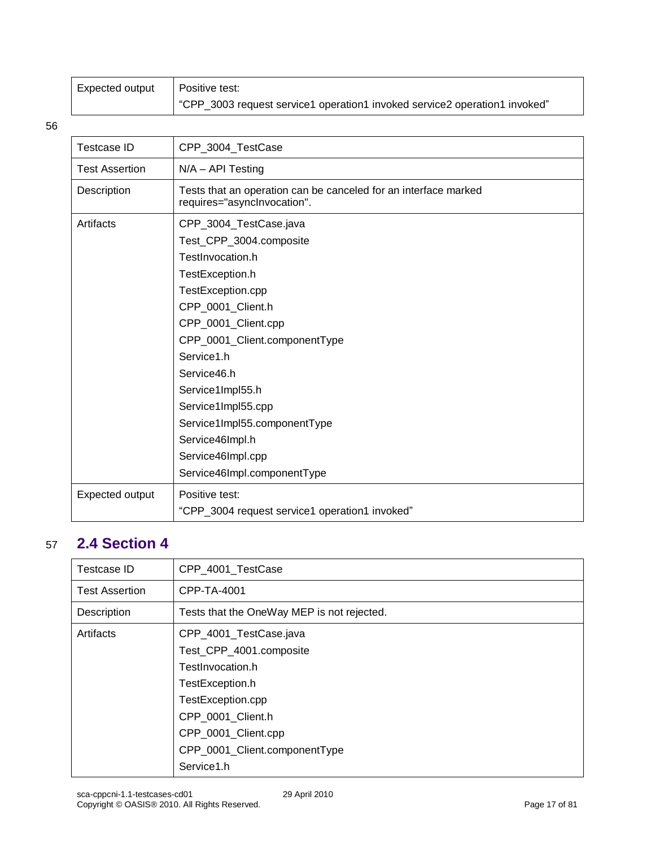| Expected output | Positive test:                                                             |
|-----------------|----------------------------------------------------------------------------|
|                 | "CPP_3003 request service1 operation1 invoked service2 operation1 invoked" |

| Testcase ID           | CPP_3004_TestCase                                                                                                                                                                                                                                                                                                                                                        |
|-----------------------|--------------------------------------------------------------------------------------------------------------------------------------------------------------------------------------------------------------------------------------------------------------------------------------------------------------------------------------------------------------------------|
| <b>Test Assertion</b> | $N/A - API$ Testing                                                                                                                                                                                                                                                                                                                                                      |
| Description           | Tests that an operation can be canceled for an interface marked<br>requires="asynclnvocation".                                                                                                                                                                                                                                                                           |
| Artifacts             | CPP_3004_TestCase.java<br>Test_CPP_3004.composite<br>TestInvocation.h<br>TestException.h<br>TestException.cpp<br>CPP_0001_Client.h<br>CPP_0001_Client.cpp<br>CPP_0001_Client.componentType<br>Service1.h<br>Service46.h<br>Service1Impl55.h<br>Service1Impl55.cpp<br>Service1Impl55.componentType<br>Service46Impl.h<br>Service46Impl.cpp<br>Service46Impl.componentType |
| Expected output       | Positive test:<br>"CPP_3004 request service1 operation1 invoked"                                                                                                                                                                                                                                                                                                         |

### <span id="page-16-0"></span>57 **2.4 Section 4**

| Testcase ID           | CPP 4001 TestCase                          |
|-----------------------|--------------------------------------------|
| <b>Test Assertion</b> | CPP-TA-4001                                |
| Description           | Tests that the OneWay MEP is not rejected. |
| Artifacts             | CPP_4001_TestCase.java                     |
|                       | Test_CPP_4001.composite                    |
|                       | TestInvocation.h                           |
|                       | TestException.h                            |
|                       | TestException.cpp                          |
|                       | CPP 0001 Client.h                          |
|                       | CPP_0001_Client.cpp                        |
|                       | CPP_0001_Client.componentType              |
|                       | Service1.h                                 |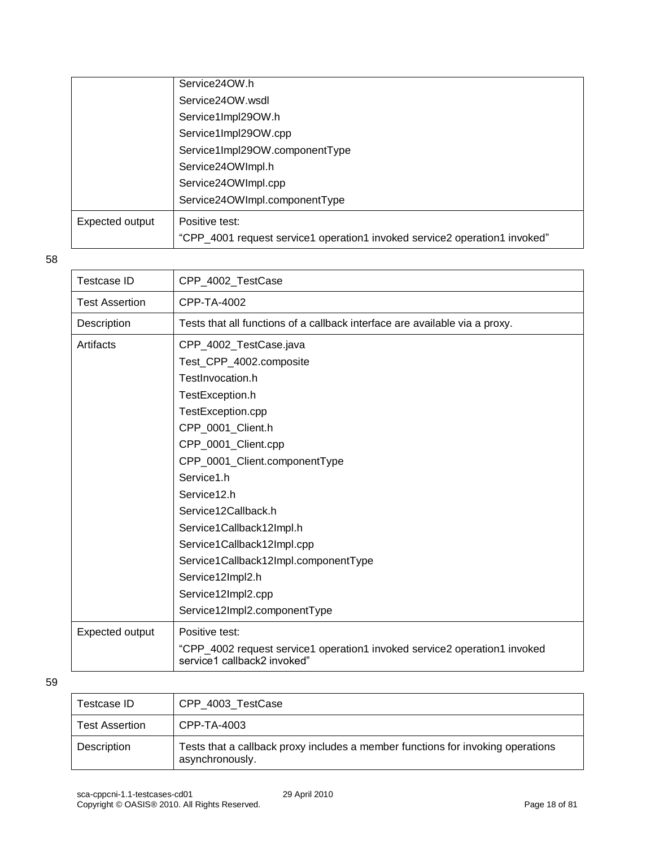|                 | Service24OW.h                                                              |
|-----------------|----------------------------------------------------------------------------|
|                 | Service24OW.wsdl                                                           |
|                 | Service1Impl29OW.h                                                         |
|                 | Service1Impl29OW.cpp                                                       |
|                 | Service1Impl29OW.componentType                                             |
|                 | Service24OWImpl.h                                                          |
|                 | Service24OWImpl.cpp                                                        |
|                 | Service24OWImpl.componentType                                              |
| Expected output | Positive test:                                                             |
|                 | "CPP_4001 request service1 operation1 invoked service2 operation1 invoked" |
|                 |                                                                            |

| Testcase ID           | CPP_4002_TestCase                                                                                        |
|-----------------------|----------------------------------------------------------------------------------------------------------|
| <b>Test Assertion</b> | CPP-TA-4002                                                                                              |
| Description           | Tests that all functions of a callback interface are available via a proxy.                              |
| Artifacts             | CPP_4002_TestCase.java                                                                                   |
|                       | Test_CPP_4002.composite                                                                                  |
|                       | TestInvocation.h                                                                                         |
|                       | TestException.h                                                                                          |
|                       | TestException.cpp                                                                                        |
|                       | CPP_0001_Client.h                                                                                        |
|                       | CPP_0001_Client.cpp                                                                                      |
|                       | CPP_0001_Client.componentType                                                                            |
|                       | Service1.h                                                                                               |
|                       | Service12.h                                                                                              |
|                       | Service12Callback.h                                                                                      |
|                       | Service1Callback12Impl.h                                                                                 |
|                       | Service1Callback12Impl.cpp                                                                               |
|                       | Service1Callback12Impl.componentType                                                                     |
|                       | Service12Impl2.h                                                                                         |
|                       | Service12Impl2.cpp                                                                                       |
|                       | Service12Impl2.componentType                                                                             |
| Expected output       | Positive test:                                                                                           |
|                       | "CPP_4002 request service1 operation1 invoked service2 operation1 invoked<br>service1 callback2 invoked" |

| Testcase ID           | CPP 4003 TestCase                                                                                  |
|-----------------------|----------------------------------------------------------------------------------------------------|
| <b>Test Assertion</b> | CPP-TA-4003                                                                                        |
| Description           | Tests that a callback proxy includes a member functions for invoking operations<br>asynchronously. |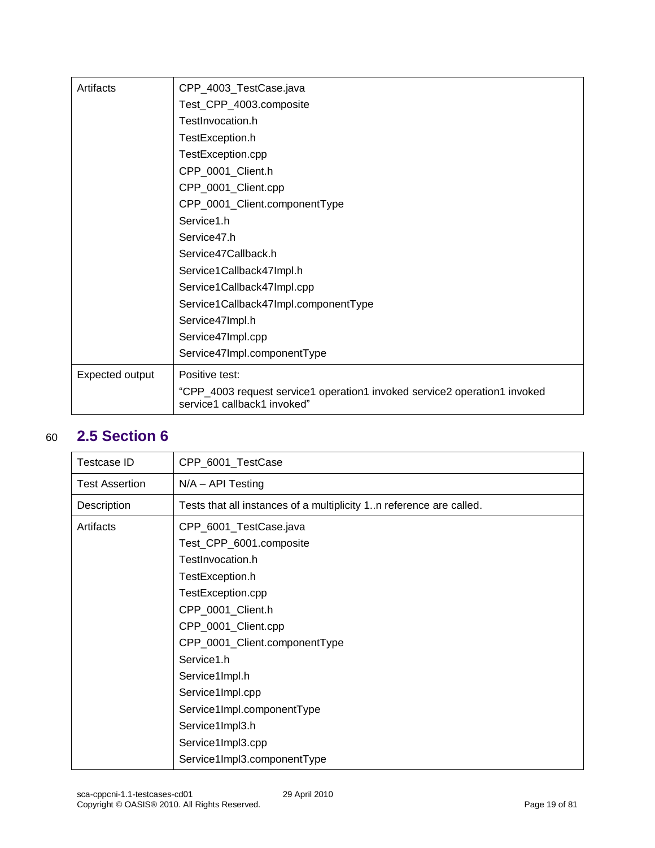| Artifacts       | CPP_4003_TestCase.java                                                                                   |
|-----------------|----------------------------------------------------------------------------------------------------------|
|                 | Test_CPP_4003.composite                                                                                  |
|                 | TestInvocation.h                                                                                         |
|                 | TestException.h                                                                                          |
|                 | TestException.cpp                                                                                        |
|                 | CPP_0001_Client.h                                                                                        |
|                 | CPP_0001_Client.cpp                                                                                      |
|                 | CPP_0001_Client.componentType                                                                            |
|                 | Service1.h                                                                                               |
|                 | Service47.h                                                                                              |
|                 | Service47Callback.h                                                                                      |
|                 | Service1Callback47Impl.h                                                                                 |
|                 | Service1Callback47Impl.cpp                                                                               |
|                 | Service1Callback47Impl.componentType                                                                     |
|                 | Service47Impl.h                                                                                          |
|                 | Service47Impl.cpp                                                                                        |
|                 | Service47Impl.componentType                                                                              |
| Expected output | Positive test:                                                                                           |
|                 | "CPP_4003 request service1 operation1 invoked service2 operation1 invoked<br>service1 callback1 invoked" |

### <span id="page-18-0"></span>60 **2.5 Section 6**

| Testcase ID    | CPP_6001_TestCase                                                   |
|----------------|---------------------------------------------------------------------|
| Test Assertion | N/A - API Testing                                                   |
| Description    | Tests that all instances of a multiplicity 1n reference are called. |
| Artifacts      | CPP_6001_TestCase.java                                              |
|                | Test_CPP_6001.composite                                             |
|                | TestInvocation.h                                                    |
|                | TestException.h                                                     |
|                | TestException.cpp                                                   |
|                | CPP_0001_Client.h                                                   |
|                | CPP_0001_Client.cpp                                                 |
|                | CPP_0001_Client.componentType                                       |
|                | Service1.h                                                          |
|                | Service1Impl.h                                                      |
|                | Service1Impl.cpp                                                    |
|                | Service1Impl.componentType                                          |
|                | Service1Impl3.h                                                     |
|                | Service1Impl3.cpp                                                   |
|                | Service1Impl3.componentType                                         |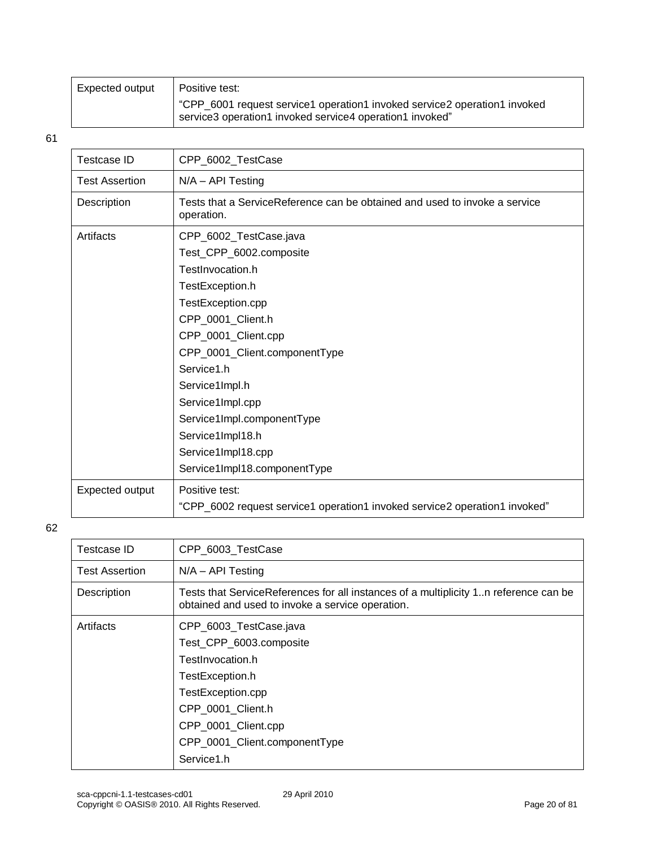| Expected output | Positive test:                                                                                                                        |
|-----------------|---------------------------------------------------------------------------------------------------------------------------------------|
|                 | "CPP_6001 request service1 operation1 invoked service2 operation1 invoked<br>service3 operation1 invoked service4 operation1 invoked" |

| <b>Testcase ID</b>    | CPP_6002_TestCase                                                                                                                                                                                                                                                                                                                                      |
|-----------------------|--------------------------------------------------------------------------------------------------------------------------------------------------------------------------------------------------------------------------------------------------------------------------------------------------------------------------------------------------------|
| <b>Test Assertion</b> | N/A - API Testing                                                                                                                                                                                                                                                                                                                                      |
| Description           | Tests that a ServiceReference can be obtained and used to invoke a service<br>operation.                                                                                                                                                                                                                                                               |
| Artifacts             | CPP_6002_TestCase.java<br>Test_CPP_6002.composite<br>TestInvocation.h<br>TestException.h<br>TestException.cpp<br>CPP_0001_Client.h<br>CPP_0001_Client.cpp<br>CPP_0001_Client.componentType<br>Service1.h<br>Service1Impl.h<br>Service1Impl.cpp<br>Service1Impl.componentType<br>Service1Impl18.h<br>Service1Impl18.cpp<br>Service1Impl18.componentType |
| Expected output       | Positive test:<br>"CPP_6002 request service1 operation1 invoked service2 operation1 invoked"                                                                                                                                                                                                                                                           |

| Testcase ID           | CPP_6003_TestCase                                                                                                                        |
|-----------------------|------------------------------------------------------------------------------------------------------------------------------------------|
| <b>Test Assertion</b> | $N/A - API$ Testing                                                                                                                      |
| Description           | Tests that ServiceReferences for all instances of a multiplicity 1n reference can be<br>obtained and used to invoke a service operation. |
| Artifacts             | CPP_6003_TestCase.java                                                                                                                   |
|                       | Test_CPP_6003.composite                                                                                                                  |
|                       | TestInvocation.h                                                                                                                         |
|                       | TestException.h                                                                                                                          |
|                       | TestException.cpp                                                                                                                        |
|                       | CPP 0001 Client.h                                                                                                                        |
|                       | CPP_0001_Client.cpp                                                                                                                      |
|                       | CPP_0001_Client.componentType                                                                                                            |
|                       | Service1.h                                                                                                                               |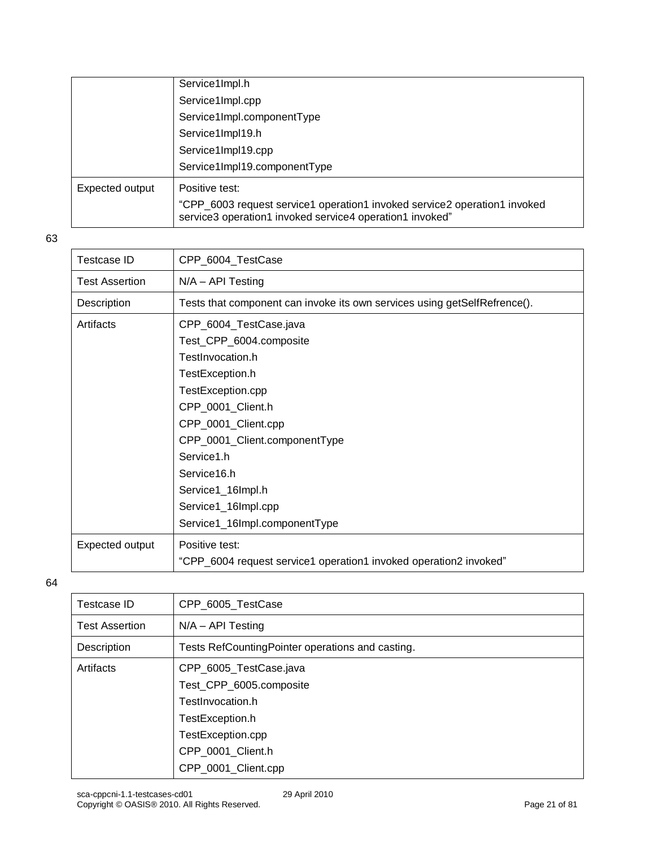|                 | Service1Impl.h                                                                                                                        |
|-----------------|---------------------------------------------------------------------------------------------------------------------------------------|
|                 | Service1Impl.cpp                                                                                                                      |
|                 | Service1Impl.componentType                                                                                                            |
|                 | Service1Impl19.h                                                                                                                      |
|                 | Service1Impl19.cpp                                                                                                                    |
|                 | Service1Impl19.componentType                                                                                                          |
| Expected output | Positive test:                                                                                                                        |
|                 | "CPP_6003 request service1 operation1 invoked service2 operation1 invoked<br>service3 operation1 invoked service4 operation1 invoked" |

| <b>Testcase ID</b>    | CPP 6004 TestCase                                                         |
|-----------------------|---------------------------------------------------------------------------|
| <b>Test Assertion</b> | $N/A - API$ Testing                                                       |
| Description           | Tests that component can invoke its own services using getSelfRefrence(). |
| Artifacts             | CPP_6004_TestCase.java                                                    |
|                       | Test_CPP_6004.composite                                                   |
|                       | TestInvocation.h                                                          |
|                       | TestException.h                                                           |
|                       | TestException.cpp                                                         |
|                       | CPP_0001_Client.h                                                         |
|                       | CPP_0001_Client.cpp                                                       |
|                       | CPP_0001_Client.componentType                                             |
|                       | Service1.h                                                                |
|                       | Service16.h                                                               |
|                       | Service1_16Impl.h                                                         |
|                       | Service1_16Impl.cpp                                                       |
|                       | Service1_16Impl.componentType                                             |
| Expected output       | Positive test:                                                            |
|                       | "CPP_6004 request service1 operation1 invoked operation2 invoked"         |

| Testcase ID           | CPP_6005_TestCase                                                                                                                  |
|-----------------------|------------------------------------------------------------------------------------------------------------------------------------|
| <b>Test Assertion</b> | $N/A - API Testing$                                                                                                                |
| Description           | Tests RefCountingPointer operations and casting.                                                                                   |
| Artifacts             | CPP_6005_TestCase.java<br>Test_CPP_6005.composite<br>TestInvocation.h<br>TestException.h<br>TestException.cpp<br>CPP_0001_Client.h |
|                       | CPP_0001_Client.cpp                                                                                                                |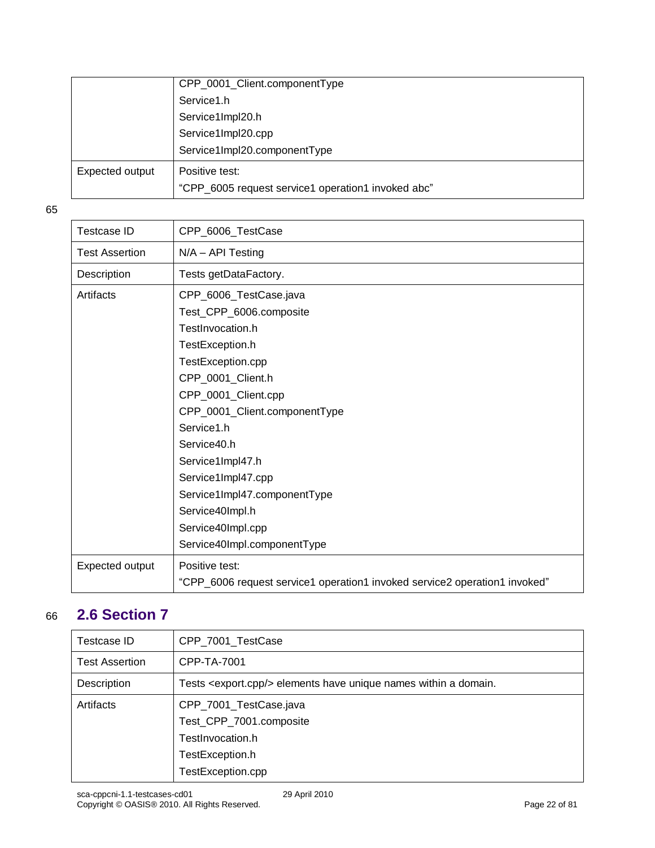|                 | CPP_0001_Client.componentType                      |
|-----------------|----------------------------------------------------|
|                 | Service1.h                                         |
|                 | Service1Impl20.h                                   |
|                 | Service1Impl20.cpp                                 |
|                 | Service1Impl20.componentType                       |
| Expected output | Positive test:                                     |
|                 | "CPP_6005 request service1 operation1 invoked abc" |

| <b>Testcase ID</b>    | CPP_6006_TestCase                                                          |
|-----------------------|----------------------------------------------------------------------------|
| <b>Test Assertion</b> | $N/A - API Testing$                                                        |
| Description           | Tests getDataFactory.                                                      |
| Artifacts             | CPP_6006_TestCase.java                                                     |
|                       | Test_CPP_6006.composite                                                    |
|                       | TestInvocation.h                                                           |
|                       | TestException.h                                                            |
|                       | TestException.cpp                                                          |
|                       | CPP_0001_Client.h                                                          |
|                       | CPP_0001_Client.cpp                                                        |
|                       | CPP_0001_Client.componentType                                              |
|                       | Service1.h                                                                 |
|                       | Service40.h                                                                |
|                       | Service1Impl47.h                                                           |
|                       | Service1Impl47.cpp                                                         |
|                       | Service1Impl47.componentType                                               |
|                       | Service40Impl.h                                                            |
|                       | Service40Impl.cpp                                                          |
|                       | Service40Impl.componentType                                                |
| Expected output       | Positive test:                                                             |
|                       | "CPP_6006 request service1 operation1 invoked service2 operation1 invoked" |

### <span id="page-21-0"></span>66 **2.6 Section 7**

| Testcase ID           | CPP_7001_TestCase                                                           |
|-----------------------|-----------------------------------------------------------------------------|
| <b>Test Assertion</b> | CPP-TA-7001                                                                 |
| Description           | Tests <export.cpp></export.cpp> elements have unique names within a domain. |
| Artifacts             | CPP_7001_TestCase.java                                                      |
|                       | Test_CPP_7001.composite                                                     |
|                       | TestInvocation.h                                                            |
|                       | TestException.h                                                             |
|                       | TestException.cpp                                                           |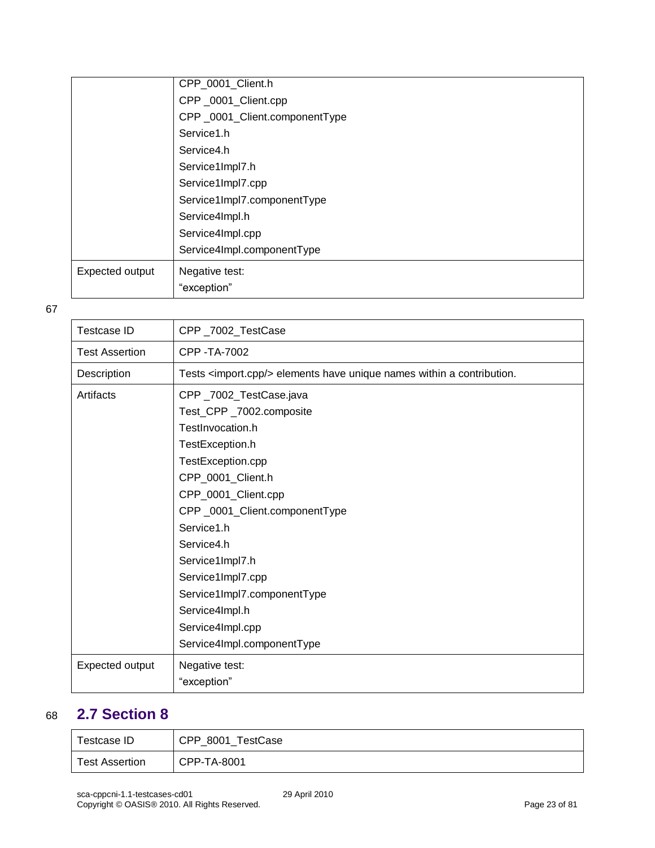|                 | CPP_0001_Client.h             |
|-----------------|-------------------------------|
|                 | CPP_0001_Client.cpp           |
|                 | CPP_0001_Client.componentType |
|                 | Service1.h                    |
|                 | Service4.h                    |
|                 | Service1Impl7.h               |
|                 | Service1Impl7.cpp             |
|                 | Service1Impl7.componentType   |
|                 | Service4Impl.h                |
|                 | Service4Impl.cpp              |
|                 | Service4Impl.componentType    |
| Expected output | Negative test:                |
|                 | "exception"                   |

| Testcase ID           | CPP_7002_TestCase                                                                                                                                                                                                                                                                                                                                                 |
|-----------------------|-------------------------------------------------------------------------------------------------------------------------------------------------------------------------------------------------------------------------------------------------------------------------------------------------------------------------------------------------------------------|
| <b>Test Assertion</b> | CPP - TA-7002                                                                                                                                                                                                                                                                                                                                                     |
| Description           | Tests <import.cpp></import.cpp> elements have unique names within a contribution.                                                                                                                                                                                                                                                                                 |
| Artifacts             | CPP_7002_TestCase.java<br>Test_CPP_7002.composite<br>TestInvocation.h<br>TestException.h<br>TestException.cpp<br>CPP_0001_Client.h<br>CPP_0001_Client.cpp<br>CPP_0001_Client.componentType<br>Service1.h<br>Service4.h<br>Service1Impl7.h<br>Service1Impl7.cpp<br>Service1Impl7.componentType<br>Service4Impl.h<br>Service4Impl.cpp<br>Service4Impl.componentType |
| Expected output       | Negative test:<br>"exception"                                                                                                                                                                                                                                                                                                                                     |

### <span id="page-22-0"></span>68 **2.7 Section 8**

| $\tau$ estcase ID | CPP_8001_TestCase |
|-------------------|-------------------|
| Test Assertion    | CPP-TA-8001       |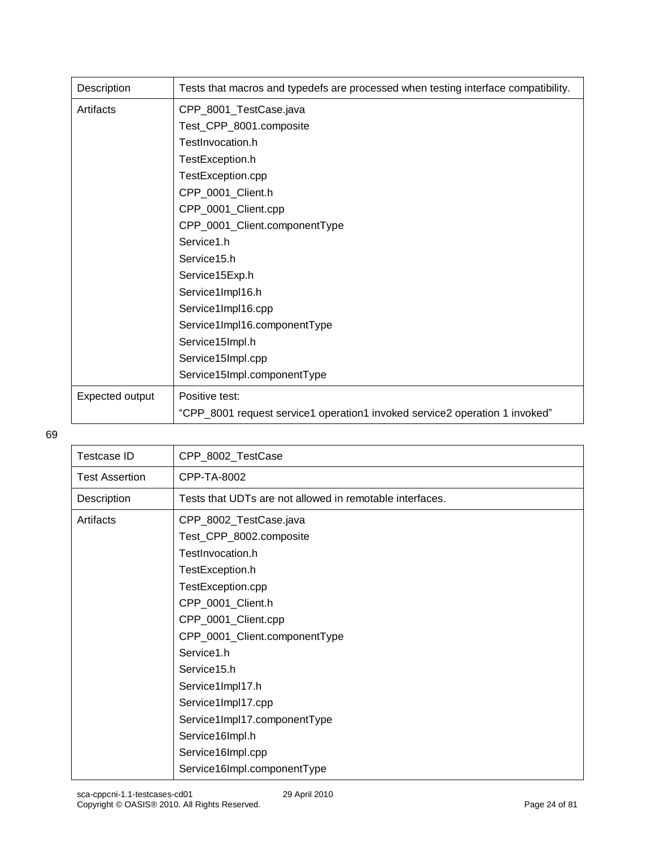| Description     | Tests that macros and typedefs are processed when testing interface compatibility. |
|-----------------|------------------------------------------------------------------------------------|
| Artifacts       | CPP_8001_TestCase.java                                                             |
|                 | Test_CPP_8001.composite                                                            |
|                 | TestInvocation.h                                                                   |
|                 | TestException.h                                                                    |
|                 | TestException.cpp                                                                  |
|                 | CPP_0001_Client.h                                                                  |
|                 | CPP_0001_Client.cpp                                                                |
|                 | CPP_0001_Client.componentType                                                      |
|                 | Service1.h                                                                         |
|                 | Service15.h                                                                        |
|                 | Service15Exp.h                                                                     |
|                 | Service1Impl16.h                                                                   |
|                 | Service1Impl16.cpp                                                                 |
|                 | Service1Impl16.componentType                                                       |
|                 | Service15Impl.h                                                                    |
|                 | Service15Impl.cpp                                                                  |
|                 | Service15Impl.componentType                                                        |
| Expected output | Positive test:                                                                     |
|                 | "CPP_8001 request service1 operation1 invoked service2 operation 1 invoked"        |

| CPP_8002_TestCase                                        |
|----------------------------------------------------------|
| CPP-TA-8002                                              |
| Tests that UDTs are not allowed in remotable interfaces. |
| CPP_8002_TestCase.java                                   |
| Test_CPP_8002.composite                                  |
| TestInvocation.h                                         |
| TestException.h                                          |
| TestException.cpp                                        |
| CPP_0001_Client.h                                        |
| CPP_0001_Client.cpp                                      |
| CPP_0001_Client.componentType                            |
| Service1.h                                               |
| Service15.h                                              |
| Service1Impl17.h                                         |
| Service1Impl17.cpp                                       |
| Service1Impl17.componentType                             |
| Service16Impl.h                                          |
| Service16Impl.cpp                                        |
| Service16Impl.componentType                              |
|                                                          |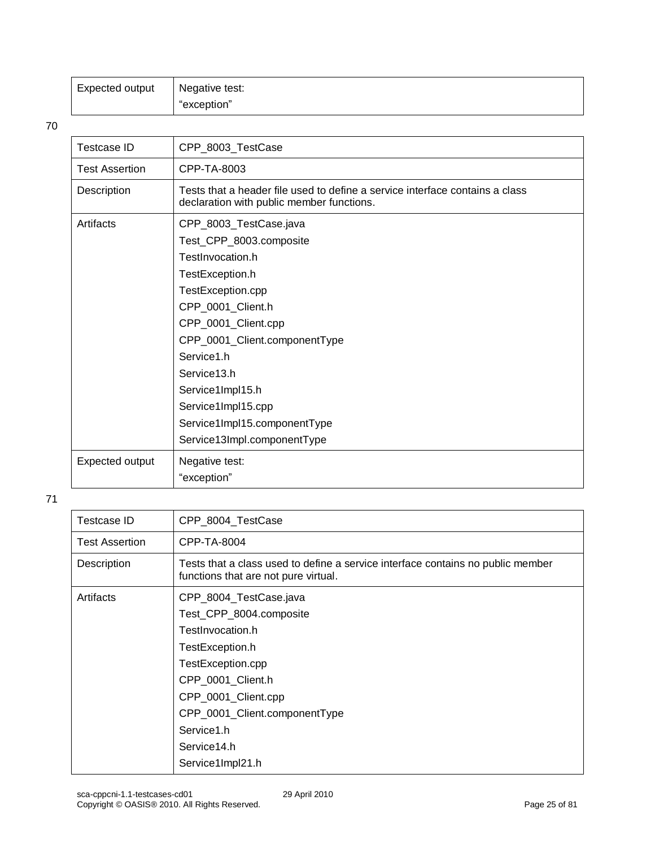| Expected output | Negative test: |
|-----------------|----------------|
|                 | "exception"    |

| <b>Testcase ID</b>    | CPP_8003_TestCase                                                                                                                                                                                                                                                                                                                |
|-----------------------|----------------------------------------------------------------------------------------------------------------------------------------------------------------------------------------------------------------------------------------------------------------------------------------------------------------------------------|
| <b>Test Assertion</b> | CPP-TA-8003                                                                                                                                                                                                                                                                                                                      |
| Description           | Tests that a header file used to define a service interface contains a class<br>declaration with public member functions.                                                                                                                                                                                                        |
| Artifacts             | CPP_8003_TestCase.java<br>Test_CPP_8003.composite<br>TestInvocation.h<br>TestException.h<br>TestException.cpp<br>CPP_0001_Client.h<br>CPP_0001_Client.cpp<br>CPP_0001_Client.componentType<br>Service1.h<br>Service13.h<br>Service1Impl15.h<br>Service1Impl15.cpp<br>Service1Impl15.componentType<br>Service13Impl.componentType |
| Expected output       | Negative test:                                                                                                                                                                                                                                                                                                                   |
|                       | "exception"                                                                                                                                                                                                                                                                                                                      |

| Testcase ID           | CPP_8004_TestCase                                                                                                       |
|-----------------------|-------------------------------------------------------------------------------------------------------------------------|
| <b>Test Assertion</b> | CPP-TA-8004                                                                                                             |
| Description           | Tests that a class used to define a service interface contains no public member<br>functions that are not pure virtual. |
| Artifacts             | CPP_8004_TestCase.java                                                                                                  |
|                       | Test_CPP_8004.composite                                                                                                 |
|                       | TestInvocation.h                                                                                                        |
|                       | TestException.h                                                                                                         |
|                       | TestException.cpp                                                                                                       |
|                       | CPP_0001_Client.h                                                                                                       |
|                       | CPP_0001_Client.cpp                                                                                                     |
|                       | CPP_0001_Client.componentType                                                                                           |
|                       | Service1.h                                                                                                              |
|                       | Service14.h                                                                                                             |
|                       | Service1Impl21.h                                                                                                        |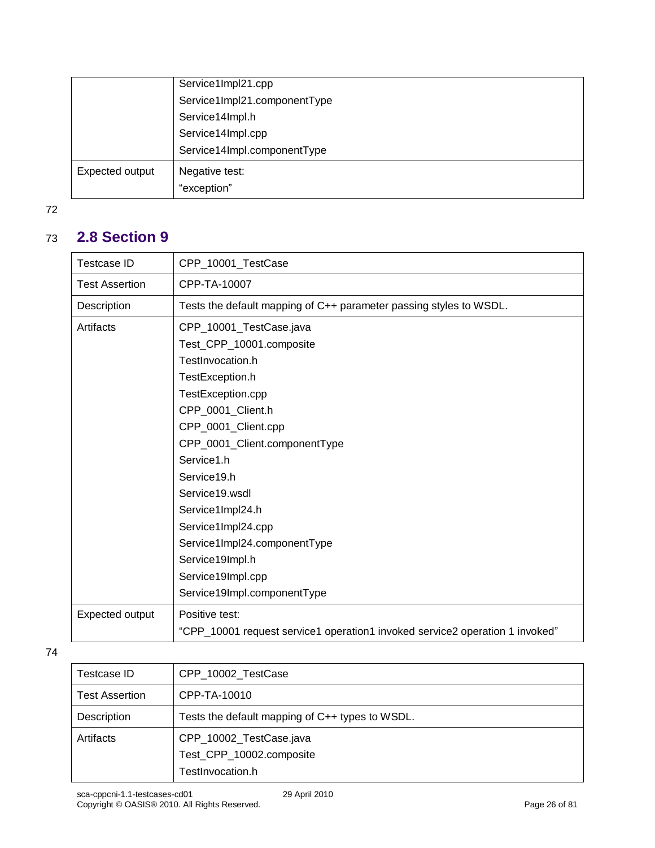|                 | Service1Impl21.cpp           |
|-----------------|------------------------------|
|                 | Service1Impl21.componentType |
|                 | Service14Impl.h              |
|                 | Service14Impl.cpp            |
|                 | Service14Impl.componentType  |
| Expected output | Negative test:               |
|                 | "exception"                  |

### 73 **2.8 Section 9**

<span id="page-25-0"></span>

| <b>Testcase ID</b>    | CPP_10001_TestCase                                                           |
|-----------------------|------------------------------------------------------------------------------|
| <b>Test Assertion</b> | CPP-TA-10007                                                                 |
| Description           | Tests the default mapping of C++ parameter passing styles to WSDL.           |
| Artifacts             | CPP_10001_TestCase.java                                                      |
|                       | Test_CPP_10001.composite                                                     |
|                       | TestInvocation.h                                                             |
|                       | TestException.h                                                              |
|                       | TestException.cpp                                                            |
|                       | CPP 0001 Client.h                                                            |
|                       | CPP_0001_Client.cpp                                                          |
|                       | CPP_0001_Client.componentType                                                |
|                       | Service1.h                                                                   |
|                       | Service19.h                                                                  |
|                       | Service19.wsdl                                                               |
|                       | Service1Impl24.h                                                             |
|                       | Service1Impl24.cpp                                                           |
|                       | Service1Impl24.componentType                                                 |
|                       | Service19Impl.h                                                              |
|                       | Service19Impl.cpp                                                            |
|                       | Service19Impl.componentType                                                  |
| Expected output       | Positive test:                                                               |
|                       | "CPP_10001 request service1 operation1 invoked service2 operation 1 invoked" |

| Testcase ID           | CPP 10002 TestCase                              |
|-----------------------|-------------------------------------------------|
| <b>Test Assertion</b> | CPP-TA-10010                                    |
| Description           | Tests the default mapping of C++ types to WSDL. |
| Artifacts             | CPP_10002_TestCase.java                         |
|                       | Test_CPP_10002.composite                        |
|                       | TestInvocation.h                                |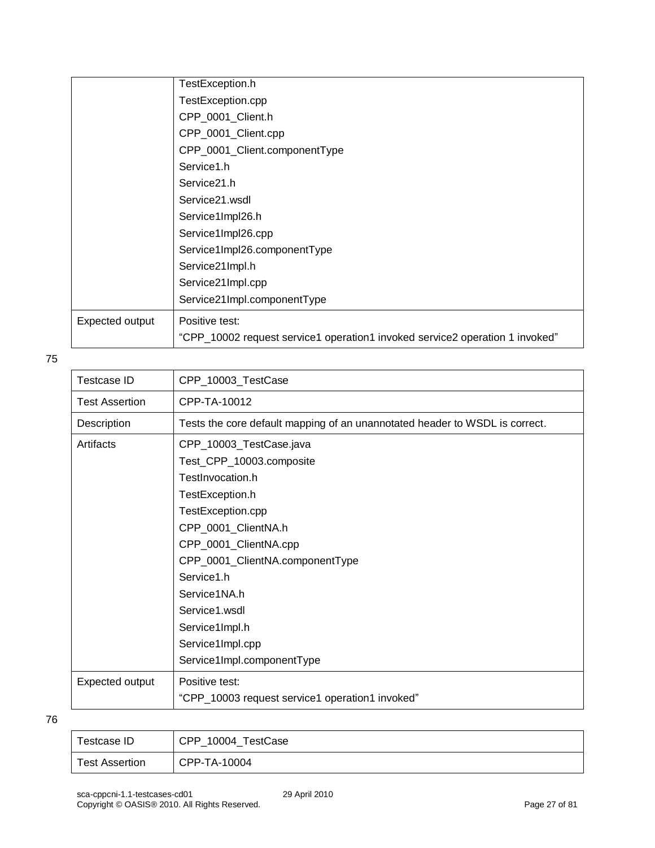|                 | TestException.h                                                              |
|-----------------|------------------------------------------------------------------------------|
|                 | TestException.cpp                                                            |
|                 | CPP_0001_Client.h                                                            |
|                 | CPP_0001_Client.cpp                                                          |
|                 | CPP_0001_Client.componentType                                                |
|                 | Service1.h                                                                   |
|                 | Service <sub>21.h</sub>                                                      |
|                 | Service21.wsdl                                                               |
|                 | Service1Impl26.h                                                             |
|                 | Service1Impl26.cpp                                                           |
|                 | Service1Impl26.componentType                                                 |
|                 | Service21Impl.h                                                              |
|                 | Service21Impl.cpp                                                            |
|                 | Service21Impl.componentType                                                  |
| Expected output | Positive test:                                                               |
|                 | "CPP_10002 request service1 operation1 invoked service2 operation 1 invoked" |

| Testcase ID    | CPP_10004_TestCase |
|----------------|--------------------|
| Test Assertion | CPP-TA-10004       |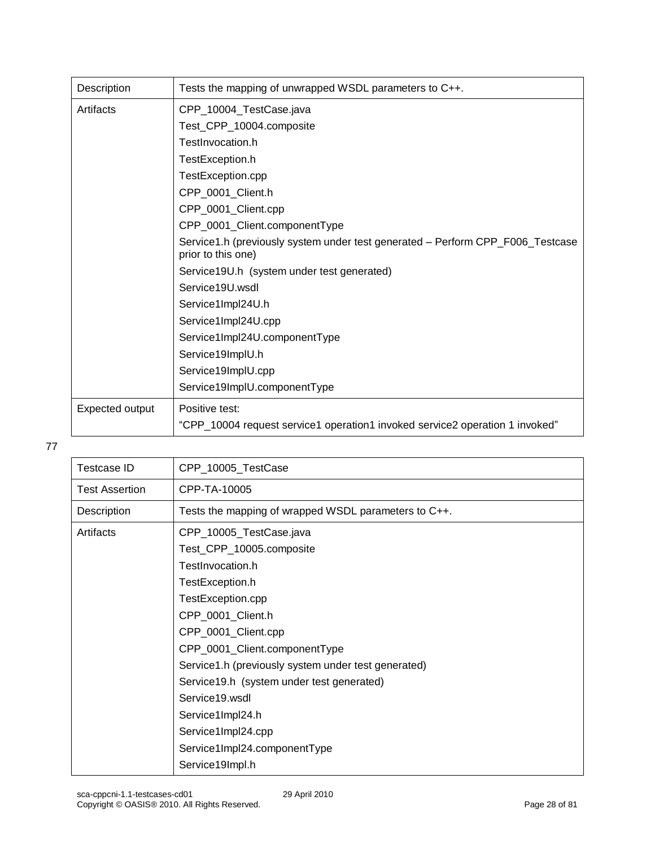| Description     | Tests the mapping of unwrapped WSDL parameters to C++.                                               |
|-----------------|------------------------------------------------------------------------------------------------------|
| Artifacts       | CPP_10004_TestCase.java                                                                              |
|                 | Test_CPP_10004.composite                                                                             |
|                 | TestInvocation.h                                                                                     |
|                 | TestException.h                                                                                      |
|                 | TestException.cpp                                                                                    |
|                 | CPP_0001_Client.h                                                                                    |
|                 | CPP_0001_Client.cpp                                                                                  |
|                 | CPP_0001_Client.componentType                                                                        |
|                 | Service1.h (previously system under test generated - Perform CPP_F006_Testcase<br>prior to this one) |
|                 | Service19U.h (system under test generated)                                                           |
|                 | Service19U.wsdl                                                                                      |
|                 | Service1Impl24U.h                                                                                    |
|                 | Service1Impl24U.cpp                                                                                  |
|                 | Service1Impl24U.componentType                                                                        |
|                 | Service19ImpIU.h                                                                                     |
|                 | Service19ImplU.cpp                                                                                   |
|                 | Service19ImplU.componentType                                                                         |
| Expected output | Positive test:                                                                                       |
|                 | "CPP_10004 request service1 operation1 invoked service2 operation 1 invoked"                         |

| Testcase ID           | CPP_10005_TestCase                                   |
|-----------------------|------------------------------------------------------|
| <b>Test Assertion</b> | CPP-TA-10005                                         |
| Description           | Tests the mapping of wrapped WSDL parameters to C++. |
| Artifacts             | CPP_10005_TestCase.java                              |
|                       | Test_CPP_10005.composite                             |
|                       | TestInvocation.h                                     |
|                       | TestException.h                                      |
|                       | TestException.cpp                                    |
|                       | CPP_0001_Client.h                                    |
|                       | CPP_0001_Client.cpp                                  |
|                       | CPP_0001_Client.componentType                        |
|                       | Service1.h (previously system under test generated)  |
|                       | Service19.h (system under test generated)            |
|                       | Service19.wsdl                                       |
|                       | Service1Impl24.h                                     |
|                       | Service1Impl24.cpp                                   |
|                       | Service1Impl24.componentType                         |
|                       | Service19Impl.h                                      |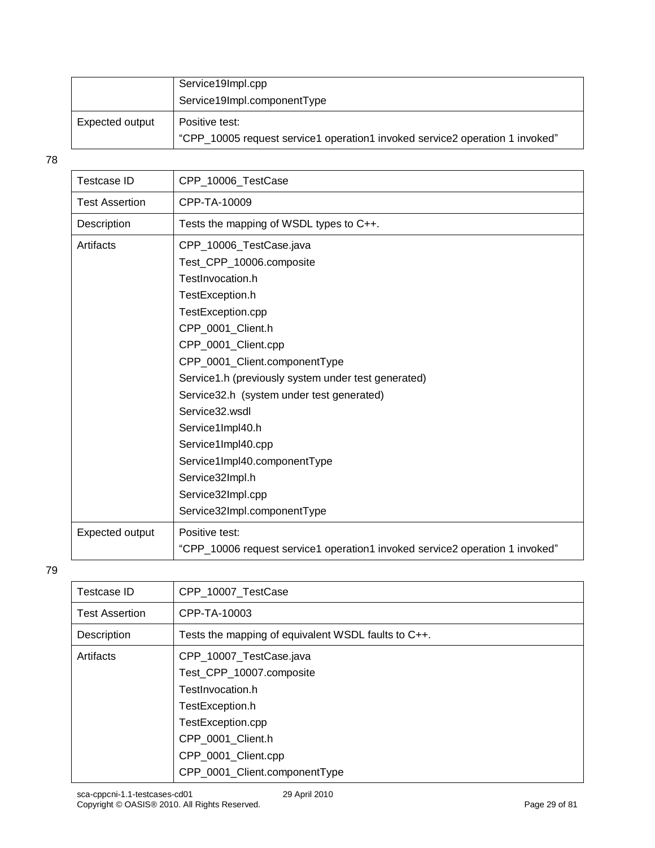|                 | Service19Impl.cpp                                                                              |
|-----------------|------------------------------------------------------------------------------------------------|
|                 | Service19Impl.componentType                                                                    |
| Expected output | Positive test:<br>"CPP 10005 request service1 operation1 invoked service2 operation 1 invoked" |

| <b>Testcase ID</b>    | CPP_10006_TestCase                                                           |
|-----------------------|------------------------------------------------------------------------------|
| <b>Test Assertion</b> | CPP-TA-10009                                                                 |
| Description           | Tests the mapping of WSDL types to C++.                                      |
| Artifacts             | CPP_10006_TestCase.java                                                      |
|                       | Test_CPP_10006.composite                                                     |
|                       | TestInvocation.h                                                             |
|                       | TestException.h                                                              |
|                       | TestException.cpp                                                            |
|                       | CPP 0001 Client.h                                                            |
|                       | CPP 0001 Client.cpp                                                          |
|                       | CPP 0001 Client.componentType                                                |
|                       | Service1.h (previously system under test generated)                          |
|                       | Service32.h (system under test generated)                                    |
|                       | Service32.wsdl                                                               |
|                       | Service1Impl40.h                                                             |
|                       | Service1Impl40.cpp                                                           |
|                       | Service1Impl40.componentType                                                 |
|                       | Service32Impl.h                                                              |
|                       | Service32Impl.cpp                                                            |
|                       | Service32Impl.componentType                                                  |
| Expected output       | Positive test:                                                               |
|                       | "CPP_10006 request service1 operation1 invoked service2 operation 1 invoked" |

| Testcase ID           | CPP_10007_TestCase                                  |
|-----------------------|-----------------------------------------------------|
| <b>Test Assertion</b> | CPP-TA-10003                                        |
| Description           | Tests the mapping of equivalent WSDL faults to C++. |
| Artifacts             | CPP_10007_TestCase.java                             |
|                       | Test_CPP_10007.composite                            |
|                       | TestInvocation.h                                    |
|                       | TestException.h                                     |
|                       | TestException.cpp                                   |
|                       | CPP 0001 Client.h                                   |
|                       | CPP_0001_Client.cpp                                 |
|                       | CPP_0001_Client.componentType                       |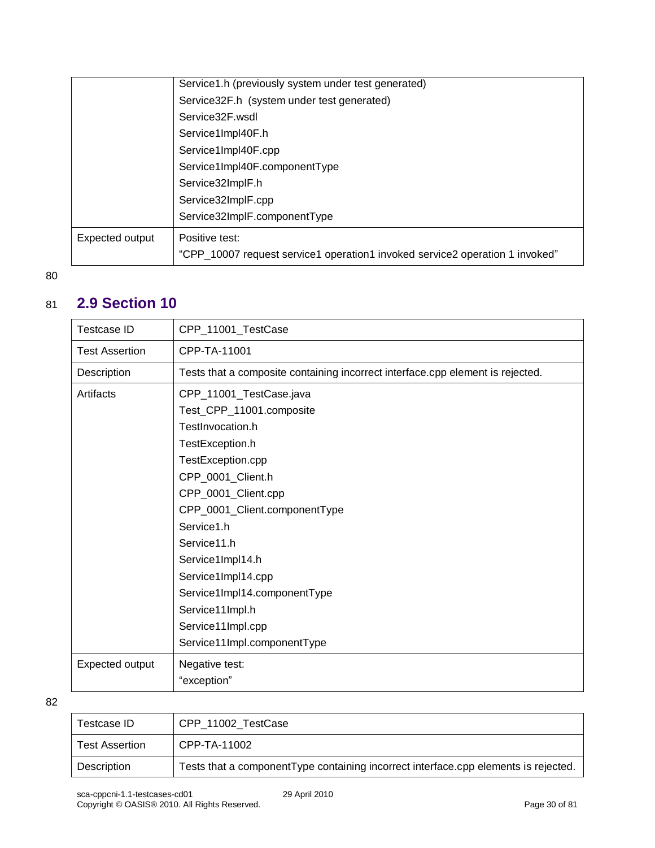| Expected output | Positive test:<br>"CPP_10007 request service1 operation1 invoked service2 operation 1 invoked"                                                                                                                                                                              |
|-----------------|-----------------------------------------------------------------------------------------------------------------------------------------------------------------------------------------------------------------------------------------------------------------------------|
|                 | Service1.h (previously system under test generated)<br>Service32F.h (system under test generated)<br>Service32F wsdl<br>Service1Impl40F.h<br>Service1Impl40F.cpp<br>Service1Impl40F.componentType<br>Service32ImplF.h<br>Service32ImplF.cpp<br>Service32ImplF.componentType |

### <span id="page-29-0"></span>81 **2.9 Section 10**

| <b>Testcase ID</b>    | CPP_11001_TestCase                                                             |
|-----------------------|--------------------------------------------------------------------------------|
| <b>Test Assertion</b> | CPP-TA-11001                                                                   |
| Description           | Tests that a composite containing incorrect interface.cpp element is rejected. |
| Artifacts             | CPP_11001_TestCase.java                                                        |
|                       | Test_CPP_11001.composite                                                       |
|                       | TestInvocation.h                                                               |
|                       | TestException.h                                                                |
|                       | TestException.cpp                                                              |
|                       | CPP_0001_Client.h                                                              |
|                       | CPP_0001_Client.cpp                                                            |
|                       | CPP_0001_Client.componentType                                                  |
|                       | Service1.h                                                                     |
|                       | Service11.h                                                                    |
|                       | Service1Impl14.h                                                               |
|                       | Service1Impl14.cpp                                                             |
|                       | Service1Impl14.componentType                                                   |
|                       | Service11Impl.h                                                                |
|                       | Service11Impl.cpp                                                              |
|                       | Service11Impl.componentType                                                    |
| Expected output       | Negative test:                                                                 |
|                       | "exception"                                                                    |

| Testcase ID           | CPP_11002_TestCase                                                                  |
|-----------------------|-------------------------------------------------------------------------------------|
| <b>Test Assertion</b> | CPP-TA-11002                                                                        |
| Description           | Tests that a componentType containing incorrect interface.cpp elements is rejected. |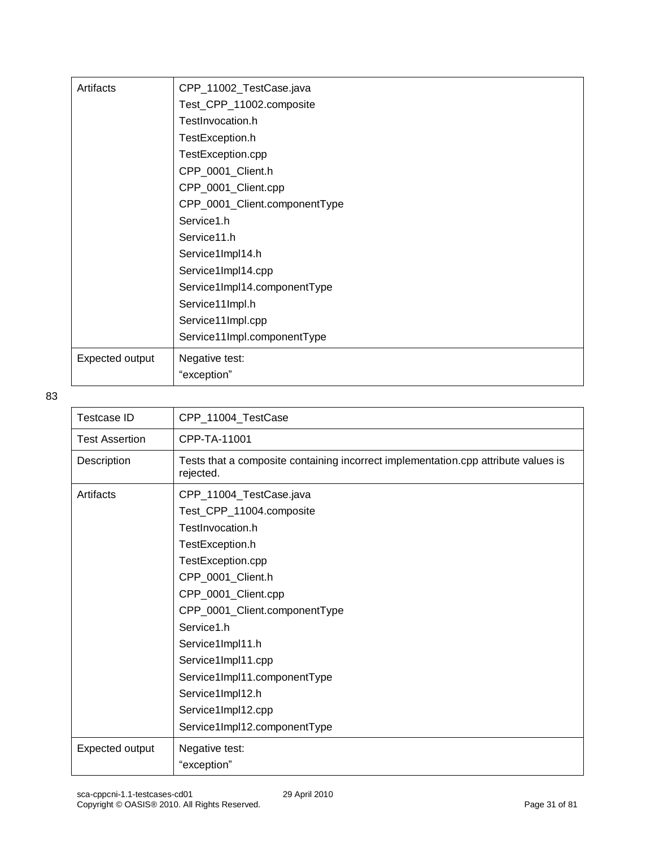| Artifacts       | CPP_11002_TestCase.java       |
|-----------------|-------------------------------|
|                 | Test_CPP_11002.composite      |
|                 | TestInvocation.h              |
|                 | TestException.h               |
|                 | TestException.cpp             |
|                 | CPP_0001_Client.h             |
|                 | CPP_0001_Client.cpp           |
|                 | CPP_0001_Client.componentType |
|                 | Service1.h                    |
|                 | Service11.h                   |
|                 | Service1Impl14.h              |
|                 | Service1Impl14.cpp            |
|                 | Service1Impl14.componentType  |
|                 | Service11Impl.h               |
|                 | Service11Impl.cpp             |
|                 | Service11Impl.componentType   |
| Expected output | Negative test:                |
|                 | "exception"                   |

| Testcase ID           | CPP_11004_TestCase                                                                              |
|-----------------------|-------------------------------------------------------------------------------------------------|
| <b>Test Assertion</b> | CPP-TA-11001                                                                                    |
| Description           | Tests that a composite containing incorrect implementation.cpp attribute values is<br>rejected. |
| Artifacts             | CPP_11004_TestCase.java                                                                         |
|                       | Test_CPP_11004.composite                                                                        |
|                       | TestInvocation.h                                                                                |
|                       | TestException.h                                                                                 |
|                       | TestException.cpp                                                                               |
|                       | CPP_0001_Client.h                                                                               |
|                       | CPP_0001_Client.cpp                                                                             |
|                       | CPP_0001_Client.componentType                                                                   |
|                       | Service1.h                                                                                      |
|                       | Service1Impl11.h                                                                                |
|                       | Service1Impl11.cpp                                                                              |
|                       | Service1Impl11.componentType                                                                    |
|                       | Service1Impl12.h                                                                                |
|                       | Service1Impl12.cpp                                                                              |
|                       | Service1Impl12.componentType                                                                    |
| Expected output       | Negative test:                                                                                  |
|                       | "exception"                                                                                     |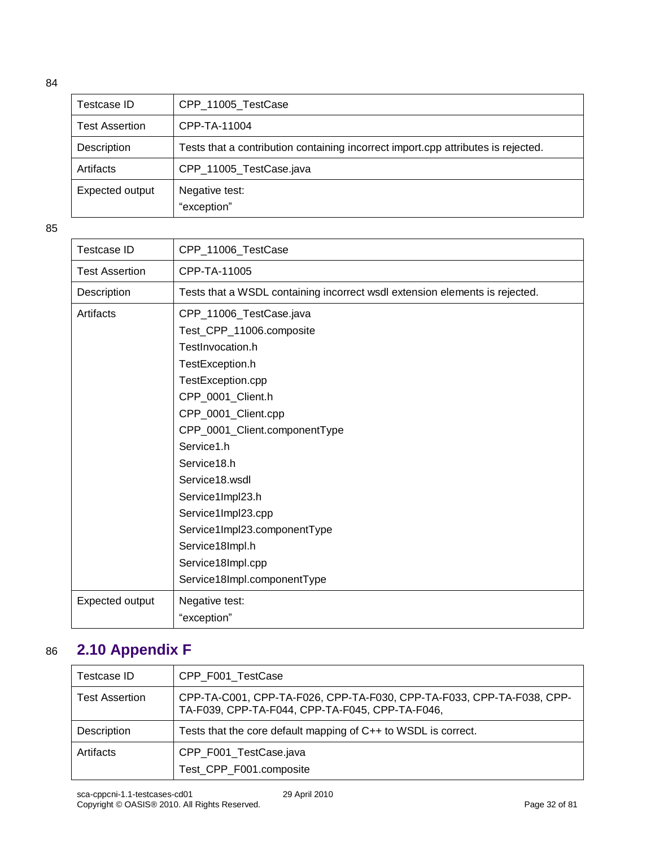| Testcase ID           | CPP_11005_TestCase                                                                |
|-----------------------|-----------------------------------------------------------------------------------|
| <b>Test Assertion</b> | CPP-TA-11004                                                                      |
| Description           | Tests that a contribution containing incorrect import.cpp attributes is rejected. |
| Artifacts             | CPP_11005_TestCase.java                                                           |
| Expected output       | Negative test:<br>"exception"                                                     |

85

| Testcase ID           | CPP_11006_TestCase                                                          |
|-----------------------|-----------------------------------------------------------------------------|
| <b>Test Assertion</b> | CPP-TA-11005                                                                |
| Description           | Tests that a WSDL containing incorrect wsdl extension elements is rejected. |
| Artifacts             | CPP_11006_TestCase.java                                                     |
|                       | Test_CPP_11006.composite                                                    |
|                       | TestInvocation.h                                                            |
|                       | TestException.h                                                             |
|                       | TestException.cpp                                                           |
|                       | CPP_0001_Client.h                                                           |
|                       | CPP_0001_Client.cpp                                                         |
|                       | CPP_0001_Client.componentType                                               |
|                       | Service1.h                                                                  |
|                       | Service18.h                                                                 |
|                       | Service18.wsdl                                                              |
|                       | Service1Impl23.h                                                            |
|                       | Service1Impl23.cpp                                                          |
|                       | Service1Impl23.componentType                                                |
|                       | Service18Impl.h                                                             |
|                       | Service18Impl.cpp                                                           |
|                       | Service18Impl.componentType                                                 |
| Expected output       | Negative test:                                                              |
|                       | "exception"                                                                 |

### <span id="page-31-0"></span>86 **2.10 Appendix F**

| Testcase ID           | CPP_F001_TestCase                                                                                                        |
|-----------------------|--------------------------------------------------------------------------------------------------------------------------|
| <b>Test Assertion</b> | CPP-TA-C001, CPP-TA-F026, CPP-TA-F030, CPP-TA-F033, CPP-TA-F038, CPP-<br>TA-F039, CPP-TA-F044, CPP-TA-F045, CPP-TA-F046, |
| Description           | Tests that the core default mapping of C++ to WSDL is correct.                                                           |
| Artifacts             | CPP_F001_TestCase.java<br>Test_CPP_F001.composite                                                                        |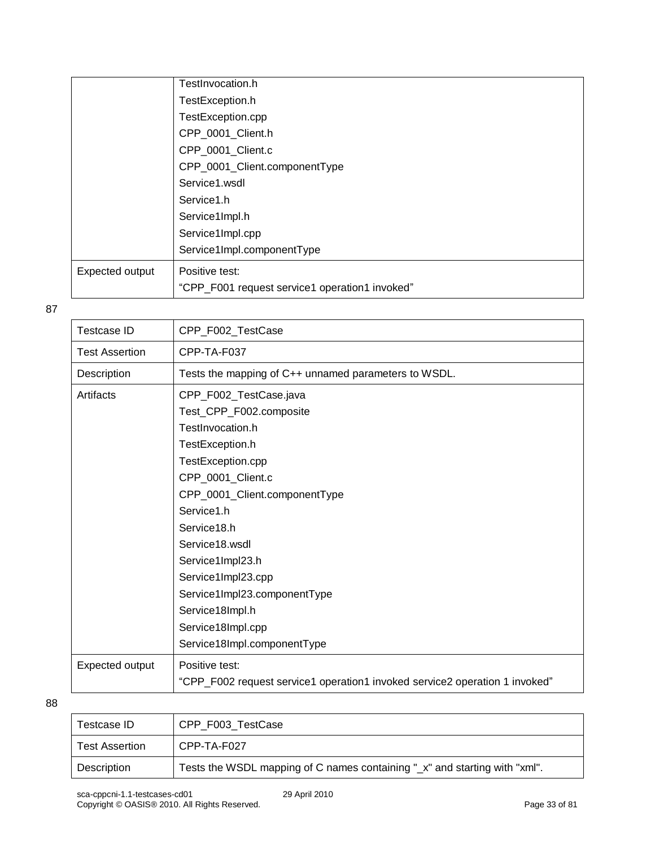|                 | TestInvocation.h                               |
|-----------------|------------------------------------------------|
|                 | TestException.h                                |
|                 | TestException.cpp                              |
|                 | CPP_0001_Client.h                              |
|                 | CPP_0001_Client.c                              |
|                 | CPP_0001_Client.componentType                  |
|                 | Service1.wsdl                                  |
|                 | Service1.h                                     |
|                 | Service1Impl.h                                 |
|                 | Service1Impl.cpp                               |
|                 | Service1Impl.componentType                     |
| Expected output | Positive test:                                 |
|                 | "CPP_F001 request service1 operation1 invoked" |

| <b>Testcase ID</b>    | CPP_F002_TestCase                                                           |
|-----------------------|-----------------------------------------------------------------------------|
| <b>Test Assertion</b> | CPP-TA-F037                                                                 |
| Description           | Tests the mapping of C++ unnamed parameters to WSDL.                        |
| Artifacts             | CPP_F002_TestCase.java                                                      |
|                       | Test_CPP_F002.composite                                                     |
|                       | TestInvocation.h                                                            |
|                       | TestException.h                                                             |
|                       | TestException.cpp                                                           |
|                       | CPP_0001_Client.c                                                           |
|                       | CPP_0001_Client.componentType                                               |
|                       | Service1.h                                                                  |
|                       | Service18.h                                                                 |
|                       | Service18.wsdl                                                              |
|                       | Service1Impl23.h                                                            |
|                       | Service1Impl23.cpp                                                          |
|                       | Service1Impl23.componentType                                                |
|                       | Service18Impl.h                                                             |
|                       | Service18Impl.cpp                                                           |
|                       | Service18Impl.componentType                                                 |
| Expected output       | Positive test:                                                              |
|                       | "CPP_F002 request service1 operation1 invoked service2 operation 1 invoked" |
|                       |                                                                             |

| Testcase ID           | CPP_F003_TestCase                                                          |
|-----------------------|----------------------------------------------------------------------------|
| <b>Test Assertion</b> | CPP-TA-F027                                                                |
| Description           | Tests the WSDL mapping of C names containing "_x" and starting with "xml". |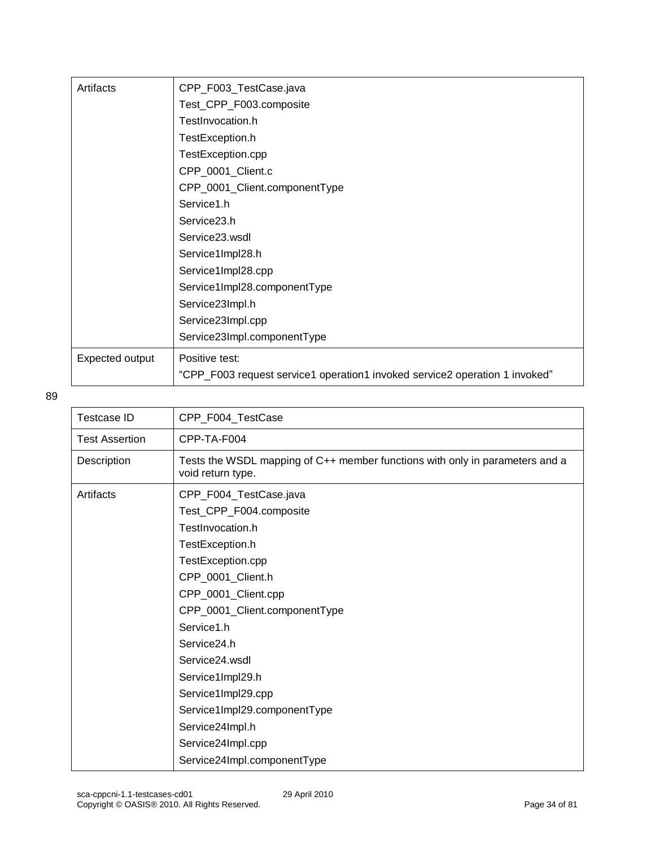| Artifacts       | CPP_F003_TestCase.java                                                      |
|-----------------|-----------------------------------------------------------------------------|
|                 | Test_CPP_F003.composite                                                     |
|                 | TestInvocation.h                                                            |
|                 | TestException.h                                                             |
|                 | TestException.cpp                                                           |
|                 | CPP_0001_Client.c                                                           |
|                 | CPP_0001_Client.componentType                                               |
|                 | Service1.h                                                                  |
|                 | Service23.h                                                                 |
|                 | Service23.wsdl                                                              |
|                 | Service1Impl28.h                                                            |
|                 | Service1Impl28.cpp                                                          |
|                 | Service1Impl28.componentType                                                |
|                 | Service23Impl.h                                                             |
|                 | Service23Impl.cpp                                                           |
|                 | Service23Impl.componentType                                                 |
| Expected output | Positive test:                                                              |
|                 | "CPP_F003 request service1 operation1 invoked service2 operation 1 invoked" |

| <b>Testcase ID</b>    | CPP_F004_TestCase                                                                                 |
|-----------------------|---------------------------------------------------------------------------------------------------|
| <b>Test Assertion</b> | CPP-TA-F004                                                                                       |
| Description           | Tests the WSDL mapping of C++ member functions with only in parameters and a<br>void return type. |
| Artifacts             | CPP_F004_TestCase.java<br>Test_CPP_F004.composite<br>TestInvocation.h                             |
|                       | TestException.h                                                                                   |
|                       | TestException.cpp                                                                                 |
|                       | CPP_0001_Client.h                                                                                 |
|                       | CPP_0001_Client.cpp                                                                               |
|                       | CPP_0001_Client.componentType                                                                     |
|                       | Service1.h                                                                                        |
|                       | Service24.h                                                                                       |
|                       | Service24.wsdl                                                                                    |
|                       | Service1Impl29.h                                                                                  |
|                       | Service1Impl29.cpp                                                                                |
|                       | Service1Impl29.componentType                                                                      |
|                       | Service24Impl.h                                                                                   |
|                       | Service24Impl.cpp                                                                                 |
|                       | Service24Impl.componentType                                                                       |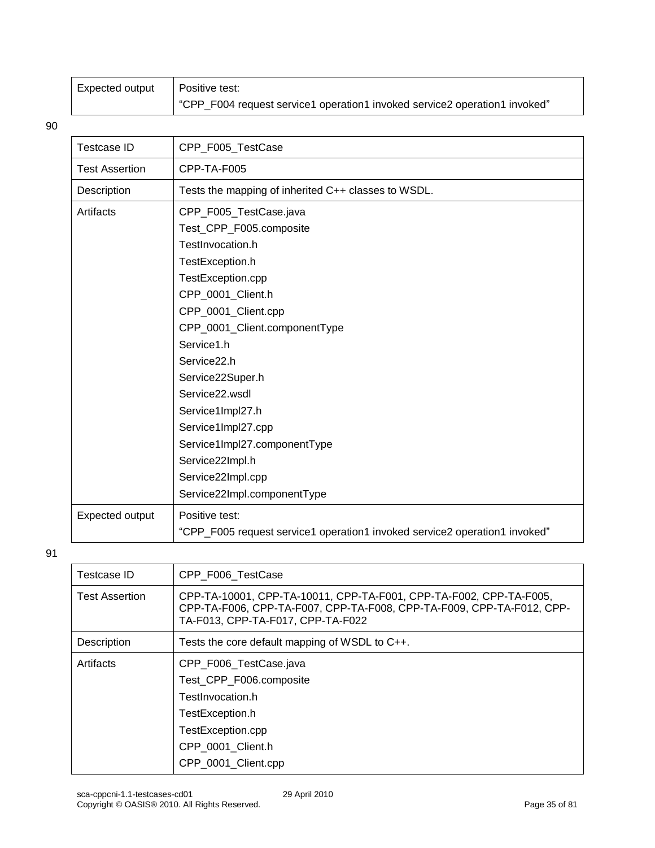| Expected output | Positive test:                                                             |
|-----------------|----------------------------------------------------------------------------|
|                 | "CPP_F004 request service1 operation1 invoked service2 operation1 invoked" |

| <b>Testcase ID</b>    | CPP_F005_TestCase                                                                                                                                                                                                                                                                                                                                                                                              |
|-----------------------|----------------------------------------------------------------------------------------------------------------------------------------------------------------------------------------------------------------------------------------------------------------------------------------------------------------------------------------------------------------------------------------------------------------|
| <b>Test Assertion</b> | CPP-TA-F005                                                                                                                                                                                                                                                                                                                                                                                                    |
| Description           | Tests the mapping of inherited C++ classes to WSDL.                                                                                                                                                                                                                                                                                                                                                            |
| Artifacts             | CPP_F005_TestCase.java<br>Test_CPP_F005.composite<br>TestInvocation.h<br>TestException.h<br>TestException.cpp<br>CPP_0001_Client.h<br>CPP_0001_Client.cpp<br>CPP_0001_Client.componentType<br>Service1.h<br>Service22.h<br>Service22Super.h<br>Service22.wsdl<br>Service1Impl27.h<br>Service1Impl27.cpp<br>Service1Impl27.componentType<br>Service22Impl.h<br>Service22Impl.cpp<br>Service22Impl.componentType |
| Expected output       | Positive test:<br>"CPP_F005 request service1 operation1 invoked service2 operation1 invoked"                                                                                                                                                                                                                                                                                                                   |

| Testcase ID           | CPP F006 TestCase                                                                                                                                                                |
|-----------------------|----------------------------------------------------------------------------------------------------------------------------------------------------------------------------------|
| <b>Test Assertion</b> | CPP-TA-10001, CPP-TA-10011, CPP-TA-F001, CPP-TA-F002, CPP-TA-F005,<br>CPP-TA-F006, CPP-TA-F007, CPP-TA-F008, CPP-TA-F009, CPP-TA-F012, CPP-<br>TA-F013, CPP-TA-F017, CPP-TA-F022 |
| Description           | Tests the core default mapping of WSDL to C++.                                                                                                                                   |
| Artifacts             | CPP_F006_TestCase.java<br>Test CPP F006.composite<br>TestInvocation.h<br>TestException.h<br>TestException.cpp<br>CPP 0001 Client.h                                               |
|                       | CPP 0001 Client.cpp                                                                                                                                                              |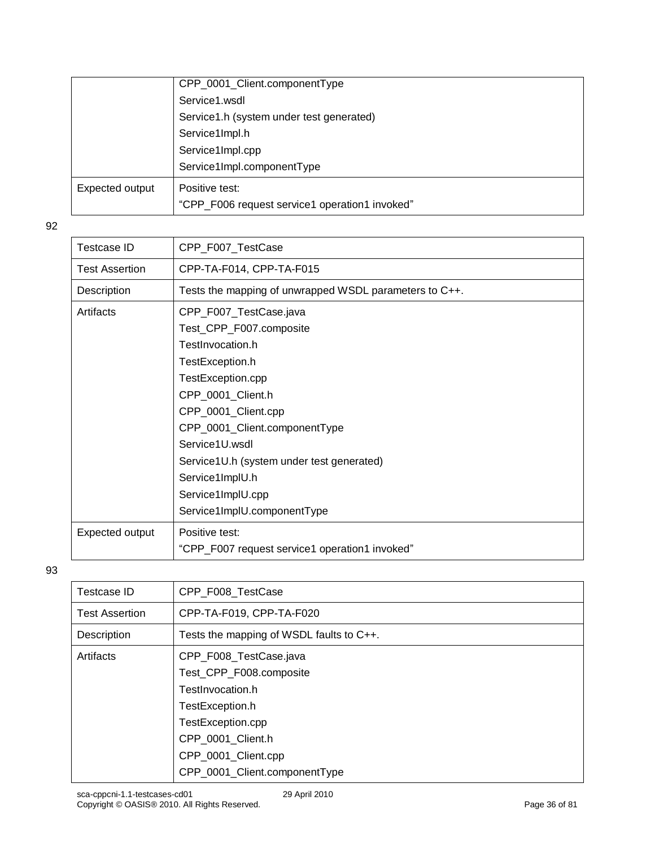|                 | CPP_0001_Client.componentType                  |
|-----------------|------------------------------------------------|
|                 | Service1.wsdl                                  |
|                 | Service1.h (system under test generated)       |
|                 | Service1Impl.h                                 |
|                 | Service1Impl.cpp                               |
|                 | Service1Impl.componentType                     |
| Expected output | Positive test:                                 |
|                 | "CPP_F006 request service1 operation1 invoked" |

| Testcase ID           | CPP_F007_TestCase                                                                                                                                                                                                                                         |
|-----------------------|-----------------------------------------------------------------------------------------------------------------------------------------------------------------------------------------------------------------------------------------------------------|
| <b>Test Assertion</b> | CPP-TA-F014, CPP-TA-F015                                                                                                                                                                                                                                  |
| Description           | Tests the mapping of unwrapped WSDL parameters to C++.                                                                                                                                                                                                    |
| Artifacts             | CPP_F007_TestCase.java<br>Test_CPP_F007.composite<br>TestInvocation.h<br>TestException.h<br>TestException.cpp<br>CPP_0001_Client.h<br>CPP_0001_Client.cpp<br>CPP_0001_Client.componentType<br>Service1U.wsdl<br>Service1U.h (system under test generated) |
|                       | Service1ImplU.h<br>Service1ImplU.cpp<br>Service1ImplU.componentType                                                                                                                                                                                       |
| Expected output       | Positive test:<br>"CPP_F007 request service1 operation1 invoked"                                                                                                                                                                                          |

| <b>Testcase ID</b>    | CPP_F008_TestCase                        |
|-----------------------|------------------------------------------|
| <b>Test Assertion</b> | CPP-TA-F019, CPP-TA-F020                 |
| Description           | Tests the mapping of WSDL faults to C++. |
| Artifacts             | CPP_F008_TestCase.java                   |
|                       | Test_CPP_F008.composite                  |
|                       | TestInvocation.h                         |
|                       | TestException.h                          |
|                       | TestException.cpp                        |
|                       | CPP 0001 Client.h                        |
|                       | CPP_0001_Client.cpp                      |
|                       | CPP_0001_Client.componentType            |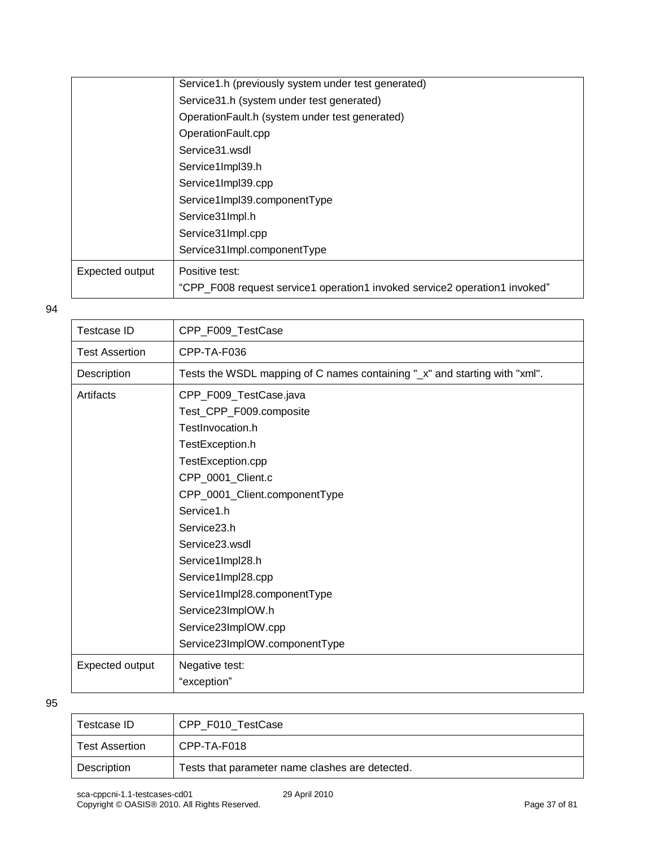|                 | Service1.h (previously system under test generated)                        |
|-----------------|----------------------------------------------------------------------------|
|                 | Service31.h (system under test generated)                                  |
|                 | OperationFault.h (system under test generated)                             |
|                 | OperationFault.cpp                                                         |
|                 | Service31.wsdl                                                             |
|                 | Service1Impl39.h                                                           |
|                 | Service1Impl39.cpp                                                         |
|                 | Service1Impl39.componentType                                               |
|                 | Service31Impl.h                                                            |
|                 | Service31Impl.cpp                                                          |
|                 | Service31Impl.componentType                                                |
| Expected output | Positive test:                                                             |
|                 | "CPP_F008 request service1 operation1 invoked service2 operation1 invoked" |
|                 |                                                                            |

| Testcase ID           | CPP_F009_TestCase                                                                                                                                                                                                                      |
|-----------------------|----------------------------------------------------------------------------------------------------------------------------------------------------------------------------------------------------------------------------------------|
| <b>Test Assertion</b> | CPP-TA-F036                                                                                                                                                                                                                            |
| Description           | Tests the WSDL mapping of C names containing "_x" and starting with "xml".                                                                                                                                                             |
| Artifacts             | CPP_F009_TestCase.java<br>Test_CPP_F009.composite<br>TestInvocation.h<br>TestException.h<br>TestException.cpp<br>CPP_0001_Client.c<br>CPP_0001_Client.componentType<br>Service1.h<br>Service23.h<br>Service23.wsdl<br>Service1Impl28.h |
|                       | Service1Impl28.cpp<br>Service1Impl28.componentType<br>Service23ImplOW.h<br>Service23ImpIOW.cpp<br>Service23ImpIOW.componentType                                                                                                        |
| Expected output       | Negative test:<br>"exception"                                                                                                                                                                                                          |

| Testcase ID           | CPP F010 TestCase                               |
|-----------------------|-------------------------------------------------|
| <b>Test Assertion</b> | CPP-TA-F018                                     |
| Description           | Tests that parameter name clashes are detected. |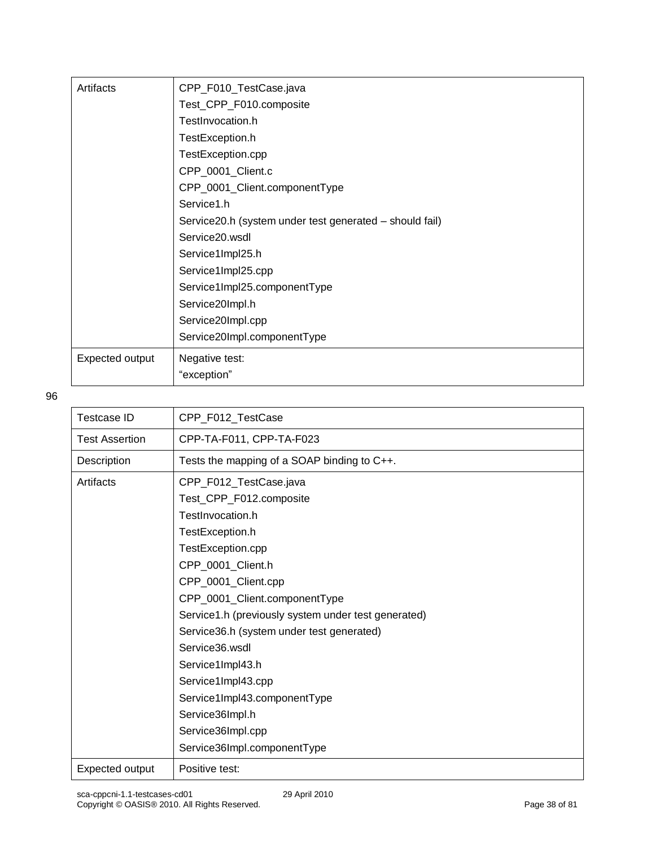| Artifacts       | CPP_F010_TestCase.java                                  |
|-----------------|---------------------------------------------------------|
|                 | Test_CPP_F010.composite                                 |
|                 | TestInvocation.h                                        |
|                 | TestException.h                                         |
|                 | TestException.cpp                                       |
|                 | CPP_0001_Client.c                                       |
|                 | CPP_0001_Client.componentType                           |
|                 | Service1.h                                              |
|                 | Service20.h (system under test generated – should fail) |
|                 | Service20.wsdl                                          |
|                 | Service1Impl25.h                                        |
|                 | Service1Impl25.cpp                                      |
|                 | Service1Impl25.componentType                            |
|                 | Service20Impl.h                                         |
|                 | Service20Impl.cpp                                       |
|                 | Service20Impl.componentType                             |
| Expected output | Negative test:                                          |
|                 | "exception"                                             |

| Testcase ID           | CPP_F012_TestCase                                   |
|-----------------------|-----------------------------------------------------|
| <b>Test Assertion</b> | CPP-TA-F011, CPP-TA-F023                            |
| Description           | Tests the mapping of a SOAP binding to C++.         |
| Artifacts             | CPP_F012_TestCase.java                              |
|                       | Test_CPP_F012.composite                             |
|                       | TestInvocation.h                                    |
|                       | TestException.h                                     |
|                       | TestException.cpp                                   |
|                       | CPP_0001_Client.h                                   |
|                       | CPP_0001_Client.cpp                                 |
|                       | CPP_0001_Client.componentType                       |
|                       | Service1.h (previously system under test generated) |
|                       | Service36.h (system under test generated)           |
|                       | Service36, wsdl                                     |
|                       | Service1Impl43.h                                    |
|                       | Service1Impl43.cpp                                  |
|                       | Service1Impl43.componentType                        |
|                       | Service36Impl.h                                     |
|                       | Service36Impl.cpp                                   |
|                       | Service36Impl.componentType                         |
| Expected output       | Positive test:                                      |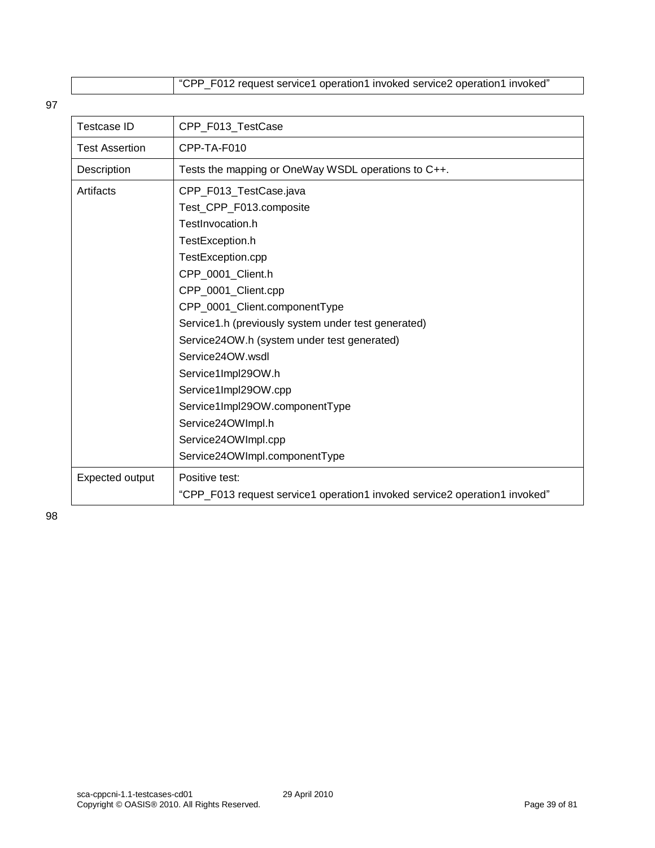"CPP\_F012 request service1 operation1 invoked service2 operation1 invoked"

97

| <b>Testcase ID</b>    | CPP_F013_TestCase                                                          |
|-----------------------|----------------------------------------------------------------------------|
| <b>Test Assertion</b> | CPP-TA-F010                                                                |
| Description           | Tests the mapping or OneWay WSDL operations to C++.                        |
| Artifacts             | CPP_F013_TestCase.java                                                     |
|                       | Test_CPP_F013.composite                                                    |
|                       | TestInvocation.h                                                           |
|                       | TestException.h                                                            |
|                       | TestException.cpp                                                          |
|                       | CPP_0001_Client.h                                                          |
|                       | CPP_0001_Client.cpp                                                        |
|                       | CPP_0001_Client.componentType                                              |
|                       | Service1.h (previously system under test generated)                        |
|                       | Service24OW.h (system under test generated)                                |
|                       | Service24OW.wsdl                                                           |
|                       | Service1Impl29OW.h                                                         |
|                       | Service1Impl29OW.cpp                                                       |
|                       | Service1Impl29OW.componentType                                             |
|                       | Service24OWImpl.h                                                          |
|                       | Service24OWImpl.cpp                                                        |
|                       | Service24OWImpl.componentType                                              |
| Expected output       | Positive test:                                                             |
|                       | "CPP_F013 request service1 operation1 invoked service2 operation1 invoked" |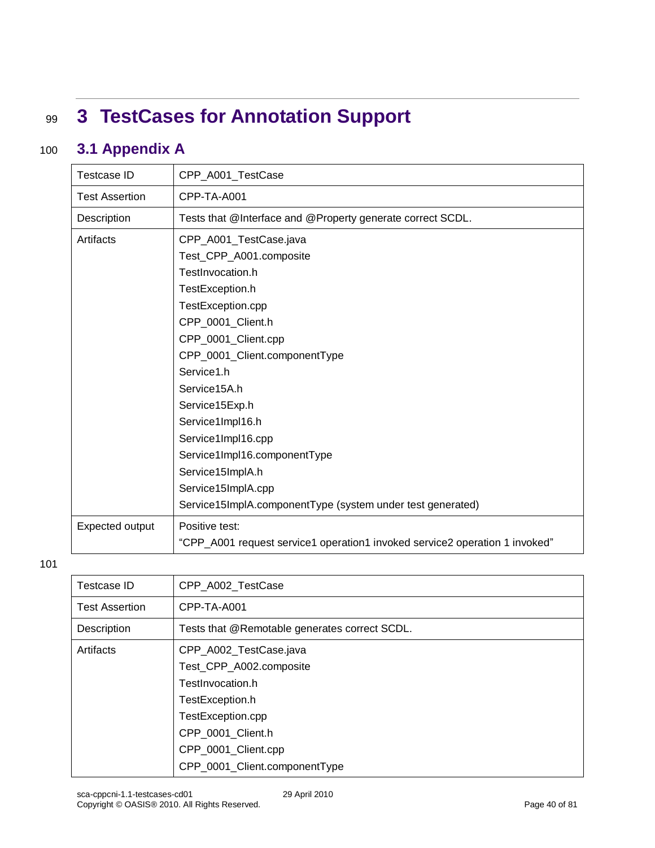# <sup>99</sup> **3 TestCases for Annotation Support**

### 100 **3.1 Appendix A**

| Testcase ID           | CPP_A001_TestCase                                                           |
|-----------------------|-----------------------------------------------------------------------------|
| <b>Test Assertion</b> | CPP-TA-A001                                                                 |
| Description           | Tests that @Interface and @Property generate correct SCDL.                  |
| Artifacts             | CPP_A001_TestCase.java                                                      |
|                       | Test_CPP_A001.composite                                                     |
|                       | TestInvocation.h                                                            |
|                       | TestException.h                                                             |
|                       | TestException.cpp                                                           |
|                       | CPP_0001_Client.h                                                           |
|                       | CPP_0001_Client.cpp                                                         |
|                       | CPP_0001_Client.componentType                                               |
|                       | Service1.h                                                                  |
|                       | Service15A.h                                                                |
|                       | Service15Exp.h                                                              |
|                       | Service1Impl16.h                                                            |
|                       | Service1Impl16.cpp                                                          |
|                       | Service1Impl16.componentType                                                |
|                       | Service15ImplA.h                                                            |
|                       | Service15ImplA.cpp                                                          |
|                       | Service15ImplA.componentType (system under test generated)                  |
| Expected output       | Positive test:                                                              |
|                       | "CPP_A001 request service1 operation1 invoked service2 operation 1 invoked" |

| Testcase ID           | CPP A002 TestCase                             |
|-----------------------|-----------------------------------------------|
| <b>Test Assertion</b> | CPP-TA-A001                                   |
| Description           | Tests that @Remotable generates correct SCDL. |
| Artifacts             | CPP_A002_TestCase.java                        |
|                       | Test_CPP_A002.composite                       |
|                       | TestInvocation.h                              |
|                       | TestException.h                               |
|                       | TestException.cpp                             |
|                       | CPP_0001_Client.h                             |
|                       | CPP_0001_Client.cpp                           |
|                       | CPP_0001_Client.componentType                 |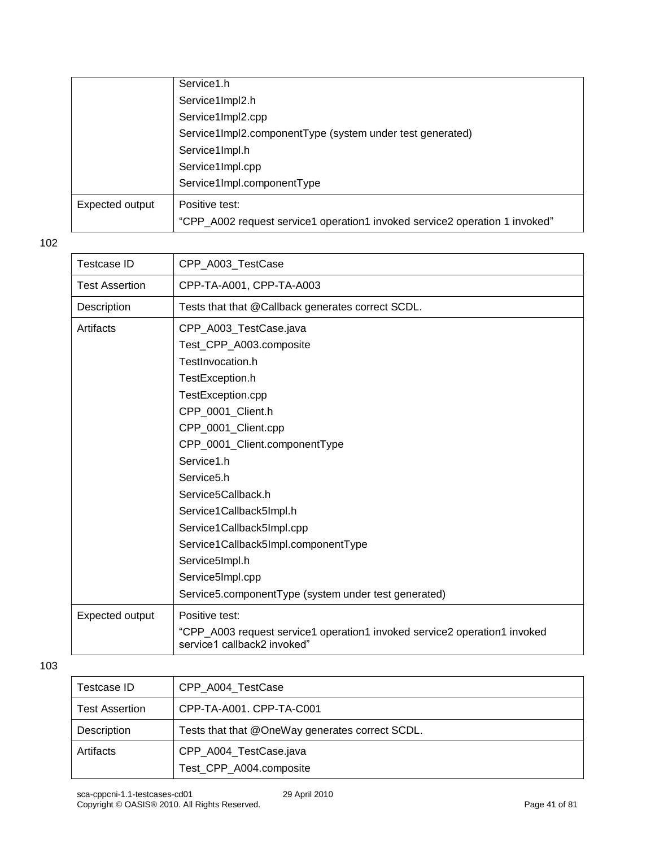|                 | Service1.h                                                                  |
|-----------------|-----------------------------------------------------------------------------|
|                 | Service1Impl2.h                                                             |
|                 | Service1Impl2.cpp                                                           |
|                 | Service1Impl2.componentType (system under test generated)                   |
|                 | Service1Impl.h                                                              |
|                 | Service1Impl.cpp                                                            |
|                 | Service1Impl.componentType                                                  |
| Expected output | Positive test:                                                              |
|                 | "CPP_A002 request service1 operation1 invoked service2 operation 1 invoked" |

| CPP A003 TestCase                                                                                        |
|----------------------------------------------------------------------------------------------------------|
| CPP-TA-A001, CPP-TA-A003                                                                                 |
| Tests that that @Callback generates correct SCDL.                                                        |
| CPP_A003_TestCase.java                                                                                   |
| Test_CPP_A003.composite                                                                                  |
| TestInvocation.h                                                                                         |
| TestException.h                                                                                          |
| TestException.cpp                                                                                        |
| CPP_0001_Client.h                                                                                        |
| CPP_0001_Client.cpp                                                                                      |
| CPP_0001_Client.componentType                                                                            |
| Service1.h                                                                                               |
| Service <sub>5.h</sub>                                                                                   |
| Service5Callback.h                                                                                       |
| Service1Callback5Impl.h                                                                                  |
| Service1Callback5Impl.cpp                                                                                |
| Service1Callback5Impl.componentType                                                                      |
| Service5Impl.h                                                                                           |
| Service5Impl.cpp                                                                                         |
| Service5.componentType (system under test generated)                                                     |
| Positive test:                                                                                           |
| "CPP_A003 request service1 operation1 invoked service2 operation1 invoked<br>service1 callback2 invoked" |
|                                                                                                          |

| Testcase ID           | CPP A004 TestCase                                 |
|-----------------------|---------------------------------------------------|
| <b>Test Assertion</b> | CPP-TA-A001. CPP-TA-C001                          |
| Description           | Tests that that @OneWay generates correct SCDL.   |
| Artifacts             | CPP_A004_TestCase.java<br>Test_CPP_A004.composite |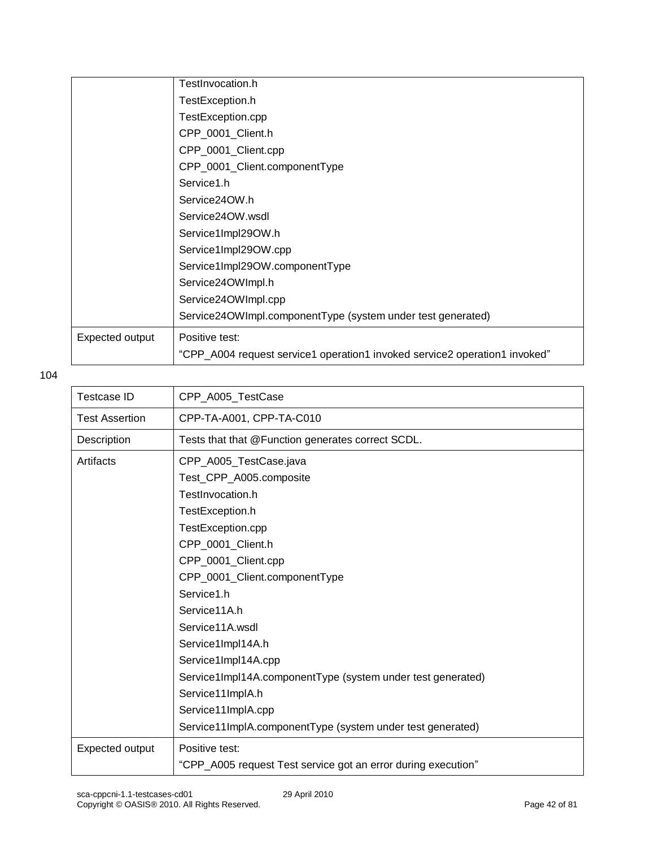|                 | TestInvocation.h                                                           |
|-----------------|----------------------------------------------------------------------------|
|                 | TestException.h                                                            |
|                 | TestException.cpp                                                          |
|                 | CPP_0001_Client.h                                                          |
|                 | CPP_0001_Client.cpp                                                        |
|                 | CPP_0001_Client.componentType                                              |
|                 | Service1.h                                                                 |
|                 | Service24OW.h                                                              |
|                 | Service24OW.wsdl                                                           |
|                 | Service1Impl29OW.h                                                         |
|                 | Service1Impl29OW.cpp                                                       |
|                 | Service1Impl29OW.componentType                                             |
|                 | Service24OWImpl.h                                                          |
|                 | Service24OWImpl.cpp                                                        |
|                 | Service24OWImpl.componentType (system under test generated)                |
| Expected output | Positive test:                                                             |
|                 | "CPP_A004 request service1 operation1 invoked service2 operation1 invoked" |

| <b>Testcase ID</b>    | CPP_A005_TestCase                                             |
|-----------------------|---------------------------------------------------------------|
| <b>Test Assertion</b> | CPP-TA-A001, CPP-TA-C010                                      |
| Description           | Tests that that @Function generates correct SCDL.             |
| Artifacts             | CPP_A005_TestCase.java                                        |
|                       | Test_CPP_A005.composite                                       |
|                       | TestInvocation.h                                              |
|                       | TestException.h                                               |
|                       | TestException.cpp                                             |
|                       | CPP 0001 Client.h                                             |
|                       | CPP_0001_Client.cpp                                           |
|                       | CPP_0001_Client.componentType                                 |
|                       | Service1.h                                                    |
|                       | Service11A.h                                                  |
|                       | Service11A.wsdl                                               |
|                       | Service1Impl14A.h                                             |
|                       | Service1Impl14A.cpp                                           |
|                       | Service1Impl14A.componentType (system under test generated)   |
|                       | Service11ImplA.h                                              |
|                       | Service11ImplA.cpp                                            |
|                       | Service11ImpIA.componentType (system under test generated)    |
| Expected output       | Positive test:                                                |
|                       | "CPP_A005 request Test service got an error during execution" |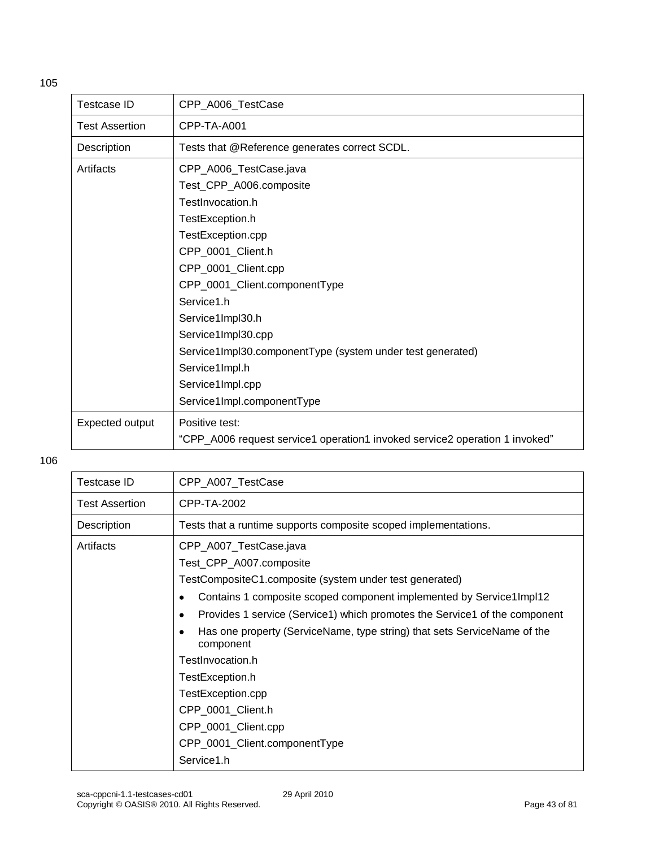| <b>Testcase ID</b>    | CPP_A006_TestCase                                                                                                                                                                                                                                                                                                                                      |
|-----------------------|--------------------------------------------------------------------------------------------------------------------------------------------------------------------------------------------------------------------------------------------------------------------------------------------------------------------------------------------------------|
| <b>Test Assertion</b> | CPP-TA-A001                                                                                                                                                                                                                                                                                                                                            |
| Description           | Tests that @Reference generates correct SCDL.                                                                                                                                                                                                                                                                                                          |
| Artifacts             | CPP_A006_TestCase.java<br>Test_CPP_A006.composite<br>TestInvocation.h<br>TestException.h<br>TestException.cpp<br>CPP_0001_Client.h<br>CPP_0001_Client.cpp<br>CPP_0001_Client.componentType<br>Service1.h<br>Service1Impl30.h<br>Service1Impl30.cpp<br>Service1Impl30.componentType (system under test generated)<br>Service1Impl.h<br>Service1Impl.cpp |
| Expected output       | Service1Impl.componentType<br>Positive test:<br>"CPP_A006 request service1 operation1 invoked service2 operation 1 invoked"                                                                                                                                                                                                                            |

| Testcase ID           | CPP_A007_TestCase                                                                                  |
|-----------------------|----------------------------------------------------------------------------------------------------|
| <b>Test Assertion</b> | CPP-TA-2002                                                                                        |
| Description           | Tests that a runtime supports composite scoped implementations.                                    |
| Artifacts             | CPP_A007_TestCase.java                                                                             |
|                       | Test_CPP_A007.composite                                                                            |
|                       | TestCompositeC1.composite (system under test generated)                                            |
|                       | Contains 1 composite scoped component implemented by Service1Impl12<br>$\bullet$                   |
|                       | Provides 1 service (Service1) which promotes the Service1 of the component                         |
|                       | Has one property (ServiceName, type string) that sets ServiceName of the<br>$\bullet$<br>component |
|                       | TestInvocation.h                                                                                   |
|                       | TestException.h                                                                                    |
|                       | TestException.cpp                                                                                  |
|                       | CPP_0001_Client.h                                                                                  |
|                       | CPP_0001_Client.cpp                                                                                |
|                       | CPP_0001_Client.componentType                                                                      |
|                       | Service1.h                                                                                         |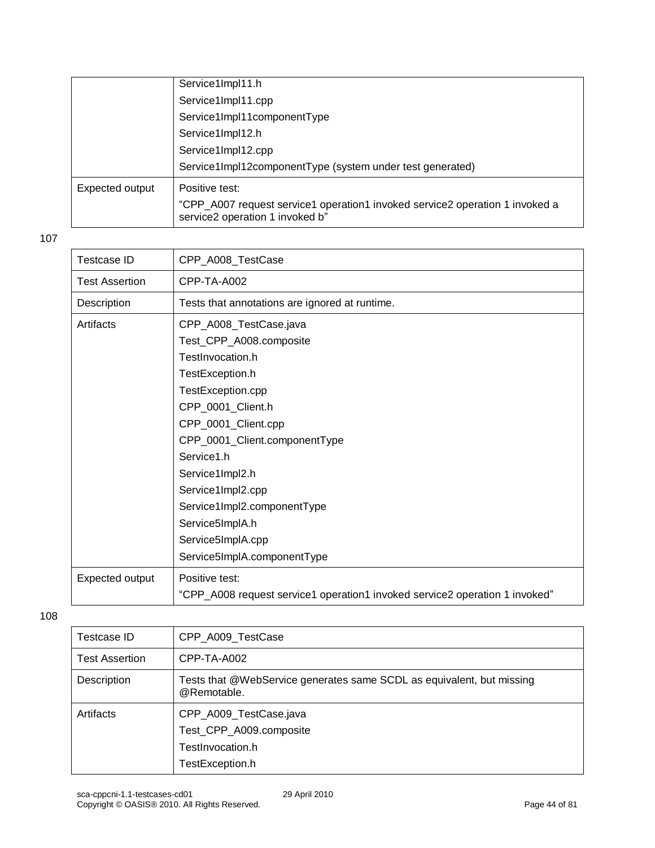|                 | Service1Impl11.h                                                                                                |
|-----------------|-----------------------------------------------------------------------------------------------------------------|
|                 | Service1Impl11.cpp                                                                                              |
|                 | Service1Impl11componentType                                                                                     |
|                 | Service1Impl12.h                                                                                                |
|                 | Service1Impl12.cpp                                                                                              |
|                 | Service1Impl12componentType (system under test generated)                                                       |
| Expected output | Positive test:                                                                                                  |
|                 | "CPP_A007 request service1 operation1 invoked service2 operation 1 invoked a<br>service2 operation 1 invoked b" |

| <b>Testcase ID</b>    | CPP_A008_TestCase                                                           |
|-----------------------|-----------------------------------------------------------------------------|
| <b>Test Assertion</b> | CPP-TA-A002                                                                 |
| Description           | Tests that annotations are ignored at runtime.                              |
| Artifacts             | CPP_A008_TestCase.java                                                      |
|                       | Test_CPP_A008.composite                                                     |
|                       | TestInvocation.h                                                            |
|                       | TestException.h                                                             |
|                       | TestException.cpp                                                           |
|                       | CPP_0001_Client.h                                                           |
|                       | CPP_0001_Client.cpp                                                         |
|                       | CPP_0001_Client.componentType                                               |
|                       | Service1.h                                                                  |
|                       | Service1Impl2.h                                                             |
|                       | Service1Impl2.cpp                                                           |
|                       | Service1Impl2.componentType                                                 |
|                       | Service5ImplA.h                                                             |
|                       | Service5ImplA.cpp                                                           |
|                       | Service5ImplA.componentType                                                 |
| Expected output       | Positive test:                                                              |
|                       | "CPP_A008 request service1 operation1 invoked service2 operation 1 invoked" |

| Testcase ID           | CPP_A009_TestCase                                                                        |
|-----------------------|------------------------------------------------------------------------------------------|
| <b>Test Assertion</b> | CPP-TA-A002                                                                              |
| Description           | Tests that @WebService generates same SCDL as equivalent, but missing<br>@Remotable.     |
| Artifacts             | CPP_A009_TestCase.java<br>Test_CPP_A009.composite<br>TestInvocation.h<br>TestException.h |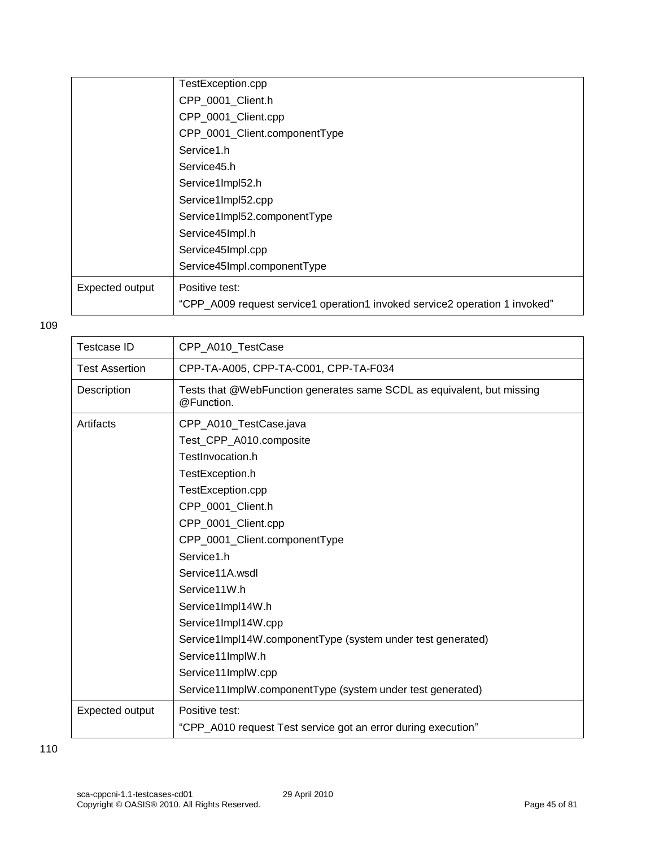|                 | TestException.cpp                                                           |
|-----------------|-----------------------------------------------------------------------------|
|                 | CPP_0001_Client.h                                                           |
|                 | CPP_0001_Client.cpp                                                         |
|                 | CPP_0001_Client.componentType                                               |
|                 | Service1.h                                                                  |
|                 | Service45.h                                                                 |
|                 | Service1Impl52.h                                                            |
|                 | Service1Impl52.cpp                                                          |
|                 | Service1Impl52.componentType                                                |
|                 | Service45Impl.h                                                             |
|                 | Service45Impl.cpp                                                           |
|                 | Service45Impl.componentType                                                 |
| Expected output | Positive test:                                                              |
|                 | "CPP_A009 request service1 operation1 invoked service2 operation 1 invoked" |

| <b>Testcase ID</b>    | CPP_A010_TestCase                                                                                                                                                                                                                                                |
|-----------------------|------------------------------------------------------------------------------------------------------------------------------------------------------------------------------------------------------------------------------------------------------------------|
| <b>Test Assertion</b> | CPP-TA-A005, CPP-TA-C001, CPP-TA-F034                                                                                                                                                                                                                            |
| Description           | Tests that @WebFunction generates same SCDL as equivalent, but missing<br>@Function.                                                                                                                                                                             |
| Artifacts             | CPP_A010_TestCase.java<br>Test_CPP_A010.composite<br>TestInvocation.h<br>TestException.h<br>TestException.cpp<br>CPP_0001_Client.h<br>CPP_0001_Client.cpp<br>CPP_0001_Client.componentType<br>Service1.h<br>Service11A.wsdl<br>Service11W.h<br>Service1Impl14W.h |
|                       | Service1Impl14W.cpp<br>Service1Impl14W.componentType (system under test generated)<br>Service11ImplW.h<br>Service11ImplW.cpp<br>Service11ImplW.componentType (system under test generated)                                                                       |
| Expected output       | Positive test:<br>"CPP_A010 request Test service got an error during execution"                                                                                                                                                                                  |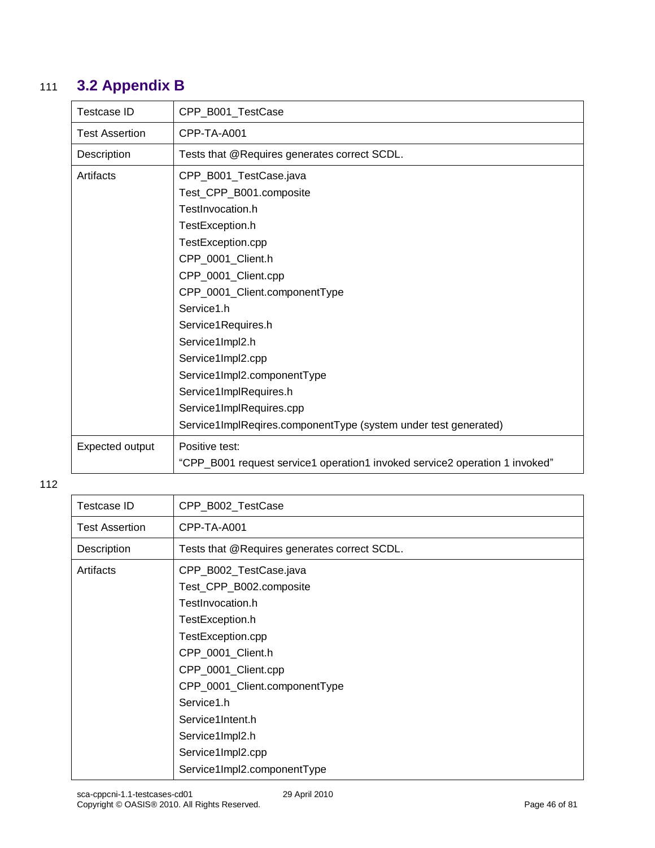### 111 **3.2 Appendix B**

| <b>Testcase ID</b>    | CPP_B001_TestCase                                                           |
|-----------------------|-----------------------------------------------------------------------------|
| <b>Test Assertion</b> | CPP-TA-A001                                                                 |
| Description           | Tests that @Requires generates correct SCDL.                                |
| Artifacts             | CPP_B001_TestCase.java                                                      |
|                       | Test_CPP_B001.composite                                                     |
|                       | TestInvocation.h                                                            |
|                       | TestException.h                                                             |
|                       | TestException.cpp                                                           |
|                       | CPP_0001_Client.h                                                           |
|                       | CPP_0001_Client.cpp                                                         |
|                       | CPP_0001_Client.componentType                                               |
|                       | Service1.h                                                                  |
|                       | Service1Requires.h                                                          |
|                       | Service1Impl2.h                                                             |
|                       | Service1Impl2.cpp                                                           |
|                       | Service1Impl2.componentType                                                 |
|                       | Service1ImplRequires.h                                                      |
|                       | Service1ImplRequires.cpp                                                    |
|                       | Service1ImplReqires.componentType (system under test generated)             |
| Expected output       | Positive test:                                                              |
|                       | "CPP_B001 request service1 operation1 invoked service2 operation 1 invoked" |

| Testcase ID           | CPP_B002_TestCase                            |
|-----------------------|----------------------------------------------|
| <b>Test Assertion</b> | CPP-TA-A001                                  |
| Description           | Tests that @Requires generates correct SCDL. |
| Artifacts             | CPP_B002_TestCase.java                       |
|                       | Test_CPP_B002.composite                      |
|                       | TestInvocation.h                             |
|                       | TestException.h                              |
|                       | TestException.cpp                            |
|                       | CPP_0001_Client.h                            |
|                       | CPP_0001_Client.cpp                          |
|                       | CPP_0001_Client.componentType                |
|                       | Service1.h                                   |
|                       | Service1Intent.h                             |
|                       | Service1Impl2.h                              |
|                       | Service1Impl2.cpp                            |
|                       | Service1Impl2.componentType                  |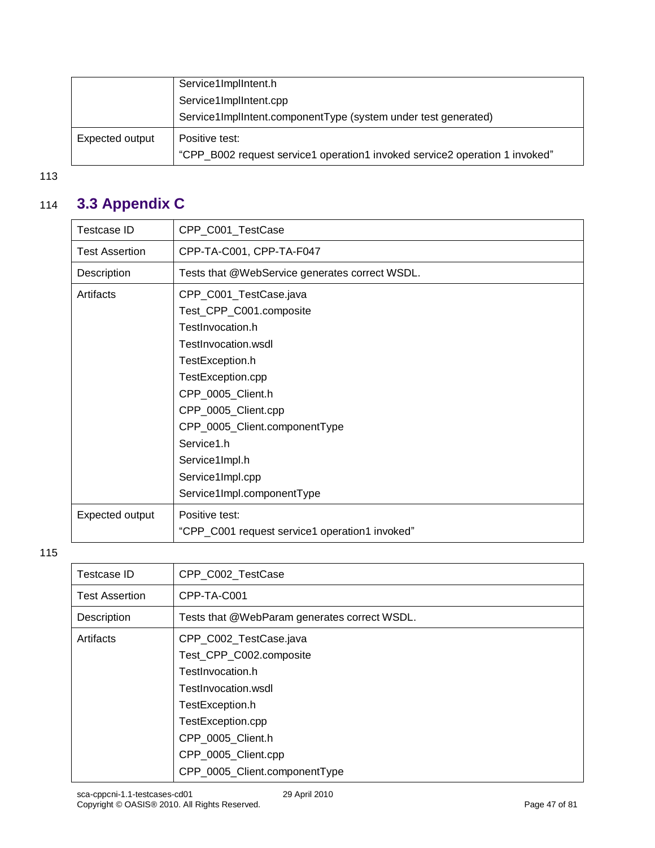|                 | Service1ImplIntent.h                                                        |
|-----------------|-----------------------------------------------------------------------------|
|                 | Service1ImplIntent.cpp                                                      |
|                 | Service1ImplIntent.componentType (system under test generated)              |
| Expected output | Positive test:                                                              |
|                 | "CPP_B002 request service1 operation1 invoked service2 operation 1 invoked" |

### 114 **3.3 Appendix C**

| Testcase ID           | CPP_C001_TestCase                              |
|-----------------------|------------------------------------------------|
| <b>Test Assertion</b> | CPP-TA-C001, CPP-TA-F047                       |
| Description           | Tests that @WebService generates correct WSDL. |
| Artifacts             | CPP_C001_TestCase.java                         |
|                       | Test_CPP_C001.composite                        |
|                       | TestInvocation.h                               |
|                       | TestInvocation.wsdl                            |
|                       | TestException.h                                |
|                       | TestException.cpp                              |
|                       | CPP_0005_Client.h                              |
|                       | CPP_0005_Client.cpp                            |
|                       | CPP_0005_Client.componentType                  |
|                       | Service1.h                                     |
|                       | Service1Impl.h                                 |
|                       | Service1Impl.cpp                               |
|                       | Service1Impl.componentType                     |
| Expected output       | Positive test:                                 |
|                       | "CPP_C001 request service1 operation1 invoked" |

| Testcase ID           | CPP_C002_TestCase                            |
|-----------------------|----------------------------------------------|
| <b>Test Assertion</b> | CPP-TA-C001                                  |
| Description           | Tests that @WebParam generates correct WSDL. |
| Artifacts             | CPP_C002_TestCase.java                       |
|                       | Test_CPP_C002.composite                      |
|                       | TestInvocation.h                             |
|                       | TestInvocation.wsdl                          |
|                       | TestException.h                              |
|                       | TestException.cpp                            |
|                       | CPP_0005_Client.h                            |
|                       | CPP_0005_Client.cpp                          |
|                       | CPP_0005_Client.componentType                |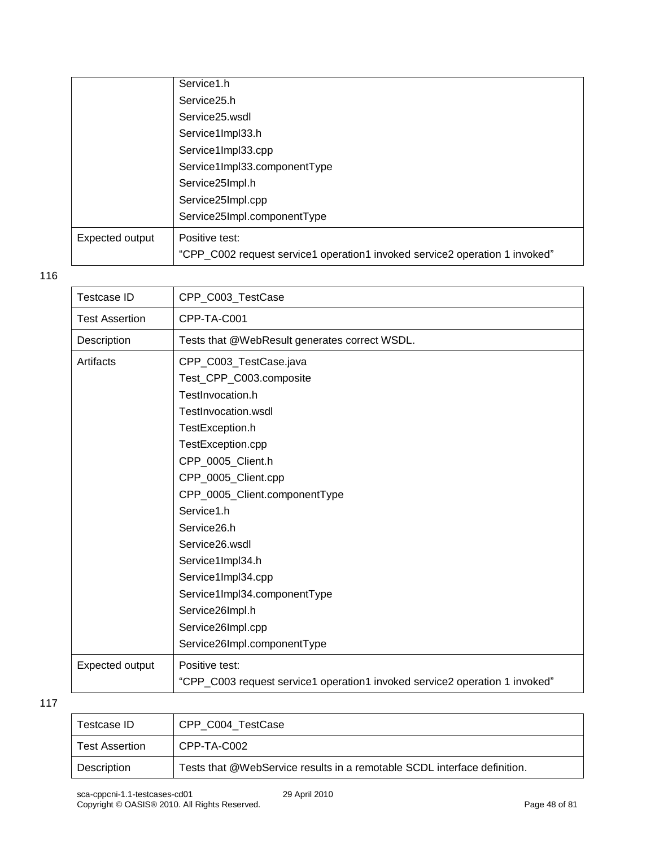|                 | Service <sub>25.h</sub>                                                     |
|-----------------|-----------------------------------------------------------------------------|
|                 | Service25.wsdl                                                              |
|                 | Service1Impl33.h                                                            |
|                 | Service1Impl33.cpp                                                          |
|                 | Service1Impl33.componentType                                                |
|                 | Service25Impl.h                                                             |
|                 | Service25Impl.cpp                                                           |
|                 | Service25Impl.componentType                                                 |
| Expected output | Positive test:                                                              |
|                 | "CPP_C002 request service1 operation1 invoked service2 operation 1 invoked" |

| Testcase ID           | CPP_C003_TestCase                                                           |
|-----------------------|-----------------------------------------------------------------------------|
| <b>Test Assertion</b> | CPP-TA-C001                                                                 |
| Description           | Tests that @WebResult generates correct WSDL.                               |
| Artifacts             | CPP_C003_TestCase.java                                                      |
|                       | Test_CPP_C003.composite                                                     |
|                       | TestInvocation.h                                                            |
|                       | TestInvocation.wsdl                                                         |
|                       | TestException.h                                                             |
|                       | TestException.cpp                                                           |
|                       | CPP_0005_Client.h                                                           |
|                       | CPP_0005_Client.cpp                                                         |
|                       | CPP_0005_Client.componentType                                               |
|                       | Service1.h                                                                  |
|                       | Service26.h                                                                 |
|                       | Service26.wsdl                                                              |
|                       | Service1Impl34.h                                                            |
|                       | Service1Impl34.cpp                                                          |
|                       | Service1Impl34.componentType                                                |
|                       | Service26Impl.h                                                             |
|                       | Service26Impl.cpp                                                           |
|                       | Service26Impl.componentType                                                 |
| Expected output       | Positive test:                                                              |
|                       | "CPP_C003 request service1 operation1 invoked service2 operation 1 invoked" |
|                       |                                                                             |

| Testcase ID           | CPP C004 TestCase                                                        |
|-----------------------|--------------------------------------------------------------------------|
| <b>Test Assertion</b> | CPP-TA-C002                                                              |
| Description           | Tests that @WebService results in a remotable SCDL interface definition. |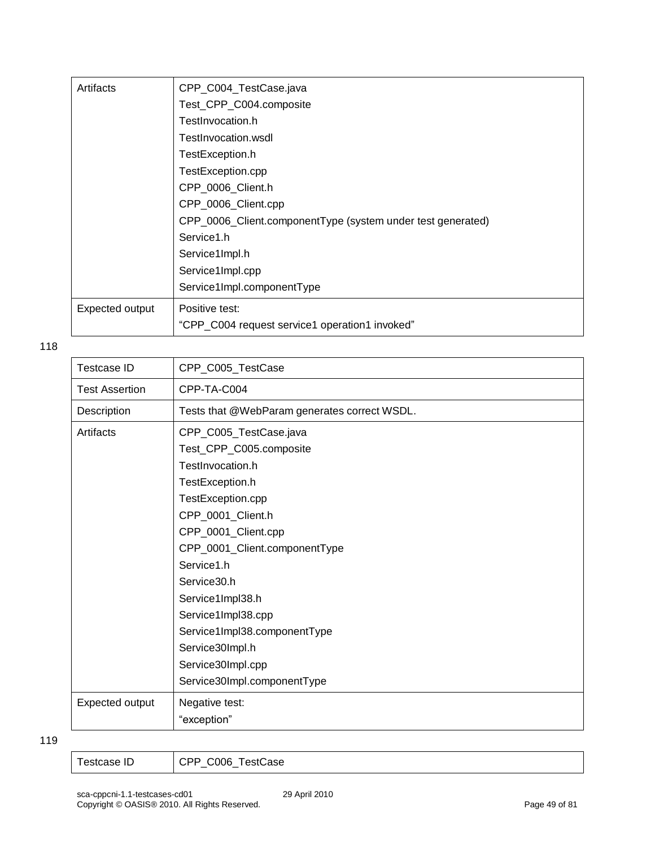| Artifacts       | CPP_C004_TestCase.java                                      |
|-----------------|-------------------------------------------------------------|
|                 | Test_CPP_C004.composite                                     |
|                 | TestInvocation.h                                            |
|                 | TestInvocation.wsdl                                         |
|                 | TestException.h                                             |
|                 | TestException.cpp                                           |
|                 | CPP_0006_Client.h                                           |
|                 | CPP_0006_Client.cpp                                         |
|                 | CPP_0006_Client.componentType (system under test generated) |
|                 | Service1.h                                                  |
|                 | Service1Impl.h                                              |
|                 | Service1Impl.cpp                                            |
|                 | Service1Impl.componentType                                  |
| Expected output | Positive test:                                              |
|                 | "CPP_C004 request service1 operation1 invoked"              |

| <b>Testcase ID</b>    | CPP_C005_TestCase                            |
|-----------------------|----------------------------------------------|
| <b>Test Assertion</b> | CPP-TA-C004                                  |
| Description           | Tests that @WebParam generates correct WSDL. |
| Artifacts             | CPP_C005_TestCase.java                       |
|                       | Test_CPP_C005.composite                      |
|                       | TestInvocation.h                             |
|                       | TestException.h                              |
|                       | TestException.cpp                            |
|                       | CPP_0001_Client.h                            |
|                       | CPP_0001_Client.cpp                          |
|                       | CPP_0001_Client.componentType                |
|                       | Service1.h                                   |
|                       | Service30.h                                  |
|                       | Service1Impl38.h                             |
|                       | Service1Impl38.cpp                           |
|                       | Service1Impl38.componentType                 |
|                       | Service30Impl.h                              |
|                       | Service30Impl.cpp                            |
|                       | Service30Impl.componentType                  |
| Expected output       | Negative test:                               |
|                       | "exception"                                  |

| CPP C006 TestCase<br>Testcase ID |
|----------------------------------|
|----------------------------------|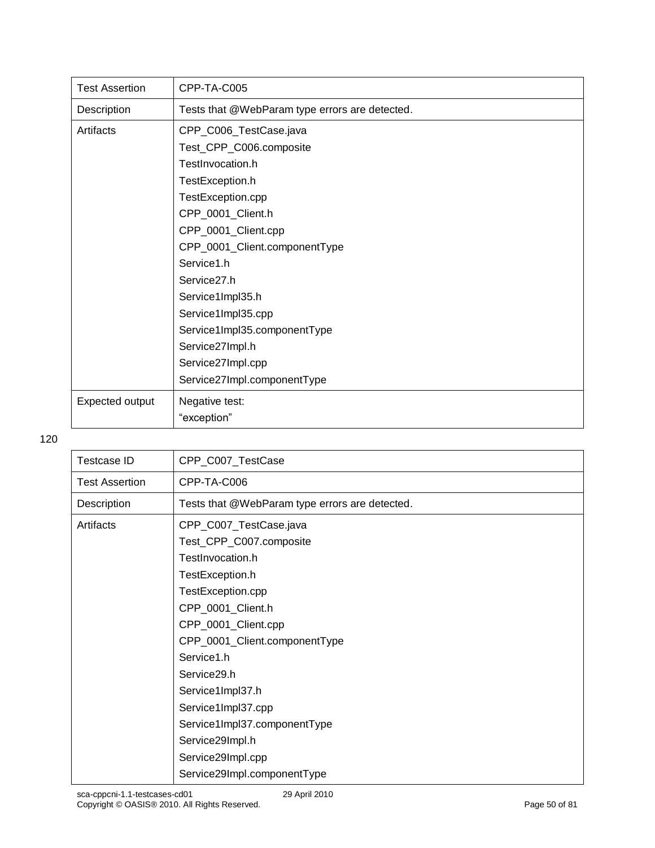| <b>Test Assertion</b> | CPP-TA-C005                                    |
|-----------------------|------------------------------------------------|
| Description           | Tests that @WebParam type errors are detected. |
| Artifacts             | CPP_C006_TestCase.java                         |
|                       | Test_CPP_C006.composite                        |
|                       | TestInvocation.h                               |
|                       | TestException.h                                |
|                       | TestException.cpp                              |
|                       | CPP_0001_Client.h                              |
|                       | CPP_0001_Client.cpp                            |
|                       | CPP_0001_Client.componentType                  |
|                       | Service1.h                                     |
|                       | Service <sub>27.h</sub>                        |
|                       | Service1Impl35.h                               |
|                       | Service1Impl35.cpp                             |
|                       | Service1Impl35.componentType                   |
|                       | Service27Impl.h                                |
|                       | Service27Impl.cpp                              |
|                       | Service27Impl.componentType                    |
| Expected output       | Negative test:                                 |
|                       | "exception"                                    |

| CPP_C007_TestCase                              |
|------------------------------------------------|
| CPP-TA-C006                                    |
| Tests that @WebParam type errors are detected. |
| CPP_C007_TestCase.java                         |
| Test_CPP_C007.composite                        |
| TestInvocation.h                               |
| TestException.h                                |
| TestException.cpp                              |
| CPP_0001_Client.h                              |
| CPP_0001_Client.cpp                            |
| CPP_0001_Client.componentType                  |
| Service1.h                                     |
| Service29.h                                    |
| Service1Impl37.h                               |
| Service1Impl37.cpp                             |
| Service1Impl37.componentType                   |
| Service29Impl.h                                |
| Service29Impl.cpp                              |
| Service29Impl.componentType                    |
|                                                |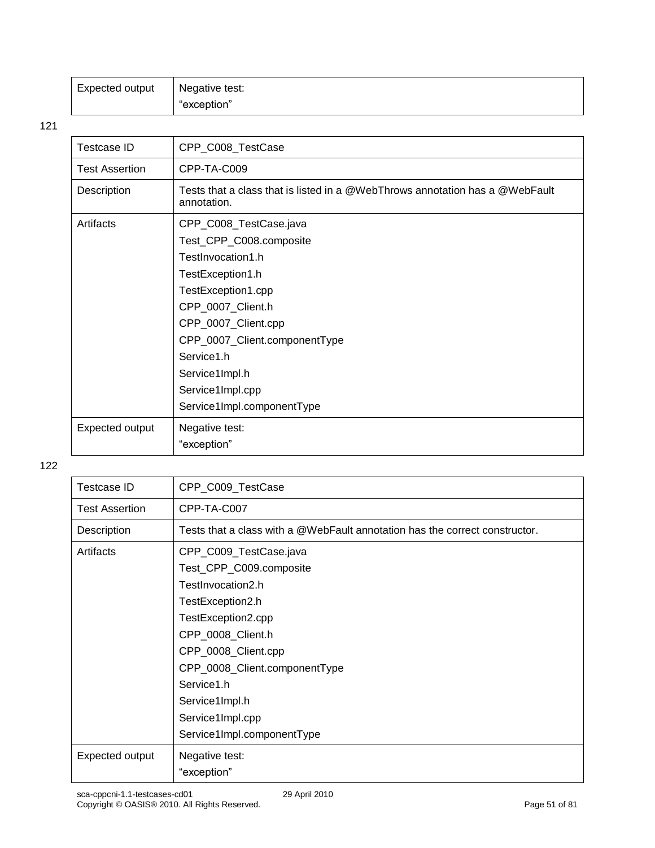| Expected output | Negative test: |
|-----------------|----------------|
|                 | "exception"    |

| <b>Testcase ID</b>    | CPP_C008_TestCase                                                                           |
|-----------------------|---------------------------------------------------------------------------------------------|
| <b>Test Assertion</b> | CPP-TA-C009                                                                                 |
| Description           | Tests that a class that is listed in a @WebThrows annotation has a @WebFault<br>annotation. |
| Artifacts             | CPP_C008_TestCase.java                                                                      |
|                       | Test_CPP_C008.composite                                                                     |
|                       | TestInvocation1.h                                                                           |
|                       | TestException1.h                                                                            |
|                       | TestException1.cpp                                                                          |
|                       | CPP_0007_Client.h                                                                           |
|                       | CPP_0007_Client.cpp                                                                         |
|                       | CPP_0007_Client.componentType                                                               |
|                       | Service1.h                                                                                  |
|                       | Service1Impl.h                                                                              |
|                       | Service1Impl.cpp                                                                            |
|                       | Service1Impl.componentType                                                                  |
| Expected output       | Negative test:                                                                              |
|                       | "exception"                                                                                 |

| <b>Testcase ID</b>    | CPP_C009_TestCase                                                           |
|-----------------------|-----------------------------------------------------------------------------|
| <b>Test Assertion</b> | CPP-TA-C007                                                                 |
| Description           | Tests that a class with a @WebFault annotation has the correct constructor. |
| Artifacts             | CPP_C009_TestCase.java                                                      |
|                       | Test_CPP_C009.composite                                                     |
|                       | TestInvocation2.h                                                           |
|                       | TestException2.h                                                            |
|                       | TestException2.cpp                                                          |
|                       | CPP_0008_Client.h                                                           |
|                       | CPP_0008_Client.cpp                                                         |
|                       | CPP_0008_Client.componentType                                               |
|                       | Service1.h                                                                  |
|                       | Service1Impl.h                                                              |
|                       | Service1Impl.cpp                                                            |
|                       | Service1Impl.componentType                                                  |
| Expected output       | Negative test:                                                              |
|                       | "exception"                                                                 |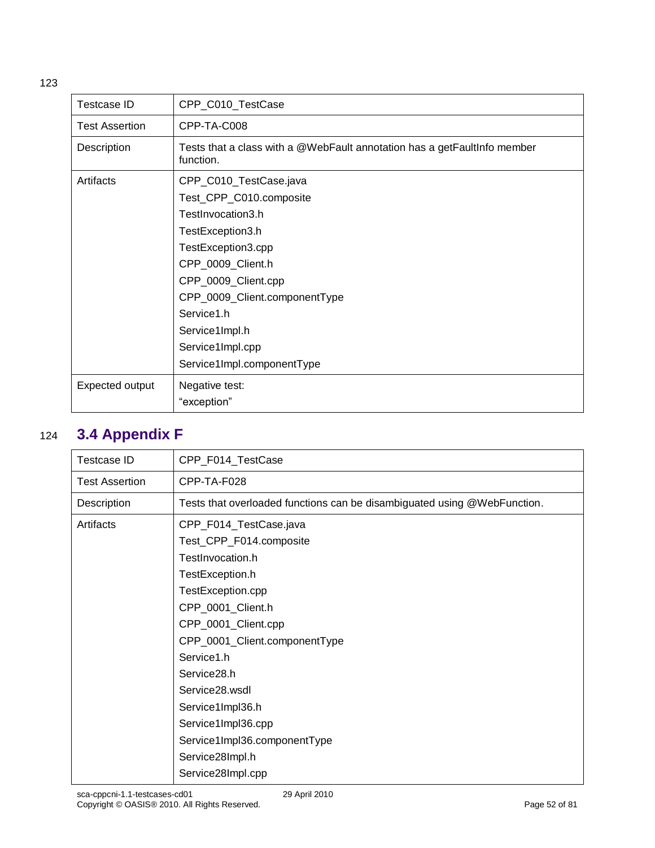| Testcase ID           | CPP_C010_TestCase                                                                                                                                                                                                                                                               |
|-----------------------|---------------------------------------------------------------------------------------------------------------------------------------------------------------------------------------------------------------------------------------------------------------------------------|
| <b>Test Assertion</b> | CPP-TA-C008                                                                                                                                                                                                                                                                     |
| Description           | Tests that a class with a @WebFault annotation has a getFaultInfo member<br>function.                                                                                                                                                                                           |
| Artifacts             | CPP_C010_TestCase.java<br>Test_CPP_C010.composite<br>TestInvocation3.h<br>TestException3.h<br>TestException3.cpp<br>CPP_0009_Client.h<br>CPP_0009_Client.cpp<br>CPP_0009_Client.componentType<br>Service1.h<br>Service1Impl.h<br>Service1Impl.cpp<br>Service1Impl.componentType |
|                       |                                                                                                                                                                                                                                                                                 |
| Expected output       | Negative test:                                                                                                                                                                                                                                                                  |
|                       | "exception"                                                                                                                                                                                                                                                                     |

### 124 **3.4 Appendix F**

| Testcase ID           | CPP_F014_TestCase                                                        |
|-----------------------|--------------------------------------------------------------------------|
| <b>Test Assertion</b> | CPP-TA-F028                                                              |
| Description           | Tests that overloaded functions can be disambiguated using @WebFunction. |
| Artifacts             | CPP_F014_TestCase.java                                                   |
|                       | Test_CPP_F014.composite                                                  |
|                       | TestInvocation.h                                                         |
|                       | TestException.h                                                          |
|                       | TestException.cpp                                                        |
|                       | CPP_0001_Client.h                                                        |
|                       | CPP_0001_Client.cpp                                                      |
|                       | CPP_0001_Client.componentType                                            |
|                       | Service1.h                                                               |
|                       | Service28.h                                                              |
|                       | Service28.wsdl                                                           |
|                       | Service1Impl36.h                                                         |
|                       | Service1Impl36.cpp                                                       |
|                       | Service1Impl36.componentType                                             |
|                       | Service28Impl.h                                                          |
|                       | Service28Impl.cpp                                                        |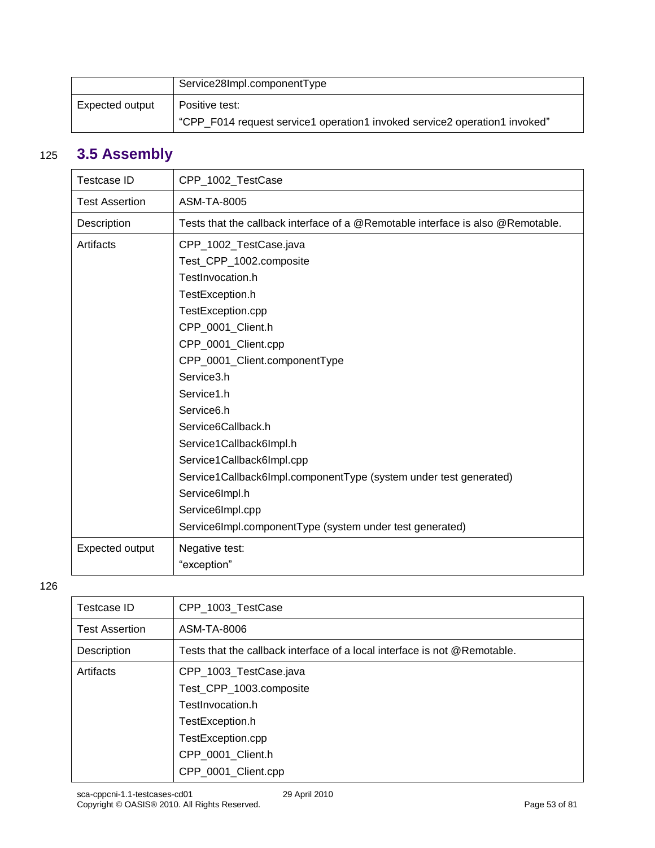|                 | Service28Impl.componentType                                                |
|-----------------|----------------------------------------------------------------------------|
| Expected output | Positive test:                                                             |
|                 | "CPP F014 request service1 operation1 invoked service2 operation1 invoked" |

### 125 **3.5 Assembly**

| <b>Testcase ID</b>    | CPP_1002_TestCase                                                                                                                                                                                                                                                                                                                                                                                                                                                                         |
|-----------------------|-------------------------------------------------------------------------------------------------------------------------------------------------------------------------------------------------------------------------------------------------------------------------------------------------------------------------------------------------------------------------------------------------------------------------------------------------------------------------------------------|
| <b>Test Assertion</b> | ASM-TA-8005                                                                                                                                                                                                                                                                                                                                                                                                                                                                               |
| Description           | Tests that the callback interface of a @Remotable interface is also @Remotable.                                                                                                                                                                                                                                                                                                                                                                                                           |
| Artifacts             | CPP_1002_TestCase.java<br>Test_CPP_1002.composite<br>TestInvocation.h<br>TestException.h<br>TestException.cpp<br>CPP_0001_Client.h<br>CPP_0001_Client.cpp<br>CPP_0001_Client.componentType<br>Service3.h<br>Service1.h<br>Service6.h<br>Service6Callback.h<br>Service1Callback6Impl.h<br>Service1Callback6Impl.cpp<br>Service1Callback6Impl.componentType (system under test generated)<br>Service6Impl.h<br>Service6Impl.cpp<br>Service6Impl.componentType (system under test generated) |
| Expected output       | Negative test:<br>"exception"                                                                                                                                                                                                                                                                                                                                                                                                                                                             |

| Testcase ID           | CPP 1003 TestCase                                                                                                                                         |
|-----------------------|-----------------------------------------------------------------------------------------------------------------------------------------------------------|
| <b>Test Assertion</b> | ASM-TA-8006                                                                                                                                               |
| Description           | Tests that the callback interface of a local interface is not @Remotable.                                                                                 |
| Artifacts             | CPP_1003_TestCase.java<br>Test_CPP_1003.composite<br>TestInvocation.h<br>TestException.h<br>TestException.cpp<br>CPP_0001_Client.h<br>CPP_0001_Client.cpp |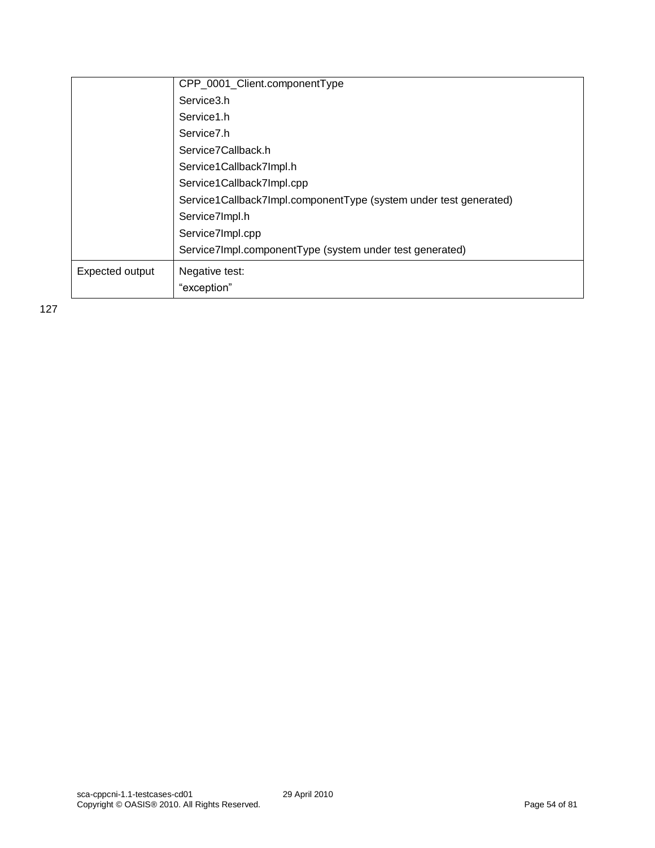|                 | CPP_0001_Client.componentType                                     |
|-----------------|-------------------------------------------------------------------|
|                 | Service3.h                                                        |
|                 | Service1.h                                                        |
|                 | Service <sub>7.h</sub>                                            |
|                 | Service7Callback.h                                                |
|                 | Service1Callback7Impl.h                                           |
|                 | Service1Callback7Impl.cpp                                         |
|                 | Service1Callback7Impl.componentType (system under test generated) |
|                 | Service7Impl.h                                                    |
|                 | Service7Impl.cpp                                                  |
|                 | Service7Impl.componentType (system under test generated)          |
| Expected output | Negative test:                                                    |
|                 | "exception"                                                       |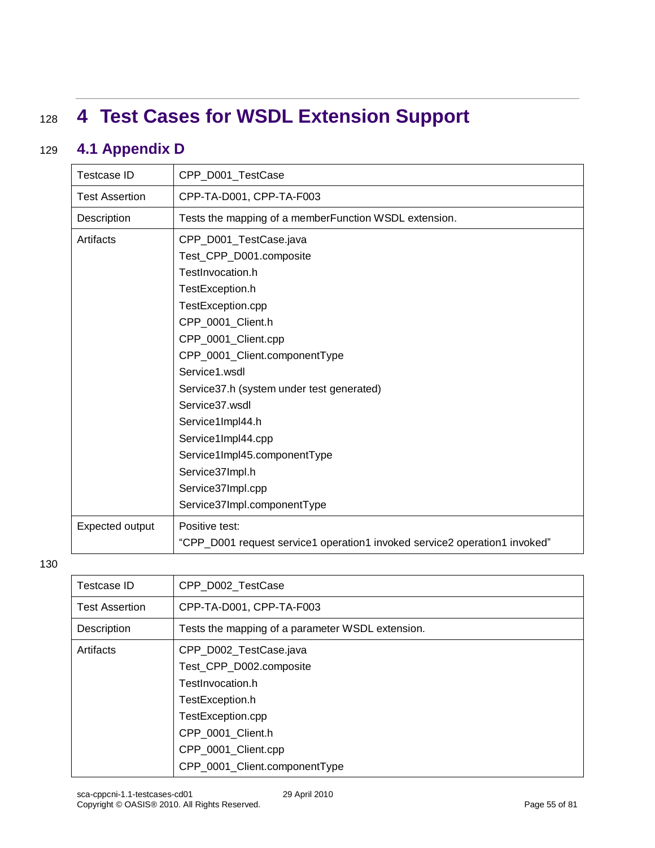## <sup>128</sup> **4 Test Cases for WSDL Extension Support**

### 129 **4.1 Appendix D**

| <b>Testcase ID</b>    | CPP D001 TestCase                                                                                                                                                                                            |
|-----------------------|--------------------------------------------------------------------------------------------------------------------------------------------------------------------------------------------------------------|
| <b>Test Assertion</b> | CPP-TA-D001, CPP-TA-F003                                                                                                                                                                                     |
| Description           | Tests the mapping of a memberFunction WSDL extension.                                                                                                                                                        |
| Artifacts             | CPP_D001_TestCase.java<br>Test_CPP_D001.composite<br>TestInvocation.h<br>TestException.h<br>TestException.cpp<br>CPP_0001_Client.h<br>CPP_0001_Client.cpp<br>CPP_0001_Client.componentType<br>Service1.wsdl  |
|                       | Service37.h (system under test generated)<br>Service37.wsdl<br>Service1Impl44.h<br>Service1Impl44.cpp<br>Service1Impl45.componentType<br>Service37Impl.h<br>Service37Impl.cpp<br>Service37Impl.componentType |
| Expected output       | Positive test:<br>"CPP_D001 request service1 operation1 invoked service2 operation1 invoked"                                                                                                                 |

| Testcase ID           | CPP D002 TestCase                                |
|-----------------------|--------------------------------------------------|
| <b>Test Assertion</b> | CPP-TA-D001, CPP-TA-F003                         |
| Description           | Tests the mapping of a parameter WSDL extension. |
| Artifacts             | CPP_D002_TestCase.java                           |
|                       | Test_CPP_D002.composite                          |
|                       | TestInvocation.h                                 |
|                       | TestException.h                                  |
|                       | TestException.cpp                                |
|                       | CPP 0001 Client.h                                |
|                       | CPP_0001_Client.cpp                              |
|                       | CPP_0001_Client.componentType                    |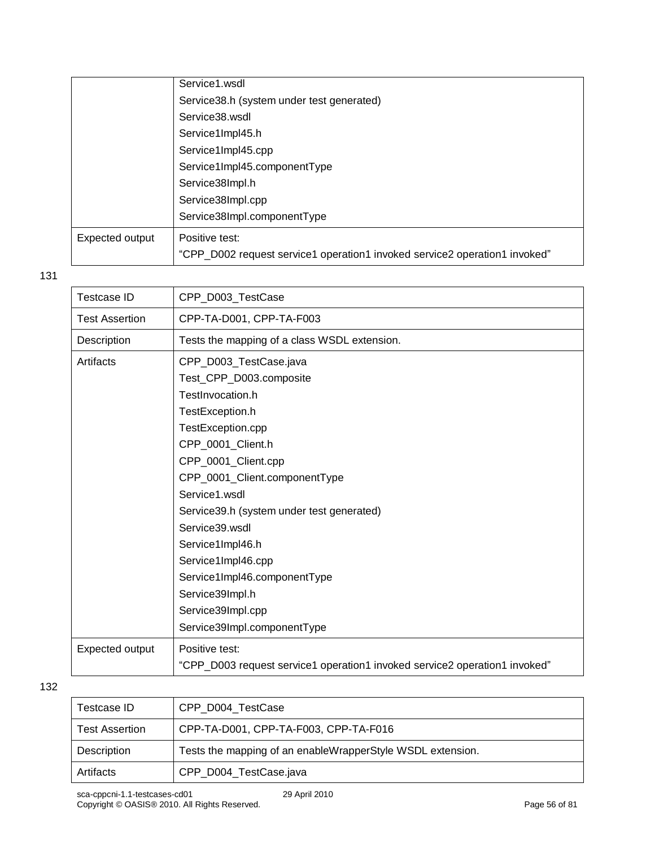|                 | Service1.wsdl                                                              |
|-----------------|----------------------------------------------------------------------------|
|                 | Service38.h (system under test generated)                                  |
|                 | Service38.wsdl                                                             |
|                 | Service1Impl45.h                                                           |
|                 | Service1Impl45.cpp                                                         |
|                 | Service1Impl45.componentType                                               |
|                 | Service38Impl.h                                                            |
|                 | Service38Impl.cpp                                                          |
|                 | Service38Impl.componentType                                                |
| Expected output | Positive test:                                                             |
|                 | "CPP_D002 request service1 operation1 invoked service2 operation1 invoked" |

| <b>Testcase ID</b>    | CPP D003 TestCase                                                          |
|-----------------------|----------------------------------------------------------------------------|
| <b>Test Assertion</b> | CPP-TA-D001, CPP-TA-F003                                                   |
| Description           | Tests the mapping of a class WSDL extension.                               |
| Artifacts             | CPP_D003_TestCase.java                                                     |
|                       | Test_CPP_D003.composite                                                    |
|                       | TestInvocation.h                                                           |
|                       | TestException.h                                                            |
|                       | TestException.cpp                                                          |
|                       | CPP_0001_Client.h                                                          |
|                       | CPP_0001_Client.cpp                                                        |
|                       | CPP_0001_Client.componentType                                              |
|                       | Service1.wsdl                                                              |
|                       | Service39.h (system under test generated)                                  |
|                       | Service39.wsdl                                                             |
|                       | Service1Impl46.h                                                           |
|                       | Service1Impl46.cpp                                                         |
|                       | Service1Impl46.componentType                                               |
|                       | Service39Impl.h                                                            |
|                       | Service39Impl.cpp                                                          |
|                       | Service39Impl.componentType                                                |
| Expected output       | Positive test:                                                             |
|                       | "CPP_D003 request service1 operation1 invoked service2 operation1 invoked" |
|                       |                                                                            |

| Testcase ID           | CPP D004 TestCase                                          |
|-----------------------|------------------------------------------------------------|
| <b>Test Assertion</b> | CPP-TA-D001, CPP-TA-F003, CPP-TA-F016                      |
| Description           | Tests the mapping of an enableWrapperStyle WSDL extension. |
| Artifacts             | CPP_D004_TestCase.java                                     |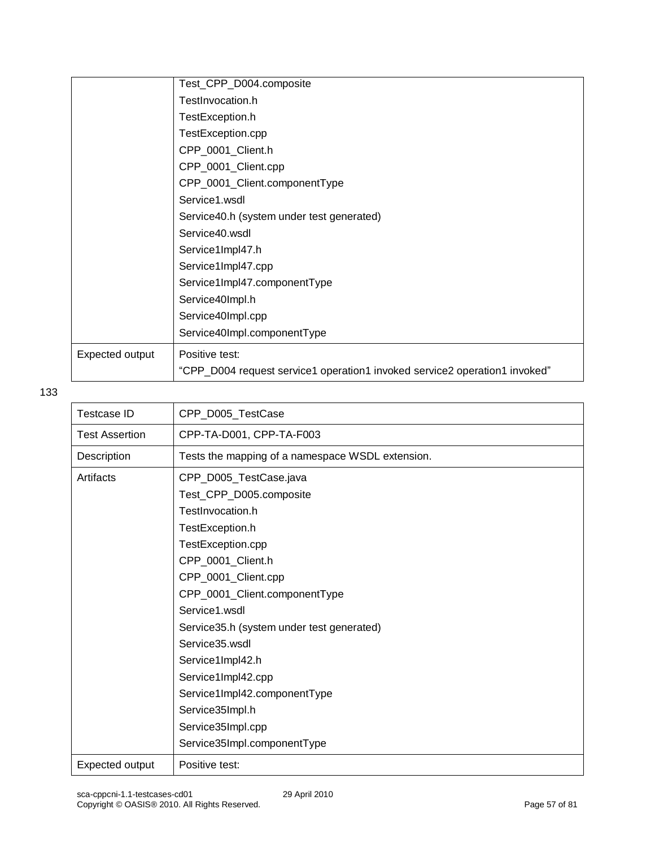|                 | Test_CPP_D004.composite                                                    |
|-----------------|----------------------------------------------------------------------------|
|                 | TestInvocation.h                                                           |
|                 | TestException.h                                                            |
|                 | TestException.cpp                                                          |
|                 | CPP_0001_Client.h                                                          |
|                 | CPP_0001_Client.cpp                                                        |
|                 | CPP_0001_Client.componentType                                              |
|                 | Service1.wsdl                                                              |
|                 | Service40.h (system under test generated)                                  |
|                 | Service40.wsdl                                                             |
|                 | Service1Impl47.h                                                           |
|                 | Service1Impl47.cpp                                                         |
|                 | Service1Impl47.componentType                                               |
|                 | Service40Impl.h                                                            |
|                 | Service40Impl.cpp                                                          |
|                 | Service40Impl.componentType                                                |
| Expected output | Positive test:                                                             |
|                 | "CPP_D004 request service1 operation1 invoked service2 operation1 invoked" |

| Testcase ID                                    | CPP_D005_TestCase                                |  |
|------------------------------------------------|--------------------------------------------------|--|
| <b>Test Assertion</b>                          | CPP-TA-D001, CPP-TA-F003                         |  |
| Description                                    | Tests the mapping of a namespace WSDL extension. |  |
| Artifacts                                      | CPP_D005_TestCase.java                           |  |
|                                                | Test_CPP_D005.composite                          |  |
|                                                | TestInvocation.h                                 |  |
|                                                | TestException.h                                  |  |
|                                                | TestException.cpp                                |  |
|                                                | CPP_0001_Client.h                                |  |
|                                                | CPP_0001_Client.cpp                              |  |
| CPP_0001_Client.componentType<br>Service1.wsdl |                                                  |  |
|                                                |                                                  |  |
|                                                | Service35.wsdl                                   |  |
|                                                | Service1Impl42.h                                 |  |
|                                                | Service1Impl42.cpp                               |  |
|                                                | Service1Impl42.componentType                     |  |
|                                                | Service35Impl.h                                  |  |
| Service35Impl.cpp                              |                                                  |  |
| Service35Impl.componentType                    |                                                  |  |
| Expected output                                | Positive test:                                   |  |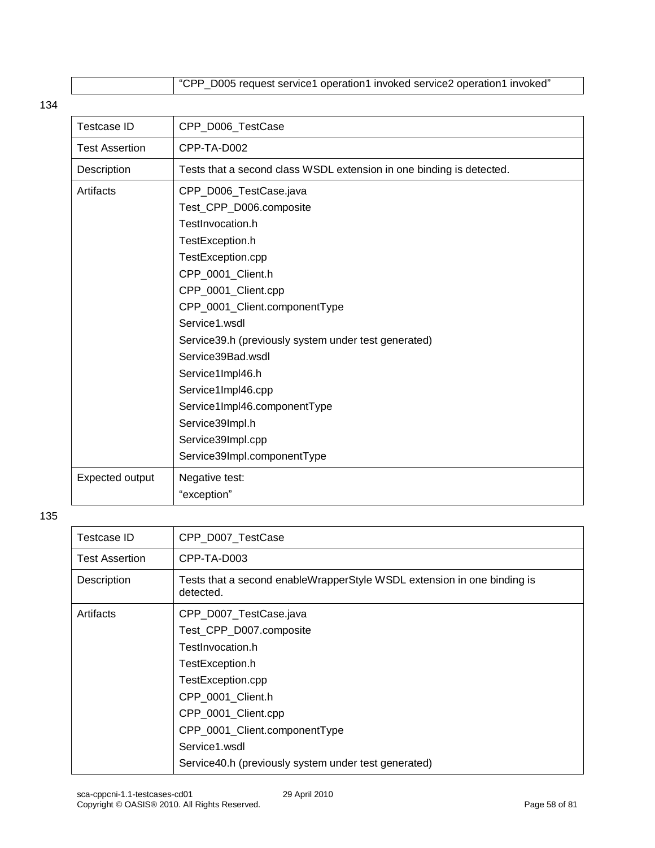"CPP\_D005 request service1 operation1 invoked service2 operation1 invoked"

#### 134

| <b>Testcase ID</b>                     | CPP_D006_TestCase                                                     |  |
|----------------------------------------|-----------------------------------------------------------------------|--|
| <b>Test Assertion</b>                  | CPP-TA-D002                                                           |  |
| Description                            | Tests that a second class WSDL extension in one binding is detected.  |  |
| Artifacts                              | CPP_D006_TestCase.java                                                |  |
|                                        | Test_CPP_D006.composite                                               |  |
|                                        | TestInvocation.h                                                      |  |
|                                        | TestException.h                                                       |  |
| TestException.cpp                      |                                                                       |  |
|                                        | CPP_0001_Client.h                                                     |  |
|                                        | CPP_0001_Client.cpp                                                   |  |
| CPP_0001_Client.componentType          |                                                                       |  |
|                                        | Service1.wsdl<br>Service39.h (previously system under test generated) |  |
|                                        |                                                                       |  |
| Service39Bad.wsdl                      |                                                                       |  |
| Service1Impl46.h<br>Service1Impl46.cpp |                                                                       |  |
|                                        |                                                                       |  |
| Service1Impl46.componentType           |                                                                       |  |
|                                        | Service39Impl.h                                                       |  |
| Service39Impl.cpp                      |                                                                       |  |
|                                        | Service39Impl.componentType                                           |  |
| Expected output                        | Negative test:                                                        |  |
|                                        | "exception"                                                           |  |

| Testcase ID           | CPP D007 TestCase                                                                    |
|-----------------------|--------------------------------------------------------------------------------------|
| <b>Test Assertion</b> | CPP-TA-D003                                                                          |
| Description           | Tests that a second enableWrapperStyle WSDL extension in one binding is<br>detected. |
| Artifacts             | CPP_D007_TestCase.java                                                               |
|                       | Test_CPP_D007.composite                                                              |
|                       | TestInvocation.h                                                                     |
|                       | TestException.h                                                                      |
|                       | TestException.cpp                                                                    |
|                       | CPP_0001_Client.h                                                                    |
|                       | CPP_0001_Client.cpp                                                                  |
|                       | CPP_0001_Client.componentType                                                        |
|                       | Service1.wsdl                                                                        |
|                       | Service40.h (previously system under test generated)                                 |
|                       |                                                                                      |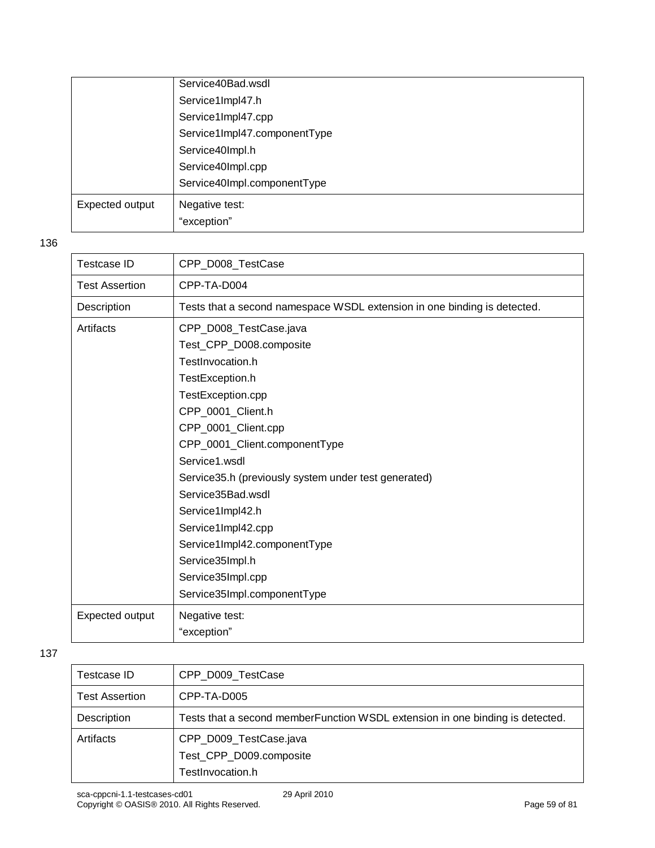|                 | Service40Bad.wsdl            |
|-----------------|------------------------------|
|                 | Service1Impl47.h             |
|                 | Service1Impl47.cpp           |
|                 | Service1Impl47.componentType |
|                 | Service40Impl.h              |
|                 | Service40Impl.cpp            |
|                 | Service40Impl.componentType  |
| Expected output | Negative test:               |
|                 | "exception"                  |

| Testcase ID                   | CPP_D008_TestCase                                                        |
|-------------------------------|--------------------------------------------------------------------------|
| <b>Test Assertion</b>         | CPP-TA-D004                                                              |
| Description                   | Tests that a second namespace WSDL extension in one binding is detected. |
| Artifacts                     | CPP_D008_TestCase.java                                                   |
|                               | Test_CPP_D008.composite                                                  |
|                               | TestInvocation.h                                                         |
|                               | TestException.h                                                          |
|                               | TestException.cpp                                                        |
|                               | CPP_0001_Client.h                                                        |
|                               | CPP_0001_Client.cpp                                                      |
| CPP_0001_Client.componentType |                                                                          |
|                               | Service1.wsdl                                                            |
|                               | Service35.h (previously system under test generated)                     |
|                               | Service35Bad.wsdl                                                        |
|                               | Service1Impl42.h                                                         |
|                               | Service1Impl42.cpp                                                       |
|                               | Service1Impl42.componentType                                             |
| Service35Impl.h               |                                                                          |
|                               | Service35Impl.cpp                                                        |
| Service35Impl.componentType   |                                                                          |
| Expected output               | Negative test:                                                           |
|                               | "exception"                                                              |

| Testcase ID           | CPP_D009_TestCase                                                              |
|-----------------------|--------------------------------------------------------------------------------|
| <b>Test Assertion</b> | CPP-TA-D005                                                                    |
| Description           | Tests that a second member Function WSDL extension in one binding is detected. |
| Artifacts             | CPP_D009_TestCase.java                                                         |
|                       | Test_CPP_D009.composite                                                        |
|                       | TestInvocation.h                                                               |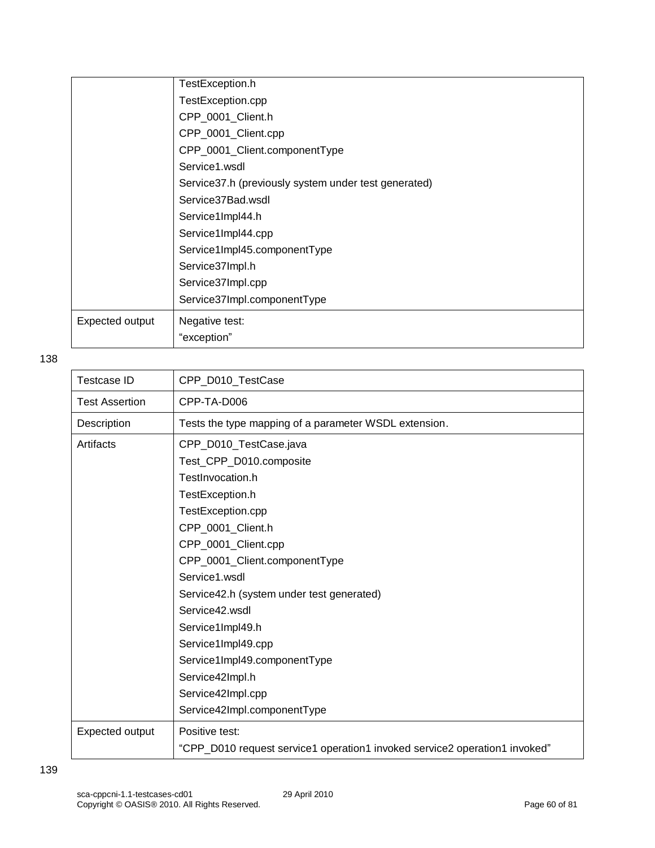|                 | TestException.h                                       |  |
|-----------------|-------------------------------------------------------|--|
|                 | TestException.cpp                                     |  |
|                 | CPP_0001_Client.h                                     |  |
|                 | CPP_0001_Client.cpp                                   |  |
|                 | CPP_0001_Client.componentType                         |  |
|                 | Service1.wsdl                                         |  |
|                 | Service 37.h (previously system under test generated) |  |
|                 | Service37Bad.wsdl                                     |  |
|                 | Service1Impl44.h                                      |  |
|                 | Service1Impl44.cpp                                    |  |
|                 | Service1Impl45.componentType                          |  |
|                 | Service37Impl.h                                       |  |
|                 | Service37Impl.cpp                                     |  |
|                 | Service37Impl.componentType                           |  |
| Expected output | Negative test:                                        |  |
|                 | "exception"                                           |  |

| <b>Testcase ID</b>                                 | CPP_D010_TestCase                                                                           |  |
|----------------------------------------------------|---------------------------------------------------------------------------------------------|--|
| <b>Test Assertion</b>                              | CPP-TA-D006                                                                                 |  |
| Description                                        | Tests the type mapping of a parameter WSDL extension.                                       |  |
| Artifacts                                          | CPP_D010_TestCase.java                                                                      |  |
|                                                    | Test_CPP_D010.composite                                                                     |  |
|                                                    | TestInvocation.h                                                                            |  |
|                                                    | TestException.h                                                                             |  |
|                                                    | TestException.cpp                                                                           |  |
|                                                    | CPP_0001_Client.h                                                                           |  |
| CPP_0001_Client.cpp                                |                                                                                             |  |
|                                                    | CPP_0001_Client.componentType<br>Service1.wsdl<br>Service42.h (system under test generated) |  |
|                                                    |                                                                                             |  |
|                                                    |                                                                                             |  |
| Service42.wsdl                                     |                                                                                             |  |
|                                                    | Service1Impl49.h                                                                            |  |
| Service1Impl49.cpp<br>Service1Impl49.componentType |                                                                                             |  |
|                                                    |                                                                                             |  |
| Service42Impl.cpp                                  |                                                                                             |  |
|                                                    | Service42Impl.componentType                                                                 |  |
| Expected output                                    | Positive test:                                                                              |  |
|                                                    | "CPP_D010 request service1 operation1 invoked service2 operation1 invoked"                  |  |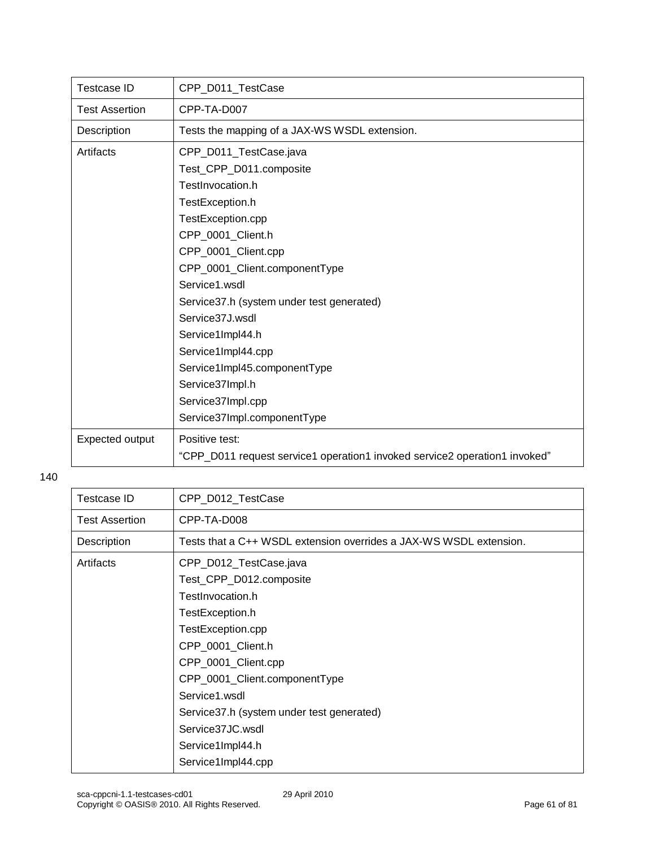| <b>Testcase ID</b>           | CPP_D011_TestCase                                                          |  |
|------------------------------|----------------------------------------------------------------------------|--|
| <b>Test Assertion</b>        | CPP-TA-D007                                                                |  |
| Description                  | Tests the mapping of a JAX-WS WSDL extension.                              |  |
| Artifacts                    | CPP_D011_TestCase.java                                                     |  |
|                              | Test_CPP_D011.composite                                                    |  |
|                              | TestInvocation.h                                                           |  |
|                              | TestException.h                                                            |  |
| TestException.cpp            |                                                                            |  |
|                              | CPP 0001 Client.h                                                          |  |
| CPP_0001_Client.cpp          |                                                                            |  |
|                              | CPP_0001_Client.componentType                                              |  |
|                              | Service1.wsdl                                                              |  |
|                              | Service37.h (system under test generated)                                  |  |
| Service37J.wsdl              |                                                                            |  |
|                              | Service1Impl44.h                                                           |  |
|                              | Service1Impl44.cpp                                                         |  |
| Service1Impl45.componentType |                                                                            |  |
|                              | Service37Impl.h                                                            |  |
| Service37Impl.cpp            |                                                                            |  |
|                              | Service37Impl.componentType                                                |  |
| Expected output              | Positive test:                                                             |  |
|                              | "CPP_D011 request service1 operation1 invoked service2 operation1 invoked" |  |

| <b>Testcase ID</b>    | CPP_D012_TestCase                                                  |
|-----------------------|--------------------------------------------------------------------|
| <b>Test Assertion</b> | CPP-TA-D008                                                        |
| Description           | Tests that a C++ WSDL extension overrides a JAX-WS WSDL extension. |
| Artifacts             | CPP_D012_TestCase.java                                             |
|                       | Test_CPP_D012.composite                                            |
|                       | TestInvocation.h                                                   |
| TestException.h       |                                                                    |
|                       | TestException.cpp                                                  |
|                       | CPP_0001_Client.h                                                  |
|                       | CPP_0001_Client.cpp                                                |
|                       | CPP_0001_Client.componentType                                      |
|                       | Service1.wsdl                                                      |
|                       | Service 37.h (system under test generated)                         |
|                       | Service37JC.wsdl                                                   |
|                       | Service1Impl44.h                                                   |
|                       | Service1Impl44.cpp                                                 |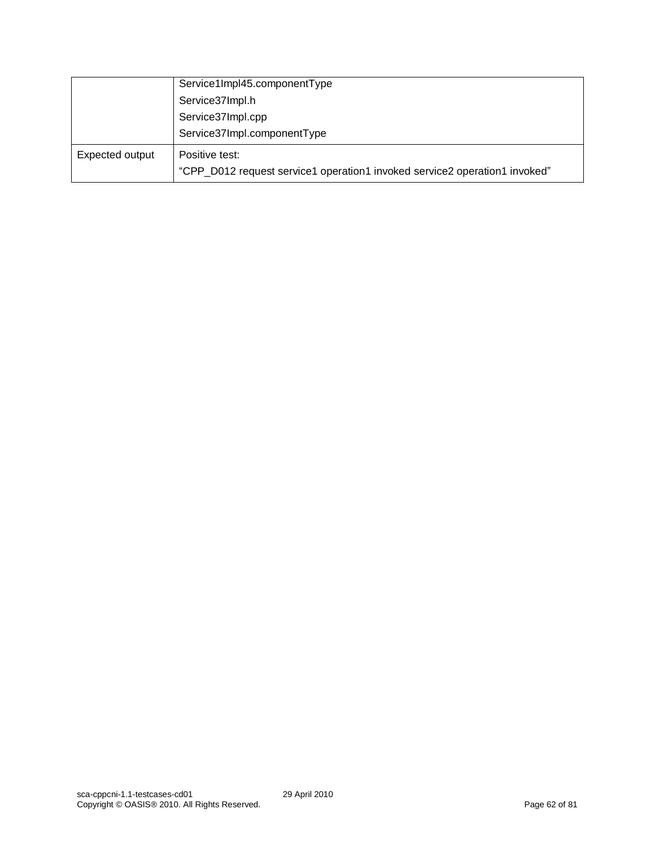|                 | Service1Impl45.componentType                                                                 |  |
|-----------------|----------------------------------------------------------------------------------------------|--|
|                 | Service37Impl.h                                                                              |  |
|                 | Service37Impl.cpp                                                                            |  |
|                 | Service37Impl.componentType                                                                  |  |
| Expected output | Positive test:<br>"CPP_D012 request service1 operation1 invoked service2 operation1 invoked" |  |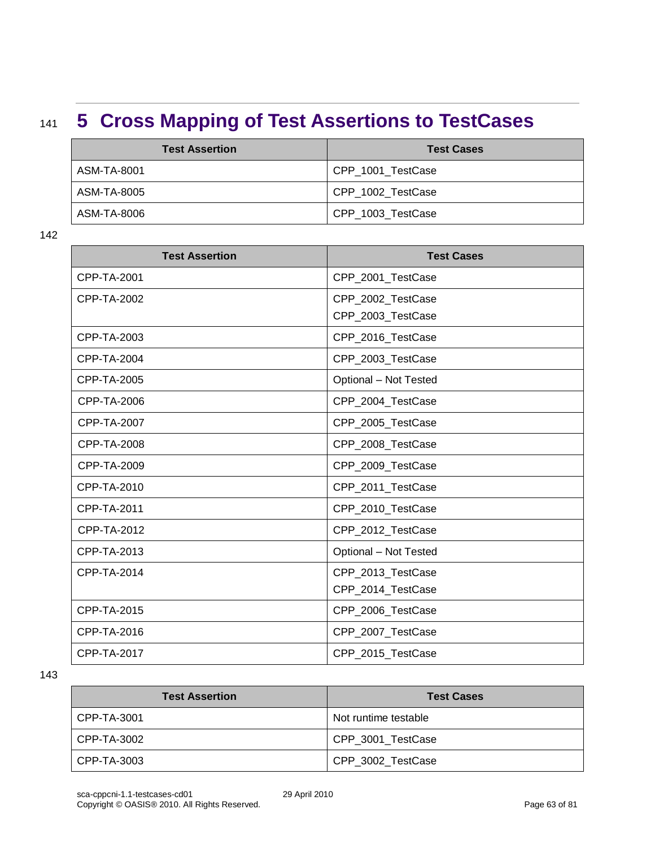## <sup>141</sup> **5 Cross Mapping of Test Assertions to TestCases**

| <b>Test Assertion</b> | <b>Test Cases</b> |
|-----------------------|-------------------|
| ASM-TA-8001           | CPP 1001 TestCase |
| ASM-TA-8005           | CPP 1002 TestCase |
| ASM-TA-8006           | CPP_1003_TestCase |

142

| <b>Test Assertion</b> | <b>Test Cases</b>     |
|-----------------------|-----------------------|
| CPP-TA-2001           | CPP_2001_TestCase     |
| CPP-TA-2002           | CPP_2002_TestCase     |
|                       | CPP_2003_TestCase     |
| CPP-TA-2003           | CPP_2016_TestCase     |
| CPP-TA-2004           | CPP_2003_TestCase     |
| CPP-TA-2005           | Optional - Not Tested |
| <b>CPP-TA-2006</b>    | CPP_2004_TestCase     |
| <b>CPP-TA-2007</b>    | CPP_2005_TestCase     |
| <b>CPP-TA-2008</b>    | CPP_2008_TestCase     |
| CPP-TA-2009           | CPP 2009 TestCase     |
| CPP-TA-2010           | CPP_2011_TestCase     |
| CPP-TA-2011           | CPP_2010_TestCase     |
| CPP-TA-2012           | CPP_2012_TestCase     |
| CPP-TA-2013           | Optional - Not Tested |
| CPP-TA-2014           | CPP_2013_TestCase     |
|                       | CPP_2014_TestCase     |
| CPP-TA-2015           | CPP_2006_TestCase     |
| CPP-TA-2016           | CPP_2007_TestCase     |
| <b>CPP-TA-2017</b>    | CPP 2015 TestCase     |

| <b>Test Assertion</b> | <b>Test Cases</b>    |
|-----------------------|----------------------|
| CPP-TA-3001           | Not runtime testable |
| CPP-TA-3002           | CPP 3001 TestCase    |
| CPP-TA-3003           | CPP_3002_TestCase    |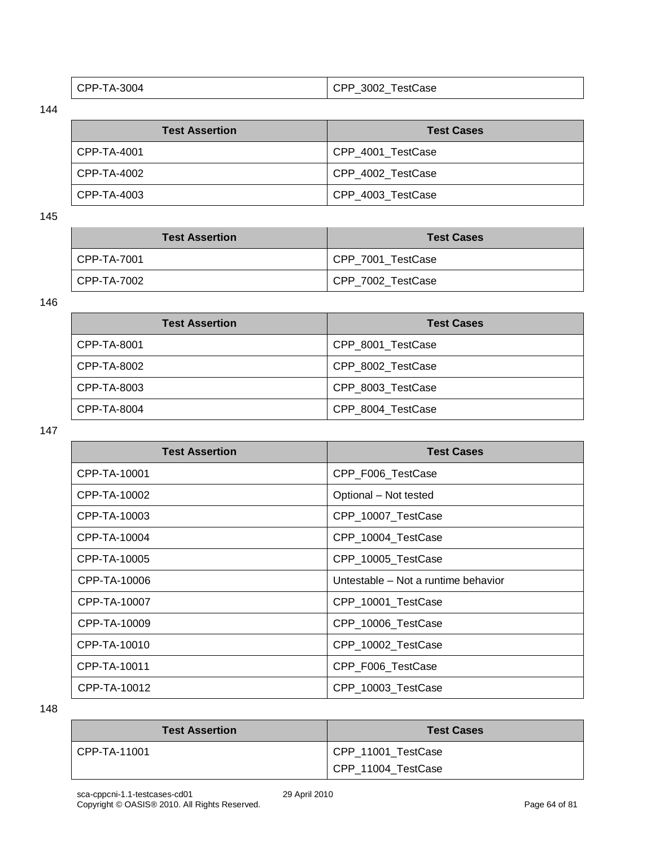| $\vert$ CPP-TA-3004 | CPP_3002_TestCase |
|---------------------|-------------------|
|                     |                   |

| <b>Test Assertion</b> | <b>Test Cases</b> |
|-----------------------|-------------------|
| CPP-TA-4001           | CPP 4001 TestCase |
| l CPP-TA-4002         | CPP 4002 TestCase |
| l CPP-TA-4003         | CPP 4003 TestCase |

145

| <b>Test Assertion</b> | <b>Test Cases</b> |
|-----------------------|-------------------|
| CPP-TA-7001           | CPP_7001_TestCase |
| CPP-TA-7002           | CPP_7002_TestCase |

146

| <b>Test Assertion</b> | <b>Test Cases</b> |
|-----------------------|-------------------|
| CPP-TA-8001           | CPP 8001 TestCase |
| CPP-TA-8002           | CPP_8002_TestCase |
| CPP-TA-8003           | CPP 8003 TestCase |
| CPP-TA-8004           | CPP 8004 TestCase |

147

| <b>Test Assertion</b> | <b>Test Cases</b>                   |
|-----------------------|-------------------------------------|
| CPP-TA-10001          | CPP_F006_TestCase                   |
| CPP-TA-10002          | Optional - Not tested               |
| CPP-TA-10003          | CPP_10007_TestCase                  |
| CPP-TA-10004          | CPP_10004_TestCase                  |
| CPP-TA-10005          | CPP_10005_TestCase                  |
| CPP-TA-10006          | Untestable - Not a runtime behavior |
| CPP-TA-10007          | CPP_10001_TestCase                  |
| CPP-TA-10009          | CPP_10006_TestCase                  |
| CPP-TA-10010          | CPP_10002_TestCase                  |
| CPP-TA-10011          | CPP_F006_TestCase                   |
| CPP-TA-10012          | CPP_10003_TestCase                  |

| <b>Test Assertion</b> | <b>Test Cases</b>                        |
|-----------------------|------------------------------------------|
| CPP-TA-11001          | CPP_11001_TestCase<br>CPP_11004_TestCase |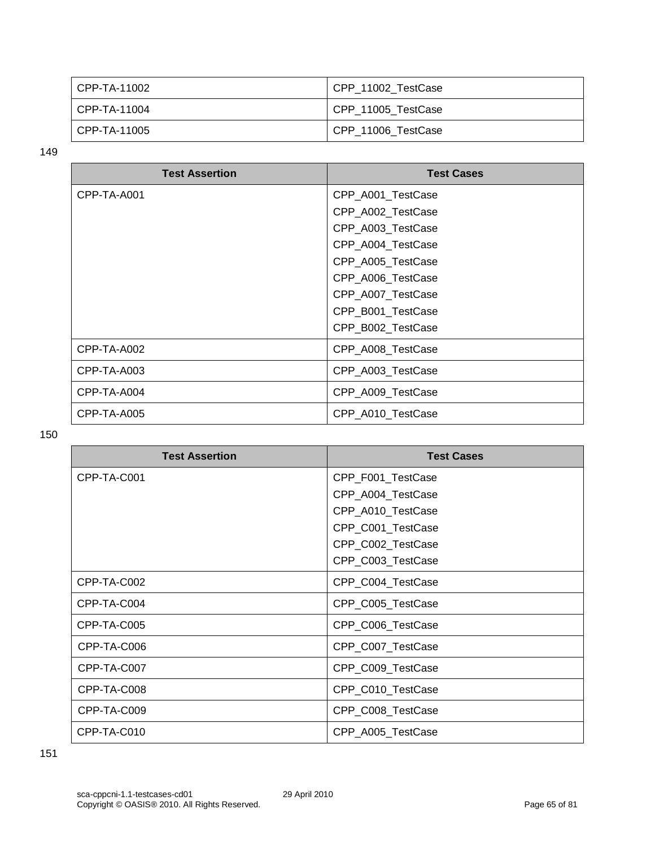| l CPP-TA-11002 | CPP 11002 TestCase |
|----------------|--------------------|
| l CPP-TA-11004 | CPP_11005_TestCase |
| l CPP-TA-11005 | CPP_11006_TestCase |

| <b>Test Assertion</b> | <b>Test Cases</b> |
|-----------------------|-------------------|
| CPP-TA-A001           | CPP_A001_TestCase |
|                       | CPP_A002_TestCase |
|                       | CPP_A003_TestCase |
|                       | CPP_A004_TestCase |
|                       | CPP_A005_TestCase |
|                       | CPP_A006_TestCase |
|                       | CPP_A007_TestCase |
|                       | CPP_B001_TestCase |
|                       | CPP_B002_TestCase |
| CPP-TA-A002           | CPP_A008_TestCase |
| CPP-TA-A003           | CPP_A003_TestCase |
| CPP-TA-A004           | CPP_A009_TestCase |
| CPP-TA-A005           | CPP_A010_TestCase |

| <b>Test Assertion</b> | <b>Test Cases</b> |
|-----------------------|-------------------|
| CPP-TA-C001           | CPP_F001_TestCase |
|                       | CPP_A004_TestCase |
|                       | CPP_A010_TestCase |
|                       | CPP_C001_TestCase |
|                       | CPP_C002_TestCase |
|                       | CPP_C003_TestCase |
| CPP-TA-C002           | CPP_C004_TestCase |
| CPP-TA-C004           | CPP_C005_TestCase |
| CPP-TA-C005           | CPP_C006_TestCase |
| CPP-TA-C006           | CPP_C007_TestCase |
| CPP-TA-C007           | CPP_C009_TestCase |
| CPP-TA-C008           | CPP_C010_TestCase |
| CPP-TA-C009           | CPP_C008_TestCase |
| CPP-TA-C010           | CPP_A005_TestCase |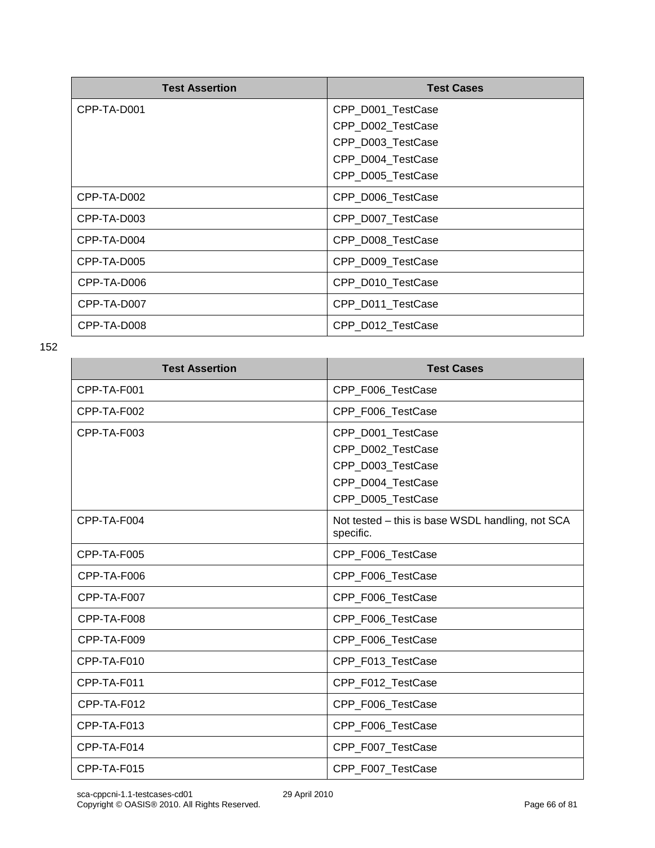| <b>Test Assertion</b> | <b>Test Cases</b> |
|-----------------------|-------------------|
| CPP-TA-D001           | CPP_D001_TestCase |
|                       | CPP_D002_TestCase |
|                       | CPP_D003_TestCase |
|                       | CPP_D004_TestCase |
|                       | CPP_D005_TestCase |
| CPP-TA-D002           | CPP_D006_TestCase |
| CPP-TA-D003           | CPP_D007_TestCase |
| CPP-TA-D004           | CPP_D008_TestCase |
| CPP-TA-D005           | CPP_D009_TestCase |
| CPP-TA-D006           | CPP_D010_TestCase |
| CPP-TA-D007           | CPP_D011_TestCase |
| CPP-TA-D008           | CPP_D012_TestCase |

| <b>Test Assertion</b> | <b>Test Cases</b>                                             |
|-----------------------|---------------------------------------------------------------|
| CPP-TA-F001           | CPP_F006_TestCase                                             |
| CPP-TA-F002           | CPP_F006_TestCase                                             |
| CPP-TA-F003           | CPP_D001_TestCase                                             |
|                       | CPP_D002_TestCase                                             |
|                       | CPP_D003_TestCase                                             |
|                       | CPP_D004_TestCase                                             |
|                       | CPP_D005_TestCase                                             |
| CPP-TA-F004           | Not tested – this is base WSDL handling, not SCA<br>specific. |
| CPP-TA-F005           | CPP_F006_TestCase                                             |
| CPP-TA-F006           | CPP_F006_TestCase                                             |
| CPP-TA-F007           | CPP_F006_TestCase                                             |
| CPP-TA-F008           | CPP_F006_TestCase                                             |
| CPP-TA-F009           | CPP_F006_TestCase                                             |
| CPP-TA-F010           | CPP_F013_TestCase                                             |
| CPP-TA-F011           | CPP_F012_TestCase                                             |
| CPP-TA-F012           | CPP_F006_TestCase                                             |
| CPP-TA-F013           | CPP_F006_TestCase                                             |
| CPP-TA-F014           | CPP_F007_TestCase                                             |
| CPP-TA-F015           | CPP_F007_TestCase                                             |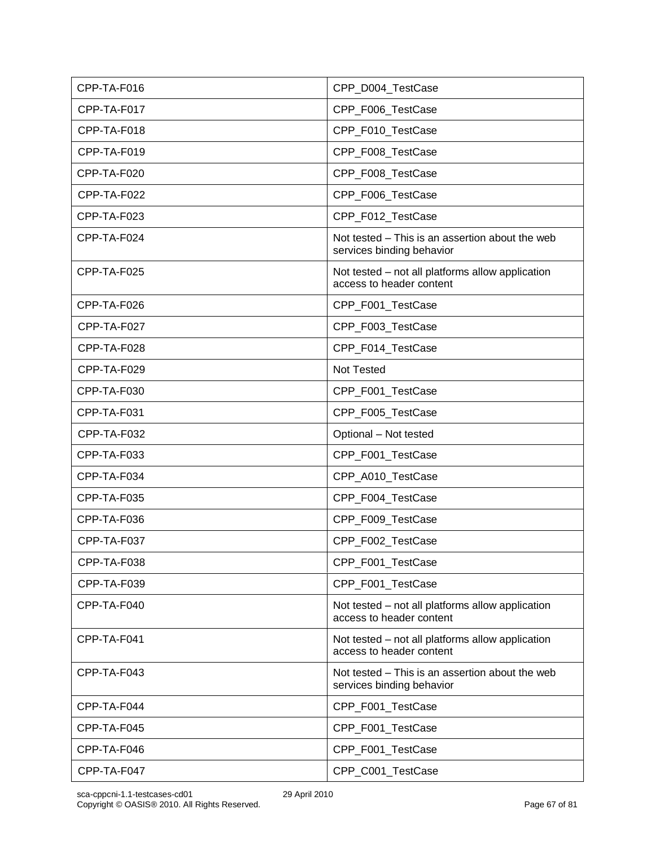| CPP-TA-F016 | CPP_D004_TestCase                                                            |
|-------------|------------------------------------------------------------------------------|
| CPP-TA-F017 | CPP_F006_TestCase                                                            |
| CPP-TA-F018 | CPP_F010_TestCase                                                            |
| CPP-TA-F019 | CPP_F008_TestCase                                                            |
| CPP-TA-F020 | CPP_F008_TestCase                                                            |
| CPP-TA-F022 | CPP_F006_TestCase                                                            |
| CPP-TA-F023 | CPP_F012_TestCase                                                            |
| CPP-TA-F024 | Not tested – This is an assertion about the web<br>services binding behavior |
| CPP-TA-F025 | Not tested - not all platforms allow application<br>access to header content |
| CPP-TA-F026 | CPP_F001_TestCase                                                            |
| CPP-TA-F027 | CPP_F003_TestCase                                                            |
| CPP-TA-F028 | CPP_F014_TestCase                                                            |
| CPP-TA-F029 | Not Tested                                                                   |
| CPP-TA-F030 | CPP_F001_TestCase                                                            |
| CPP-TA-F031 | CPP_F005_TestCase                                                            |
| CPP-TA-F032 | Optional - Not tested                                                        |
| CPP-TA-F033 | CPP_F001_TestCase                                                            |
| CPP-TA-F034 | CPP_A010_TestCase                                                            |
| CPP-TA-F035 | CPP_F004_TestCase                                                            |
| CPP-TA-F036 | CPP_F009_TestCase                                                            |
| CPP-TA-F037 | CPP_F002_TestCase                                                            |
| CPP-TA-F038 | CPP_F001_TestCase                                                            |
| CPP-TA-F039 | CPP F001 TestCase                                                            |
| CPP-TA-F040 | Not tested - not all platforms allow application<br>access to header content |
| CPP-TA-F041 | Not tested - not all platforms allow application<br>access to header content |
| CPP-TA-F043 | Not tested – This is an assertion about the web<br>services binding behavior |
| CPP-TA-F044 | CPP_F001_TestCase                                                            |
| CPP-TA-F045 | CPP_F001_TestCase                                                            |
| CPP-TA-F046 | CPP_F001_TestCase                                                            |
| CPP-TA-F047 | CPP_C001_TestCase                                                            |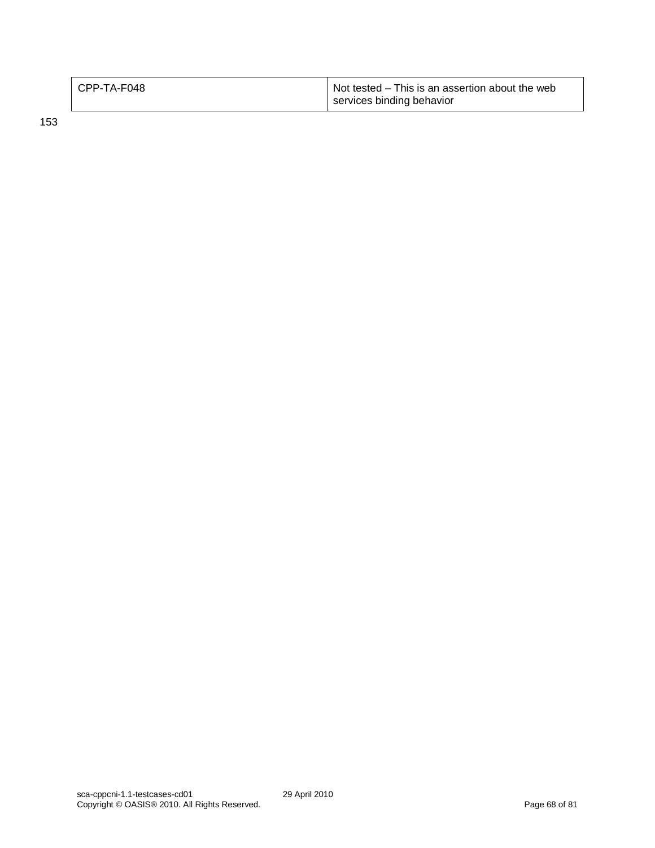| CPP-TA-F048 | Not tested – This is an assertion about the web<br>services binding behavior |
|-------------|------------------------------------------------------------------------------|
|             |                                                                              |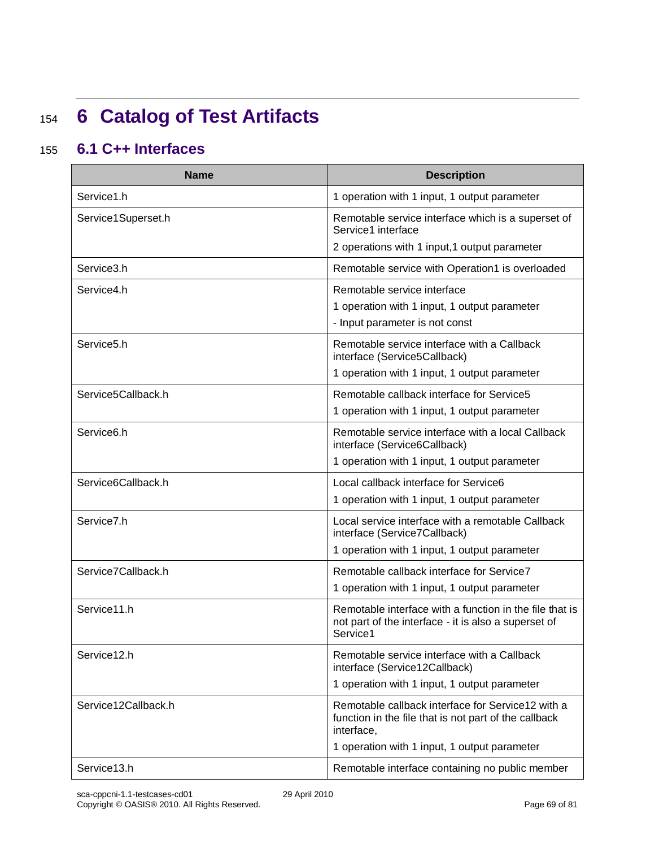## <sup>154</sup> **6 Catalog of Test Artifacts**

### 155 **6.1 C++ Interfaces**

| <b>Name</b>             | <b>Description</b>                                                                                                          |
|-------------------------|-----------------------------------------------------------------------------------------------------------------------------|
| Service1.h              | 1 operation with 1 input, 1 output parameter                                                                                |
| Service1Superset.h      | Remotable service interface which is a superset of<br>Service1 interface                                                    |
|                         | 2 operations with 1 input, 1 output parameter                                                                               |
| Service3.h              | Remotable service with Operation1 is overloaded                                                                             |
| Service4.h              | Remotable service interface                                                                                                 |
|                         | 1 operation with 1 input, 1 output parameter                                                                                |
|                         | - Input parameter is not const                                                                                              |
| Service <sub>5</sub> .h | Remotable service interface with a Callback<br>interface (Service5Callback)                                                 |
|                         | 1 operation with 1 input, 1 output parameter                                                                                |
| Service5Callback.h      | Remotable callback interface for Service5                                                                                   |
|                         | 1 operation with 1 input, 1 output parameter                                                                                |
| Service <sub>6.h</sub>  | Remotable service interface with a local Callback<br>interface (Service6Callback)                                           |
|                         | 1 operation with 1 input, 1 output parameter                                                                                |
| Service6Callback.h      | Local callback interface for Service6                                                                                       |
|                         | 1 operation with 1 input, 1 output parameter                                                                                |
| Service7.h              | Local service interface with a remotable Callback<br>interface (Service7Callback)                                           |
|                         | 1 operation with 1 input, 1 output parameter                                                                                |
| Service7Callback.h      | Remotable callback interface for Service7                                                                                   |
|                         | 1 operation with 1 input, 1 output parameter                                                                                |
| Service11.h             | Remotable interface with a function in the file that is<br>not part of the interface - it is also a superset of<br>Service1 |
| Service12.h             | Remotable service interface with a Callback<br>interface (Service12Callback)                                                |
|                         | 1 operation with 1 input, 1 output parameter                                                                                |
| Service12Callback.h     | Remotable callback interface for Service12 with a<br>function in the file that is not part of the callback<br>interface,    |
|                         | 1 operation with 1 input, 1 output parameter                                                                                |
| Service13.h             | Remotable interface containing no public member                                                                             |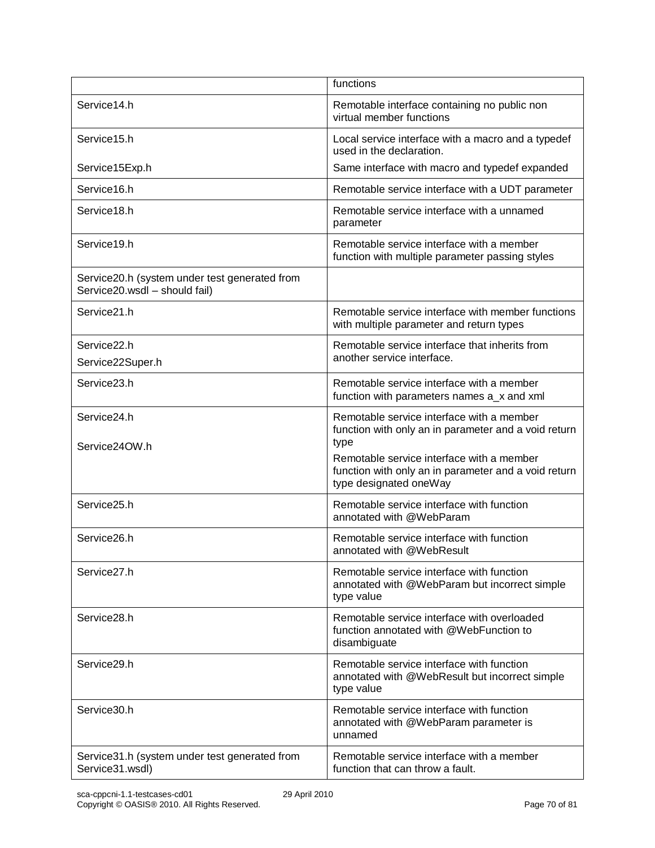|                                                                                | functions                                                                                                                           |
|--------------------------------------------------------------------------------|-------------------------------------------------------------------------------------------------------------------------------------|
| Service14.h                                                                    | Remotable interface containing no public non<br>virtual member functions                                                            |
| Service15.h                                                                    | Local service interface with a macro and a typedef<br>used in the declaration.                                                      |
| Service15Exp.h                                                                 | Same interface with macro and typedef expanded                                                                                      |
| Service16.h                                                                    | Remotable service interface with a UDT parameter                                                                                    |
| Service18.h                                                                    | Remotable service interface with a unnamed<br>parameter                                                                             |
| Service19.h                                                                    | Remotable service interface with a member<br>function with multiple parameter passing styles                                        |
| Service20.h (system under test generated from<br>Service20.wsdl - should fail) |                                                                                                                                     |
| Service21.h                                                                    | Remotable service interface with member functions<br>with multiple parameter and return types                                       |
| Service22.h<br>Service22Super.h                                                | Remotable service interface that inherits from<br>another service interface.                                                        |
| Service23.h                                                                    | Remotable service interface with a member<br>function with parameters names a_x and xml                                             |
| Service24.h                                                                    | Remotable service interface with a member<br>function with only an in parameter and a void return                                   |
| Service24OW.h                                                                  | type<br>Remotable service interface with a member<br>function with only an in parameter and a void return<br>type designated oneWay |
| Service25.h                                                                    | Remotable service interface with function<br>annotated with @WebParam                                                               |
| Service26.h                                                                    | Remotable service interface with function<br>annotated with @WebResult                                                              |
| Service <sub>27.h</sub>                                                        | Remotable service interface with function<br>annotated with @WebParam but incorrect simple<br>type value                            |
| Service28.h                                                                    | Remotable service interface with overloaded<br>function annotated with @WebFunction to<br>disambiguate                              |
| Service29.h                                                                    | Remotable service interface with function<br>annotated with @WebResult but incorrect simple<br>type value                           |
| Service30.h                                                                    | Remotable service interface with function<br>annotated with @WebParam parameter is<br>unnamed                                       |
| Service 31.h (system under test generated from<br>Service31.wsdl)              | Remotable service interface with a member<br>function that can throw a fault.                                                       |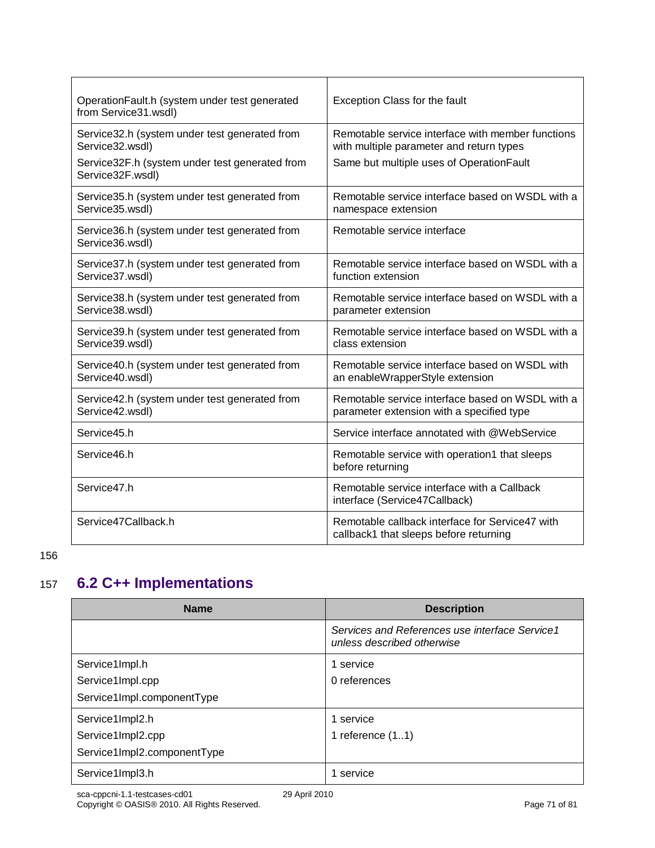| OperationFault.h (system under test generated<br>from Service31.wsdl) | Exception Class for the fault                                                                 |
|-----------------------------------------------------------------------|-----------------------------------------------------------------------------------------------|
| Service32.h (system under test generated from<br>Service32.wsdl)      | Remotable service interface with member functions<br>with multiple parameter and return types |
| Service32F.h (system under test generated from<br>Service32F.wsdl)    | Same but multiple uses of OperationFault                                                      |
| Service35.h (system under test generated from<br>Service35.wsdl)      | Remotable service interface based on WSDL with a<br>namespace extension                       |
| Service36.h (system under test generated from<br>Service36.wsdl)      | Remotable service interface                                                                   |
| Service37.h (system under test generated from<br>Service37.wsdl)      | Remotable service interface based on WSDL with a<br>function extension                        |
| Service38.h (system under test generated from<br>Service38.wsdl)      | Remotable service interface based on WSDL with a<br>parameter extension                       |
| Service39.h (system under test generated from<br>Service39.wsdl)      | Remotable service interface based on WSDL with a<br>class extension                           |
| Service40.h (system under test generated from<br>Service40.wsdl)      | Remotable service interface based on WSDL with<br>an enableWrapperStyle extension             |
| Service42.h (system under test generated from<br>Service42.wsdl)      | Remotable service interface based on WSDL with a<br>parameter extension with a specified type |
| Service45.h                                                           | Service interface annotated with @WebService                                                  |
| Service46.h                                                           | Remotable service with operation1 that sleeps<br>before returning                             |
| Service47.h                                                           | Remotable service interface with a Callback<br>interface (Service47Callback)                  |
| Service47Callback.h                                                   | Remotable callback interface for Service47 with<br>callback1 that sleeps before returning     |

### 157 **6.2 C++ Implementations**

| <b>Name</b>                 | <b>Description</b>                                                           |
|-----------------------------|------------------------------------------------------------------------------|
|                             | Services and References use interface Service1<br>unless described otherwise |
| Service1Impl.h              | 1 service                                                                    |
| Service1Impl.cpp            | 0 references                                                                 |
| Service1Impl.componentType  |                                                                              |
| Service1Impl2.h             | 1 service                                                                    |
| Service1Impl2.cpp           | 1 reference $(11)$                                                           |
| Service1Impl2.componentType |                                                                              |
| Service1Impl3.h             | l service                                                                    |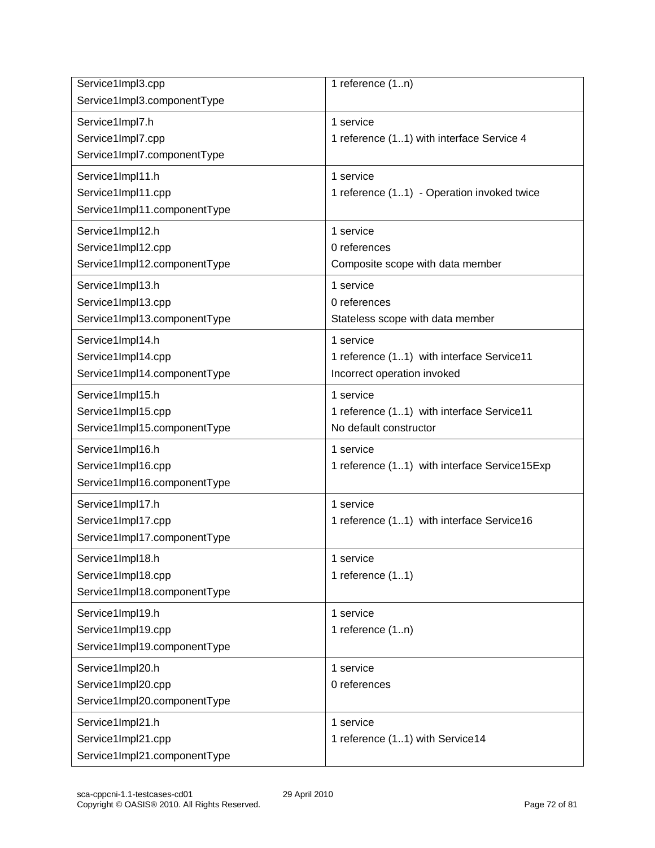| Service1Impl3.cpp<br>Service1Impl3.componentType                       | 1 reference (1n)                                                                      |
|------------------------------------------------------------------------|---------------------------------------------------------------------------------------|
| Service1Impl7.h<br>Service1Impl7.cpp<br>Service1Impl7.componentType    | 1 service<br>1 reference (11) with interface Service 4                                |
| Service1Impl11.h<br>Service1Impl11.cpp<br>Service1Impl11.componentType | 1 service<br>1 reference (11) - Operation invoked twice                               |
| Service1Impl12.h<br>Service1Impl12.cpp<br>Service1Impl12.componentType | 1 service<br>0 references<br>Composite scope with data member                         |
| Service1Impl13.h<br>Service1Impl13.cpp<br>Service1Impl13.componentType | 1 service<br>0 references<br>Stateless scope with data member                         |
| Service1Impl14.h<br>Service1Impl14.cpp<br>Service1Impl14.componentType | 1 service<br>1 reference (11) with interface Service11<br>Incorrect operation invoked |
| Service1Impl15.h<br>Service1Impl15.cpp<br>Service1Impl15.componentType | 1 service<br>1 reference (11) with interface Service11<br>No default constructor      |
| Service1Impl16.h<br>Service1Impl16.cpp<br>Service1Impl16.componentType | 1 service<br>1 reference (11) with interface Service15Exp                             |
| Service1Impl17.h<br>Service1Impl17.cpp<br>Service1Impl17.componentType | 1 service<br>1 reference (11) with interface Service16                                |
| Service1Impl18.h<br>Service1Impl18.cpp<br>Service1Impl18.componentType | 1 service<br>1 reference $(11)$                                                       |
| Service1Impl19.h<br>Service1Impl19.cpp<br>Service1Impl19.componentType | 1 service<br>1 reference (1n)                                                         |
| Service1Impl20.h<br>Service1Impl20.cpp<br>Service1Impl20.componentType | 1 service<br>0 references                                                             |
| Service1Impl21.h<br>Service1Impl21.cpp<br>Service1Impl21.componentType | 1 service<br>1 reference (11) with Service14                                          |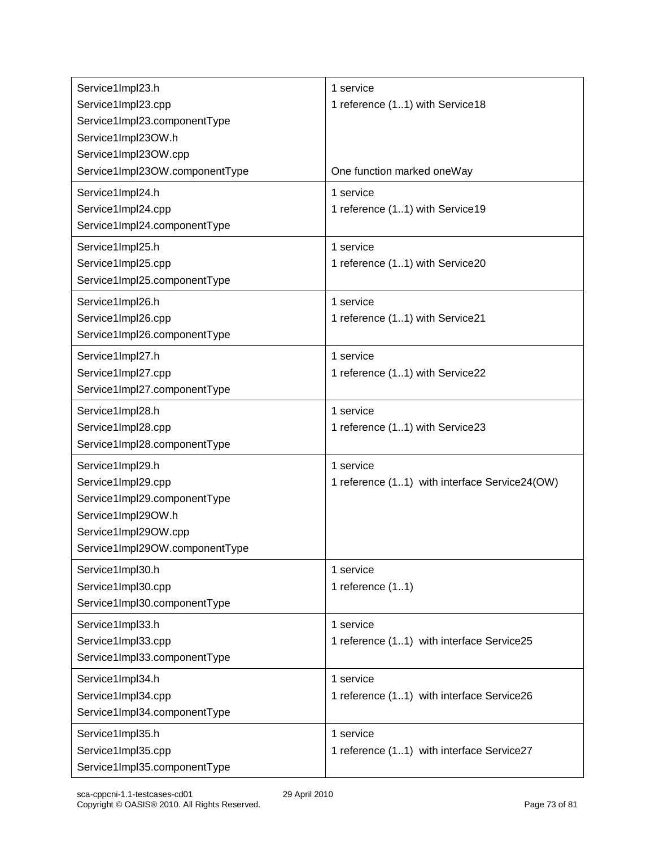| Service1Impl23.h                       | 1 service                                     |
|----------------------------------------|-----------------------------------------------|
| Service1Impl23.cpp                     | 1 reference (11) with Service18               |
| Service1Impl23.componentType           |                                               |
| Service1Impl23OW.h                     |                                               |
| Service1Impl23OW.cpp                   |                                               |
| Service1Impl23OW.componentType         | One function marked oneWay                    |
|                                        |                                               |
| Service1Impl24.h                       | 1 service                                     |
| Service1Impl24.cpp                     | 1 reference (11) with Service19               |
| Service1Impl24.componentType           |                                               |
| Service1Impl25.h                       | 1 service                                     |
| Service1Impl25.cpp                     | 1 reference (11) with Service20               |
| Service1Impl25.componentType           |                                               |
| Service1Impl26.h                       | 1 service                                     |
| Service1Impl26.cpp                     | 1 reference (11) with Service21               |
| Service1Impl26.componentType           |                                               |
| Service1Impl27.h                       | 1 service                                     |
| Service1Impl27.cpp                     | 1 reference (11) with Service22               |
| Service1Impl27.componentType           |                                               |
| Service1Impl28.h                       | 1 service                                     |
| Service1Impl28.cpp                     | 1 reference (11) with Service23               |
| Service1Impl28.componentType           |                                               |
|                                        | 1 service                                     |
| Service1Impl29.h<br>Service1Impl29.cpp |                                               |
|                                        | 1 reference (11) with interface Service24(OW) |
| Service1Impl29.componentType           |                                               |
| Service1Impl29OW.h                     |                                               |
| Service1Impl29OW.cpp                   |                                               |
| Service1Impl29OW.componentType         |                                               |
| Service1Impl30.h                       | 1 service                                     |
| Service1Impl30.cpp                     | 1 reference $(11)$                            |
| Service1Impl30.componentType           |                                               |
| Service1Impl33.h                       | 1 service                                     |
| Service1Impl33.cpp                     | 1 reference (11) with interface Service25     |
| Service1Impl33.componentType           |                                               |
| Service1Impl34.h                       | 1 service                                     |
| Service1Impl34.cpp                     | 1 reference (11) with interface Service26     |
| Service1Impl34.componentType           |                                               |
| Service1Impl35.h                       | 1 service                                     |
| Service1Impl35.cpp                     | 1 reference (11) with interface Service27     |
| Service1Impl35.componentType           |                                               |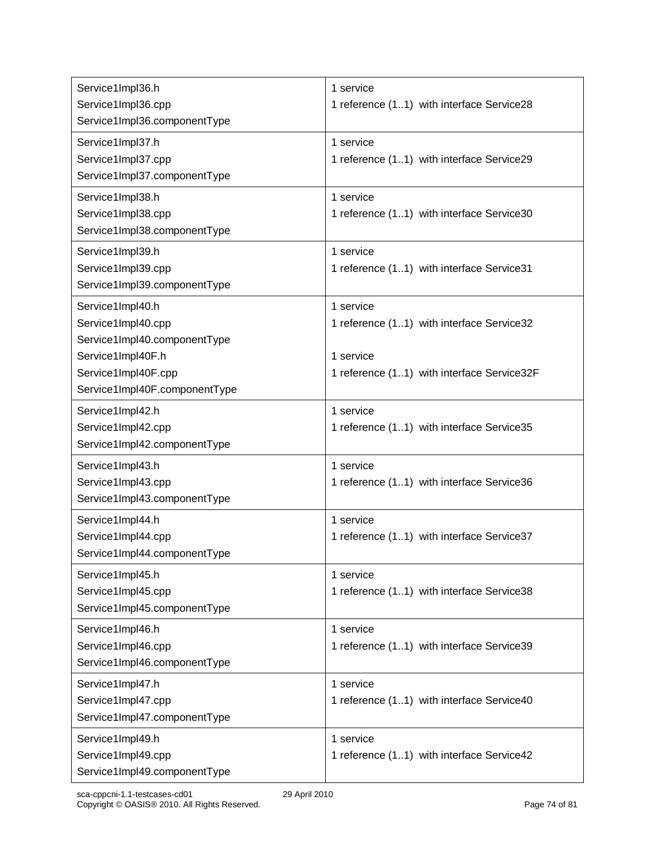| Service1Impl36.h              | 1 service                                  |
|-------------------------------|--------------------------------------------|
| Service1Impl36.cpp            | 1 reference (11) with interface Service28  |
| Service1Impl36.componentType  |                                            |
| Service1Impl37.h              | 1 service                                  |
| Service1Impl37.cpp            | 1 reference (11) with interface Service29  |
| Service1Impl37.componentType  |                                            |
| Service1Impl38.h              | 1 service                                  |
| Service1Impl38.cpp            | 1 reference (11) with interface Service30  |
| Service1Impl38.componentType  |                                            |
| Service1Impl39.h              | 1 service                                  |
| Service1Impl39.cpp            | 1 reference (11) with interface Service31  |
| Service1Impl39.componentType  |                                            |
| Service1Impl40.h              | 1 service                                  |
| Service1Impl40.cpp            | 1 reference (11) with interface Service32  |
| Service1Impl40.componentType  |                                            |
| Service1Impl40F.h             | 1 service                                  |
| Service1Impl40F.cpp           | 1 reference (11) with interface Service32F |
| Service1Impl40F.componentType |                                            |
| Service1Impl42.h              | 1 service                                  |
| Service1Impl42.cpp            | 1 reference (11) with interface Service35  |
| Service1Impl42.componentType  |                                            |
| Service1Impl43.h              | 1 service                                  |
| Service1Impl43.cpp            | 1 reference (11) with interface Service36  |
| Service1Impl43.componentType  |                                            |
| Service1Impl44.h              | 1 service                                  |
| Service1Impl44.cpp            | 1 reference (11) with interface Service37  |
| Service1Impl44.componentType  |                                            |
| Service1Impl45.h              | 1 service                                  |
| Service1Impl45.cpp            | 1 reference (11) with interface Service38  |
| Service1Impl45.componentType  |                                            |
| Service1Impl46.h              | 1 service                                  |
| Service1Impl46.cpp            | 1 reference (11) with interface Service39  |
| Service1Impl46.componentType  |                                            |
| Service1Impl47.h              | 1 service                                  |
| Service1Impl47.cpp            | 1 reference (11) with interface Service40  |
| Service1Impl47.componentType  |                                            |
| Service1Impl49.h              | 1 service                                  |
| Service1Impl49.cpp            | 1 reference (11) with interface Service42  |
| Service1Impl49.componentType  |                                            |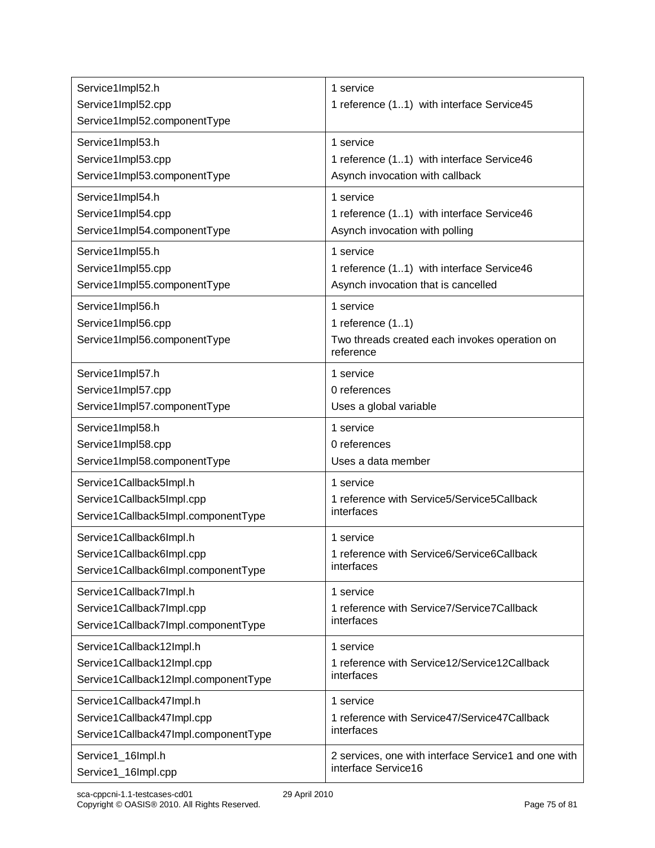| Service1Impl52.h                                                       | 1 service                                                                                     |
|------------------------------------------------------------------------|-----------------------------------------------------------------------------------------------|
| Service1Impl52.cpp<br>Service1Impl52.componentType                     | 1 reference (11) with interface Service45                                                     |
| Service1Impl53.h                                                       | 1 service                                                                                     |
| Service1Impl53.cpp                                                     | 1 reference (11) with interface Service46                                                     |
| Service1Impl53.componentType                                           | Asynch invocation with callback                                                               |
| Service1Impl54.h                                                       | 1 service                                                                                     |
| Service1Impl54.cpp                                                     | 1 reference (11) with interface Service46                                                     |
| Service1Impl54.componentType                                           | Asynch invocation with polling                                                                |
| Service1Impl55.h                                                       | 1 service                                                                                     |
| Service1Impl55.cpp                                                     | 1 reference (11) with interface Service46                                                     |
| Service1Impl55.componentType                                           | Asynch invocation that is cancelled                                                           |
| Service1Impl56.h<br>Service1Impl56.cpp<br>Service1Impl56.componentType | 1 service<br>1 reference $(11)$<br>Two threads created each invokes operation on<br>reference |
| Service1Impl57.h                                                       | 1 service                                                                                     |
| Service1Impl57.cpp                                                     | 0 references                                                                                  |
| Service1Impl57.componentType                                           | Uses a global variable                                                                        |
| Service1Impl58.h                                                       | 1 service                                                                                     |
| Service1Impl58.cpp                                                     | 0 references                                                                                  |
| Service1Impl58.componentType                                           | Uses a data member                                                                            |
| Service1Callback5Impl.h                                                | 1 service                                                                                     |
| Service1Callback5Impl.cpp                                              | 1 reference with Service5/Service5Callback                                                    |
| Service1Callback5Impl.componentType                                    | interfaces                                                                                    |
| Service1Callback6Impl.h                                                | 1 service                                                                                     |
| Service1Callback6Impl.cpp                                              | 1 reference with Service6/Service6Callback                                                    |
| Service1Callback6Impl.componentType                                    | interfaces                                                                                    |
| Service1Callback7Impl.h                                                | 1 service                                                                                     |
| Service1Callback7Impl.cpp                                              | 1 reference with Service7/Service7Callback                                                    |
| Service1Callback7Impl.componentType                                    | interfaces                                                                                    |
| Service1Callback12Impl.h                                               | 1 service                                                                                     |
| Service1Callback12Impl.cpp                                             | 1 reference with Service12/Service12Callback                                                  |
| Service1Callback12Impl.componentType                                   | interfaces                                                                                    |
| Service1Callback47Impl.h                                               | 1 service                                                                                     |
| Service1Callback47Impl.cpp                                             | 1 reference with Service47/Service47Callback                                                  |
| Service1Callback47Impl.componentType                                   | interfaces                                                                                    |
| Service1_16Impl.h                                                      | 2 services, one with interface Service1 and one with                                          |
| Service1_16Impl.cpp                                                    | interface Service16                                                                           |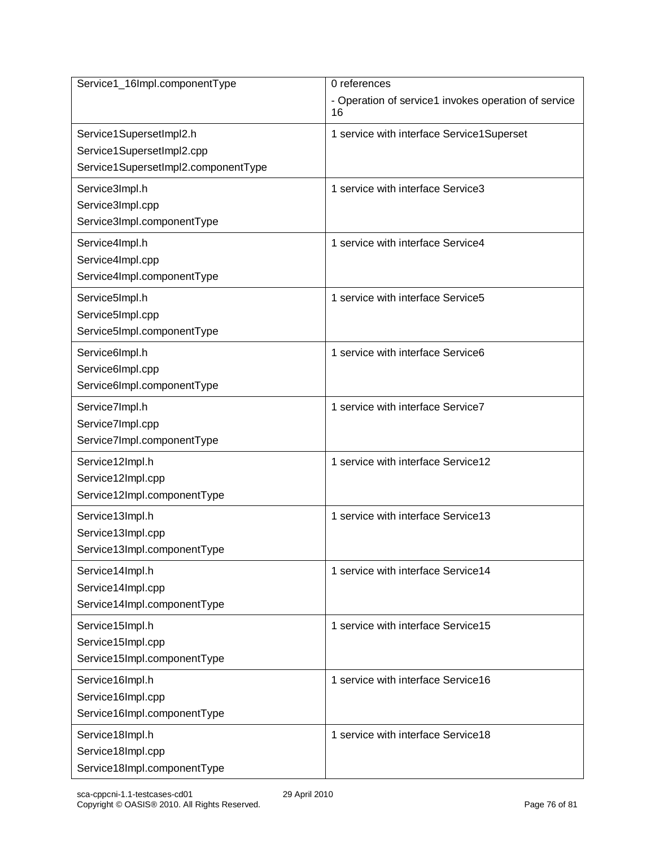| Service1_16Impl.componentType       | 0 references                                               |
|-------------------------------------|------------------------------------------------------------|
|                                     | - Operation of service1 invokes operation of service<br>16 |
| Service1SupersetImpl2.h             | 1 service with interface Service1Superset                  |
| Service1SupersetImpl2.cpp           |                                                            |
| Service1SupersetImpl2.componentType |                                                            |
| Service3Impl.h                      | 1 service with interface Service3                          |
| Service3Impl.cpp                    |                                                            |
| Service3Impl.componentType          |                                                            |
| Service4Impl.h                      | 1 service with interface Service4                          |
| Service4Impl.cpp                    |                                                            |
| Service4Impl.componentType          |                                                            |
| Service5Impl.h                      | 1 service with interface Service5                          |
| Service5Impl.cpp                    |                                                            |
| Service5Impl.componentType          |                                                            |
| Service6Impl.h                      | 1 service with interface Service6                          |
| Service6Impl.cpp                    |                                                            |
| Service6Impl.componentType          |                                                            |
| Service7Impl.h                      | 1 service with interface Service7                          |
| Service7Impl.cpp                    |                                                            |
| Service7Impl.componentType          |                                                            |
| Service12Impl.h                     | 1 service with interface Service12                         |
| Service12Impl.cpp                   |                                                            |
| Service12Impl.componentType         |                                                            |
| Service13Impl.h                     | 1 service with interface Service13                         |
| Service13Impl.cpp                   |                                                            |
| Service13Impl.componentType         |                                                            |
| Service14Impl.h                     | 1 service with interface Service14                         |
| Service14Impl.cpp                   |                                                            |
| Service14Impl.componentType         |                                                            |
| Service15Impl.h                     | 1 service with interface Service15                         |
| Service15Impl.cpp                   |                                                            |
| Service15Impl.componentType         |                                                            |
| Service16Impl.h                     | 1 service with interface Service16                         |
| Service16Impl.cpp                   |                                                            |
| Service16Impl.componentType         |                                                            |
| Service18Impl.h                     | 1 service with interface Service18                         |
| Service18Impl.cpp                   |                                                            |
| Service18Impl.componentType         |                                                            |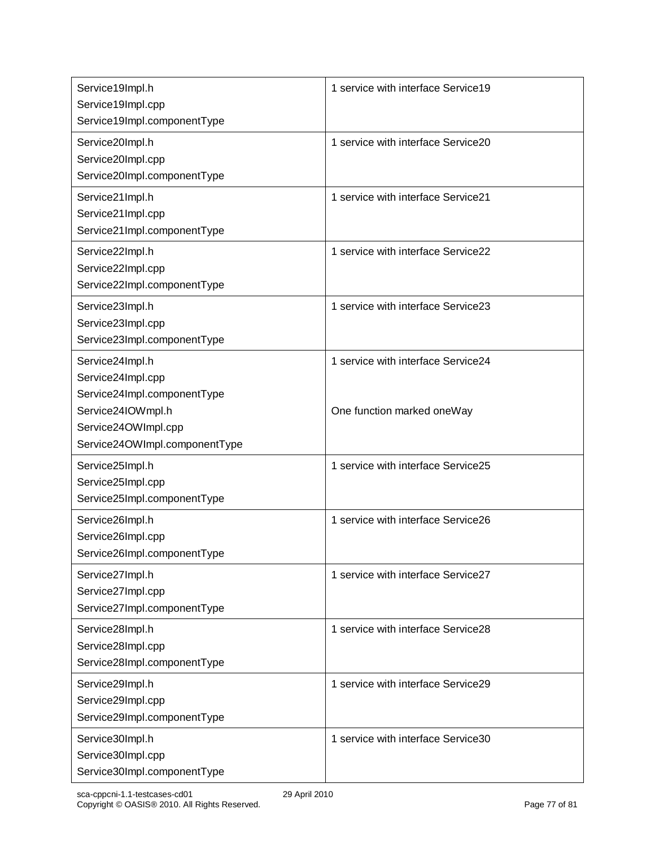| Service19Impl.h                                                                                                                                  | 1 service with interface Service19                               |
|--------------------------------------------------------------------------------------------------------------------------------------------------|------------------------------------------------------------------|
| Service19Impl.cpp<br>Service19Impl.componentType                                                                                                 |                                                                  |
| Service20Impl.h<br>Service20Impl.cpp<br>Service20Impl.componentType                                                                              | 1 service with interface Service20                               |
| Service21Impl.h<br>Service21Impl.cpp<br>Service21Impl.componentType                                                                              | 1 service with interface Service21                               |
| Service22Impl.h<br>Service22Impl.cpp<br>Service22Impl.componentType                                                                              | 1 service with interface Service22                               |
| Service23Impl.h<br>Service23Impl.cpp<br>Service23Impl.componentType                                                                              | 1 service with interface Service23                               |
| Service24Impl.h<br>Service24Impl.cpp<br>Service24Impl.componentType<br>Service24IOWmpl.h<br>Service24OWImpl.cpp<br>Service24OWImpl.componentType | 1 service with interface Service24<br>One function marked oneWay |
| Service25Impl.h<br>Service25Impl.cpp<br>Service25Impl.componentType                                                                              | 1 service with interface Service25                               |
| Service26Impl.h<br>Service26Impl.cpp<br>Service26Impl.componentType                                                                              | 1 service with interface Service26                               |
| Service27Impl.h<br>Service27Impl.cpp<br>Service27Impl.componentType                                                                              | 1 service with interface Service27                               |
| Service28Impl.h<br>Service28Impl.cpp<br>Service28Impl.componentType                                                                              | 1 service with interface Service28                               |
| Service29Impl.h<br>Service29Impl.cpp<br>Service29Impl.componentType                                                                              | 1 service with interface Service29                               |
| Service30Impl.h<br>Service30Impl.cpp<br>Service30Impl.componentType                                                                              | 1 service with interface Service30                               |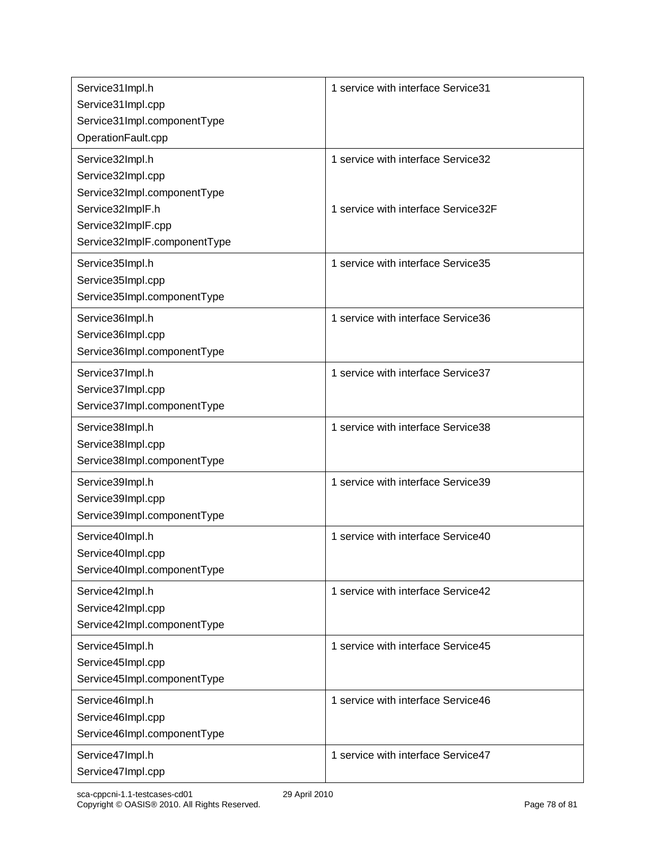| Service31Impl.h<br>Service31Impl.cpp<br>Service31Impl.componentType    | 1 service with interface Service31  |
|------------------------------------------------------------------------|-------------------------------------|
| OperationFault.cpp                                                     |                                     |
| Service32Impl.h<br>Service32Impl.cpp<br>Service32Impl.componentType    | 1 service with interface Service32  |
| Service32ImplF.h<br>Service32ImplF.cpp<br>Service32ImplF.componentType | 1 service with interface Service32F |
| Service35Impl.h<br>Service35Impl.cpp<br>Service35Impl.componentType    | 1 service with interface Service35  |
| Service36Impl.h<br>Service36Impl.cpp<br>Service36Impl.componentType    | 1 service with interface Service36  |
| Service37Impl.h<br>Service37Impl.cpp<br>Service37Impl.componentType    | 1 service with interface Service37  |
| Service38Impl.h<br>Service38Impl.cpp<br>Service38Impl.componentType    | 1 service with interface Service38  |
| Service39Impl.h<br>Service39Impl.cpp<br>Service39Impl.componentType    | 1 service with interface Service39  |
| Service40Impl.h<br>Service40Impl.cpp<br>Service40Impl.componentType    | 1 service with interface Service40  |
| Service42Impl.h<br>Service42Impl.cpp<br>Service42Impl.componentType    | 1 service with interface Service42  |
| Service45Impl.h<br>Service45Impl.cpp<br>Service45Impl.componentType    | 1 service with interface Service45  |
| Service46Impl.h<br>Service46Impl.cpp<br>Service46Impl.componentType    | 1 service with interface Service46  |
| Service47Impl.h<br>Service47Impl.cpp                                   | 1 service with interface Service47  |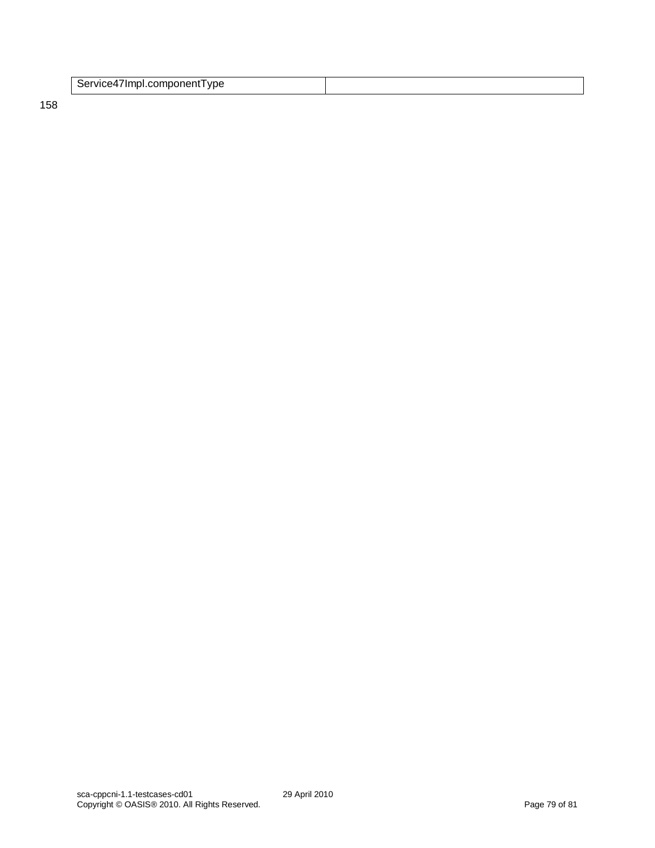| Service4/Impl.component I ype |  |
|-------------------------------|--|
|                               |  |

158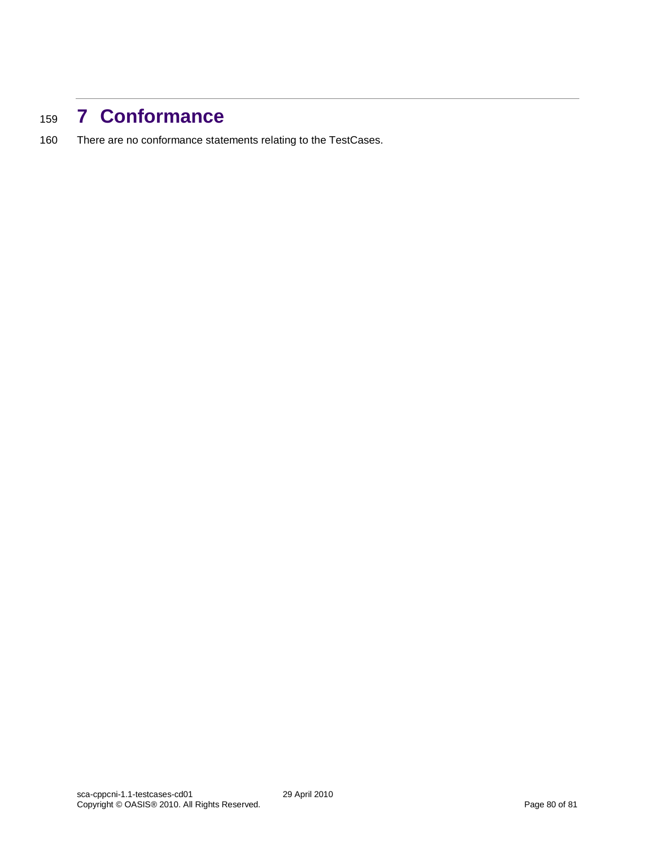## <sup>159</sup> **7 Conformance**

160 There are no conformance statements relating to the TestCases.